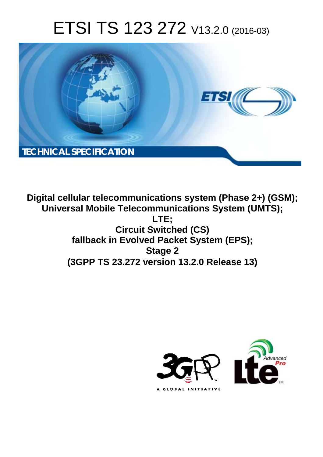# ETSI TS 123 272 V13.2.0 (2016-03)



**Digital cellular telecommunications system (Phase 2+) (GSM); Universal Mobile Tel elecommunications System ( (UMTS); Circ ircuit Switched (CS) fallback in Ev Evolved Packet System (EPS);** fallback in Evolved Packet System (EPS);<br>Stage 2<br>(3GPP TS 23.272 version 13.2.0 Release 13) **LTE; Stage 2** 

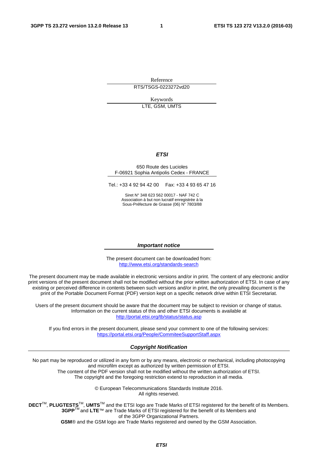Reference RTS/TSGS-0223272vd20

> Keywords LTE, GSM, UMTS

#### *ETSI*

#### 650 Route des Lucioles F-06921 Sophia Antipolis Cedex - FRANCE

Tel.: +33 4 92 94 42 00 Fax: +33 4 93 65 47 16

Siret N° 348 623 562 00017 - NAF 742 C Association à but non lucratif enregistrée à la Sous-Préfecture de Grasse (06) N° 7803/88

#### *Important notice*

The present document can be downloaded from: <http://www.etsi.org/standards-search>

The present document may be made available in electronic versions and/or in print. The content of any electronic and/or print versions of the present document shall not be modified without the prior written authorization of ETSI. In case of any existing or perceived difference in contents between such versions and/or in print, the only prevailing document is the print of the Portable Document Format (PDF) version kept on a specific network drive within ETSI Secretariat.

Users of the present document should be aware that the document may be subject to revision or change of status. Information on the current status of this and other ETSI documents is available at <http://portal.etsi.org/tb/status/status.asp>

If you find errors in the present document, please send your comment to one of the following services: <https://portal.etsi.org/People/CommiteeSupportStaff.aspx>

#### *Copyright Notification*

No part may be reproduced or utilized in any form or by any means, electronic or mechanical, including photocopying and microfilm except as authorized by written permission of ETSI.

The content of the PDF version shall not be modified without the written authorization of ETSI. The copyright and the foregoing restriction extend to reproduction in all media.

> © European Telecommunications Standards Institute 2016. All rights reserved.

**DECT**TM, **PLUGTESTS**TM, **UMTS**TM and the ETSI logo are Trade Marks of ETSI registered for the benefit of its Members. **3GPP**TM and **LTE**™ are Trade Marks of ETSI registered for the benefit of its Members and of the 3GPP Organizational Partners.

**GSM**® and the GSM logo are Trade Marks registered and owned by the GSM Association.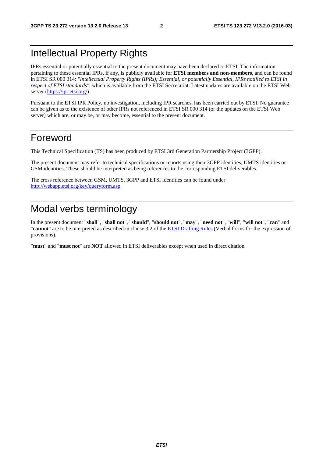# Intellectual Property Rights

IPRs essential or potentially essential to the present document may have been declared to ETSI. The information pertaining to these essential IPRs, if any, is publicly available for **ETSI members and non-members**, and can be found in ETSI SR 000 314: *"Intellectual Property Rights (IPRs); Essential, or potentially Essential, IPRs notified to ETSI in respect of ETSI standards"*, which is available from the ETSI Secretariat. Latest updates are available on the ETSI Web server ([https://ipr.etsi.org/\)](https://ipr.etsi.org/).

Pursuant to the ETSI IPR Policy, no investigation, including IPR searches, has been carried out by ETSI. No guarantee can be given as to the existence of other IPRs not referenced in ETSI SR 000 314 (or the updates on the ETSI Web server) which are, or may be, or may become, essential to the present document.

## Foreword

This Technical Specification (TS) has been produced by ETSI 3rd Generation Partnership Project (3GPP).

The present document may refer to technical specifications or reports using their 3GPP identities, UMTS identities or GSM identities. These should be interpreted as being references to the corresponding ETSI deliverables.

The cross reference between GSM, UMTS, 3GPP and ETSI identities can be found under [http://webapp.etsi.org/key/queryform.asp.](http://webapp.etsi.org/key/queryform.asp)

# Modal verbs terminology

In the present document "**shall**", "**shall not**", "**should**", "**should not**", "**may**", "**need not**", "**will**", "**will not**", "**can**" and "**cannot**" are to be interpreted as described in clause 3.2 of the [ETSI Drafting Rules](http://portal.etsi.org/Help/editHelp!/Howtostart/ETSIDraftingRules.aspx) (Verbal forms for the expression of provisions).

"**must**" and "**must not**" are **NOT** allowed in ETSI deliverables except when used in direct citation.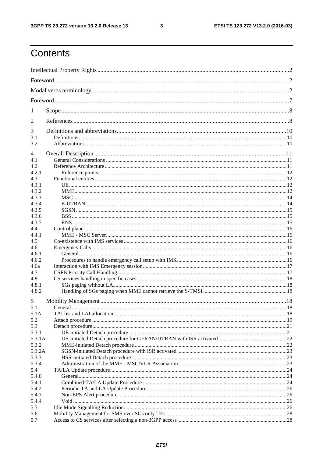$\mathbf{3}$ 

# Contents

| 1              |                                                                                                                                                                                                                                                                                                                                          |           |  |
|----------------|------------------------------------------------------------------------------------------------------------------------------------------------------------------------------------------------------------------------------------------------------------------------------------------------------------------------------------------|-----------|--|
| 2              |                                                                                                                                                                                                                                                                                                                                          |           |  |
| 3              |                                                                                                                                                                                                                                                                                                                                          |           |  |
| 3.1<br>3.2     |                                                                                                                                                                                                                                                                                                                                          |           |  |
|                |                                                                                                                                                                                                                                                                                                                                          |           |  |
| 4<br>4.1       |                                                                                                                                                                                                                                                                                                                                          |           |  |
| 4.2            |                                                                                                                                                                                                                                                                                                                                          |           |  |
| 4.2.1          |                                                                                                                                                                                                                                                                                                                                          |           |  |
| 4.3            |                                                                                                                                                                                                                                                                                                                                          |           |  |
| 4.3.1          |                                                                                                                                                                                                                                                                                                                                          |           |  |
| 4.3.2          |                                                                                                                                                                                                                                                                                                                                          |           |  |
| 4.3.3          |                                                                                                                                                                                                                                                                                                                                          |           |  |
| 4.3.4          |                                                                                                                                                                                                                                                                                                                                          |           |  |
| 4.3.5          |                                                                                                                                                                                                                                                                                                                                          |           |  |
| 4.3.6          |                                                                                                                                                                                                                                                                                                                                          |           |  |
| 4.3.7          |                                                                                                                                                                                                                                                                                                                                          |           |  |
| 4.4            |                                                                                                                                                                                                                                                                                                                                          |           |  |
| 4.4.1          |                                                                                                                                                                                                                                                                                                                                          |           |  |
| 4.5            |                                                                                                                                                                                                                                                                                                                                          |           |  |
| 4.6            |                                                                                                                                                                                                                                                                                                                                          |           |  |
| 4.6.1          |                                                                                                                                                                                                                                                                                                                                          |           |  |
| 4.6.2          |                                                                                                                                                                                                                                                                                                                                          |           |  |
| 4.6a           |                                                                                                                                                                                                                                                                                                                                          |           |  |
| 4.7            |                                                                                                                                                                                                                                                                                                                                          |           |  |
| 4.8            |                                                                                                                                                                                                                                                                                                                                          |           |  |
| 4.8.1<br>4.8.2 |                                                                                                                                                                                                                                                                                                                                          |           |  |
|                |                                                                                                                                                                                                                                                                                                                                          |           |  |
| 5              |                                                                                                                                                                                                                                                                                                                                          |           |  |
| 5.1            | General $\ldots$ $\ldots$ $\ldots$ $\ldots$ $\ldots$ $\ldots$ $\ldots$ $\ldots$ $\ldots$ $\ldots$ $\ldots$ $\ldots$ $\ldots$ $\ldots$ $\ldots$ $\ldots$ $\ldots$ $\ldots$ $\ldots$ $\ldots$ $\ldots$ $\ldots$ $\ldots$ $\ldots$ $\ldots$ $\ldots$ $\ldots$ $\ldots$ $\ldots$ $\ldots$ $\ldots$ $\ldots$ $\ldots$ $\ldots$ $\ldots$ $\ld$ | $\sim 18$ |  |
| 5.1A<br>5.2    |                                                                                                                                                                                                                                                                                                                                          |           |  |
| 5.3            |                                                                                                                                                                                                                                                                                                                                          |           |  |
| 5.3.1          |                                                                                                                                                                                                                                                                                                                                          |           |  |
| 5.3.1A         |                                                                                                                                                                                                                                                                                                                                          |           |  |
| 5.3.2          |                                                                                                                                                                                                                                                                                                                                          |           |  |
| 5.3.2A         |                                                                                                                                                                                                                                                                                                                                          |           |  |
| 5.3.3          |                                                                                                                                                                                                                                                                                                                                          |           |  |
| 5.3.4          |                                                                                                                                                                                                                                                                                                                                          |           |  |
| 5.4            |                                                                                                                                                                                                                                                                                                                                          |           |  |
| 5.4.0          |                                                                                                                                                                                                                                                                                                                                          |           |  |
| 5.4.1          |                                                                                                                                                                                                                                                                                                                                          |           |  |
| 5.4.2          |                                                                                                                                                                                                                                                                                                                                          |           |  |
| 5.4.3          |                                                                                                                                                                                                                                                                                                                                          |           |  |
| 5.4.4          |                                                                                                                                                                                                                                                                                                                                          |           |  |
| 5.5            |                                                                                                                                                                                                                                                                                                                                          |           |  |
| 5.6            |                                                                                                                                                                                                                                                                                                                                          |           |  |
| 5.7            |                                                                                                                                                                                                                                                                                                                                          |           |  |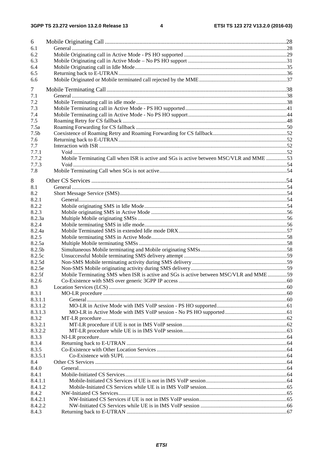| 6                |                                                                                         |  |
|------------------|-----------------------------------------------------------------------------------------|--|
| 6.1              |                                                                                         |  |
| 6.2              |                                                                                         |  |
| 6.3              |                                                                                         |  |
| 6.4              |                                                                                         |  |
| 6.5              |                                                                                         |  |
| 6.6              |                                                                                         |  |
| 7                |                                                                                         |  |
| 7.1              |                                                                                         |  |
| 7.2              |                                                                                         |  |
| 7.3              |                                                                                         |  |
| 7.4              |                                                                                         |  |
| 7.5              |                                                                                         |  |
| 7.5a             |                                                                                         |  |
| 7.5 <sub>b</sub> |                                                                                         |  |
| 7.6              |                                                                                         |  |
| 7.7              |                                                                                         |  |
| 7.7.1            |                                                                                         |  |
| 7.7.2            | Mobile Terminating Call when ISR is active and SGs is active between MSC/VLR and MME 53 |  |
| 7.7.3<br>7.8     |                                                                                         |  |
|                  |                                                                                         |  |
| 8                |                                                                                         |  |
| 8.1              |                                                                                         |  |
| 8.2              |                                                                                         |  |
| 8.2.1            |                                                                                         |  |
| 8.2.2            |                                                                                         |  |
| 8.2.3<br>8.2.3a  |                                                                                         |  |
| 8.2.4            |                                                                                         |  |
| 8.2.4a           |                                                                                         |  |
| 8.2.5            |                                                                                         |  |
| 8.2.5a           |                                                                                         |  |
| 8.2.5b           |                                                                                         |  |
| 8.2.5c           |                                                                                         |  |
| 8.2.5d           |                                                                                         |  |
| 8.2.5e           |                                                                                         |  |
| 8.2.5f           | Mobile Terminating SMS when ISR is active and SGs is active between MSC/VLR and MME59   |  |
| 8.2.6            |                                                                                         |  |
| 8.3              |                                                                                         |  |
| 8.3.1            |                                                                                         |  |
| 8.3.1.1          |                                                                                         |  |
| 8.3.1.2          |                                                                                         |  |
| 8.3.1.3          |                                                                                         |  |
| 8.3.2            |                                                                                         |  |
| 8.3.2.1          |                                                                                         |  |
| 8.3.2.2          |                                                                                         |  |
| 8.3.3            |                                                                                         |  |
| 8.3.4<br>8.3.5   |                                                                                         |  |
| 8.3.5.1          |                                                                                         |  |
| 8.4              |                                                                                         |  |
| 8.4.0            |                                                                                         |  |
| 8.4.1            |                                                                                         |  |
| 8.4.1.1          |                                                                                         |  |
| 8.4.1.2          |                                                                                         |  |
| 8.4.2            |                                                                                         |  |
| 8.4.2.1          |                                                                                         |  |
| 8.4.2.2          |                                                                                         |  |
| 8.4.3            |                                                                                         |  |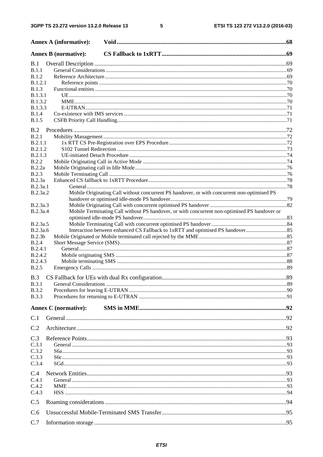#### $5\phantom{a}$

|                                | <b>Annex A (informative):</b>                                                                |  |
|--------------------------------|----------------------------------------------------------------------------------------------|--|
|                                | <b>Annex B</b> (normative):                                                                  |  |
| B.1                            |                                                                                              |  |
| B.1.1                          |                                                                                              |  |
| <b>B.1.2</b>                   |                                                                                              |  |
| B.1.2.1                        |                                                                                              |  |
| <b>B.1.3</b>                   |                                                                                              |  |
| <b>B.1.3.1</b>                 |                                                                                              |  |
| <b>B.1.3.2</b>                 |                                                                                              |  |
| B.1.3.3<br><b>B.1.4</b>        |                                                                                              |  |
| <b>B.1.5</b>                   |                                                                                              |  |
|                                |                                                                                              |  |
| B.2                            |                                                                                              |  |
| B.2.1                          |                                                                                              |  |
| B.2.1.1                        |                                                                                              |  |
| B.2.1.2                        |                                                                                              |  |
| <b>B.2.1.3</b><br><b>B.2.2</b> |                                                                                              |  |
| B.2.2a                         |                                                                                              |  |
| <b>B.2.3</b>                   |                                                                                              |  |
| B.2.3a                         |                                                                                              |  |
| B.2.3a.1                       |                                                                                              |  |
| B.2.3a.2                       | Mobile Originating Call without concurrent PS handover, or with concurrent non-optimised PS  |  |
|                                |                                                                                              |  |
| B.2.3a.3                       |                                                                                              |  |
| B.2.3a.4                       | Mobile Terminating Call without PS handover, or with concurrent non-optimised PS handover or |  |
|                                |                                                                                              |  |
| B.2.3a.5                       |                                                                                              |  |
| B.2.3a.6                       |                                                                                              |  |
| B.2.3b                         |                                                                                              |  |
| B.2.4                          |                                                                                              |  |
| <b>B.2.4.1</b>                 |                                                                                              |  |
| <b>B.2.4.2</b><br>B.2.4.3      |                                                                                              |  |
| <b>B.2.5</b>                   |                                                                                              |  |
|                                |                                                                                              |  |
| B.3                            |                                                                                              |  |
| <b>B.3.1</b>                   |                                                                                              |  |
| <b>B.3.2</b>                   |                                                                                              |  |
| <b>B.3.3</b>                   |                                                                                              |  |
|                                | <b>Annex C</b> (normative):                                                                  |  |
|                                |                                                                                              |  |
| C.1                            |                                                                                              |  |
| C.2                            |                                                                                              |  |
| C.3                            |                                                                                              |  |
| C.3.1                          |                                                                                              |  |
| C.3.2                          |                                                                                              |  |
| C.3.3                          |                                                                                              |  |
| C.3.4                          |                                                                                              |  |
|                                |                                                                                              |  |
| C.4<br>C.4.1                   |                                                                                              |  |
| C.4.2                          |                                                                                              |  |
| C.4.3                          |                                                                                              |  |
|                                |                                                                                              |  |
| C.5                            |                                                                                              |  |
| C.6                            |                                                                                              |  |
| C.7                            |                                                                                              |  |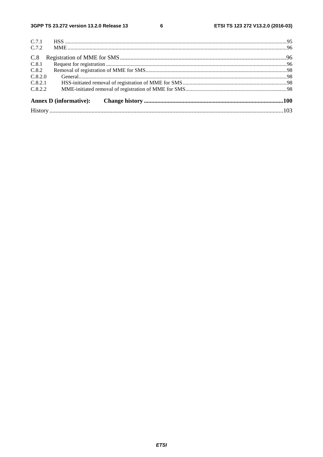$\bf 6$ 

| C.7.1                         |  |
|-------------------------------|--|
| C.7.2                         |  |
| C.8                           |  |
| C.8.1                         |  |
| C.8.2                         |  |
| C.8.2.0                       |  |
| C.8.2.1                       |  |
| C.8.2.2                       |  |
| <b>Annex D</b> (informative): |  |
|                               |  |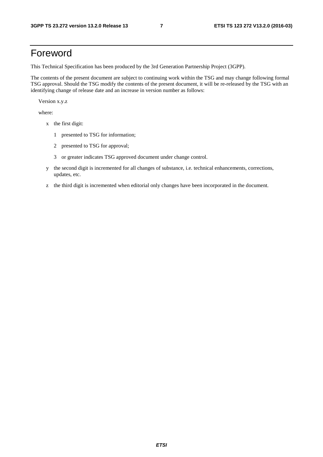# Foreword

This Technical Specification has been produced by the 3rd Generation Partnership Project (3GPP).

The contents of the present document are subject to continuing work within the TSG and may change following formal TSG approval. Should the TSG modify the contents of the present document, it will be re-released by the TSG with an identifying change of release date and an increase in version number as follows:

Version x.y.z

where:

- x the first digit:
	- 1 presented to TSG for information;
	- 2 presented to TSG for approval;
	- 3 or greater indicates TSG approved document under change control.
- y the second digit is incremented for all changes of substance, i.e. technical enhancements, corrections, updates, etc.
- z the third digit is incremented when editorial only changes have been incorporated in the document.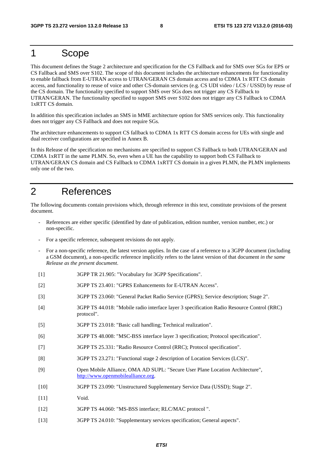### 1 Scope

This document defines the Stage 2 architecture and specification for the CS Fallback and for SMS over SGs for EPS or CS Fallback and SMS over S102. The scope of this document includes the architecture enhancements for functionality to enable fallback from E-UTRAN access to UTRAN/GERAN CS domain access and to CDMA 1x RTT CS domain access, and functionality to reuse of voice and other CS-domain services (e.g. CS UDI video / LCS / USSD) by reuse of the CS domain. The functionality specified to support SMS over SGs does not trigger any CS Fallback to UTRAN/GERAN. The functionality specified to support SMS over S102 does not trigger any CS Fallback to CDMA 1xRTT CS domain.

In addition this specification includes an SMS in MME architecture option for SMS services only. This functionality does not trigger any CS Fallback and does not require SGs.

The architecture enhancements to support CS fallback to CDMA 1x RTT CS domain access for UEs with single and dual receiver configurations are specified in Annex B.

In this Release of the specification no mechanisms are specified to support CS Fallback to both UTRAN/GERAN and CDMA 1xRTT in the same PLMN. So, even when a UE has the capability to support both CS Fallback to UTRAN/GERAN CS domain and CS Fallback to CDMA 1xRTT CS domain in a given PLMN, the PLMN implements only one of the two.

# 2 References

The following documents contain provisions which, through reference in this text, constitute provisions of the present document.

- References are either specific (identified by date of publication, edition number, version number, etc.) or non-specific.
- For a specific reference, subsequent revisions do not apply.
- For a non-specific reference, the latest version applies. In the case of a reference to a 3GPP document (including a GSM document), a non-specific reference implicitly refers to the latest version of that document *in the same Release as the present document*.
- [1] 3GPP TR 21.905: "Vocabulary for 3GPP Specifications".
- [2] 3GPP TS 23.401: "GPRS Enhancements for E-UTRAN Access".
- [3] 3GPP TS 23.060: "General Packet Radio Service (GPRS); Service description; Stage 2".
- [4] 3GPP TS 44.018: "Mobile radio interface layer 3 specification Radio Resource Control (RRC) protocol".
- [5] 3GPP TS 23.018: "Basic call handling; Technical realization".
- [6] 3GPP TS 48.008: "MSC-BSS interface layer 3 specification; Protocol specification".
- [7] 3GPP TS 25.331: "Radio Resource Control (RRC); Protocol specification".
- [8] 3GPP TS 23.271: "Functional stage 2 description of Location Services (LCS)".
- [9] Open Mobile Alliance, OMA AD SUPL: "Secure User Plane Location Architecture", [http://www.openmobilealliance.org.](http://www.openmobilealliance.org/)
- [10] 3GPP TS 23.090: "Unstructured Supplementary Service Data (USSD); Stage 2".
- [11] Void.
- [12] 3GPP TS 44.060: "MS-BSS interface; RLC/MAC protocol ".
- [13] 3GPP TS 24.010: "Supplementary services specification; General aspects".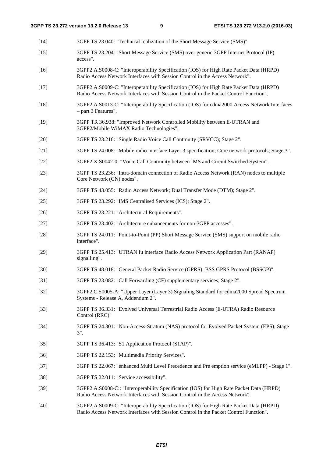- [14] 3GPP TS 23.040: "Technical realization of the Short Message Service (SMS)".
- [15] 3GPP TS 23.204: "Short Message Service (SMS) over generic 3GPP Internet Protocol (IP) access".
- [16] 3GPP2 A.S0008-C: "Interoperability Specification (IOS) for High Rate Packet Data (HRPD) Radio Access Network Interfaces with Session Control in the Access Network".
- [17] 3GPP2 A.S0009-C: "Interoperability Specification (IOS) for High Rate Packet Data (HRPD) Radio Access Network Interfaces with Session Control in the Packet Control Function".
- [18] 3GPP2 A.S0013-C: "Interoperability Specification (IOS) for cdma2000 Access Network Interfaces – part 3 Features".
- [19] 3GPP TR 36.938: "Improved Network Controlled Mobility between E-UTRAN and 3GPP2/Mobile WiMAX Radio Technologies".
- [20] 3GPP TS 23.216: "Single Radio Voice Call Continuity (SRVCC); Stage 2".
- [21] 3GPP TS 24.008: "Mobile radio interface Layer 3 specification; Core network protocols; Stage 3".
- [22] 3GPP2 X.S0042-0: "Voice Call Continuity between IMS and Circuit Switched System".
- [23] 3GPP TS 23.236: "Intra-domain connection of Radio Access Network (RAN) nodes to multiple Core Network (CN) nodes".
- [24] 3GPP TS 43.055: "Radio Access Network; Dual Transfer Mode (DTM); Stage 2".
- [25] 3GPP TS 23.292: "IMS Centralised Services (ICS); Stage 2".
- [26] 3GPP TS 23.221: "Architectural Requirements".
- [27] 3GPP TS 23.402: "Architecture enhancements for non-3GPP accesses".
- [28] 3GPP TS 24.011: "Point-to-Point (PP) Short Message Service (SMS) support on mobile radio interface".
- [29] 3GPP TS 25.413: "UTRAN Iu interface Radio Access Network Application Part (RANAP) signalling".
- [30] 3GPP TS 48.018: "General Packet Radio Service (GPRS); BSS GPRS Protocol (BSSGP)".
- [31] 3GPP TS 23.082: "Call Forwarding (CF) supplementary services; Stage 2".
- [32] 3GPP2 C.S0005-A: "Upper Layer (Layer 3) Signaling Standard for cdma2000 Spread Spectrum Systems - Release A, Addendum 2".
- [33] 3GPP TS 36.331: "Evolved Universal Terrestrial Radio Access (E-UTRA) Radio Resource Control (RRC)"
- [34] 3GPP TS 24.301: "Non-Access-Stratum (NAS) protocol for Evolved Packet System (EPS); Stage 3".
- [35] 3GPP TS 36.413: "S1 Application Protocol (S1AP)".
- [36] 3GPP TS 22.153: "Multimedia Priority Services".
- [37] 3GPP TS 22.067: "enhanced Multi Level Precedence and Pre emption service (eMLPP) Stage 1".
- [38] 3GPP TS 22.011: "Service accessibility".
- [39] 3GPP2 A.S0008-C:: "Interoperability Specification (IOS) for High Rate Packet Data (HRPD) Radio Access Network Interfaces with Session Control in the Access Network".
- [40] 3GPP2 A.S0009-C: "Interoperability Specification (IOS) for High Rate Packet Data (HRPD) Radio Access Network Interfaces with Session Control in the Packet Control Function".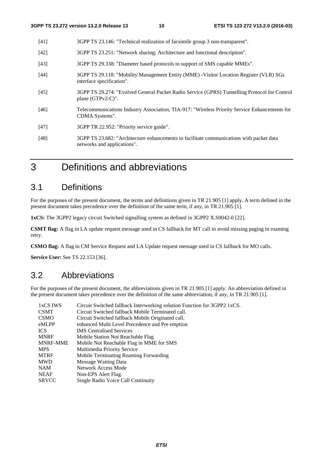- [41] 3GPP TS 23.146: "Technical realization of facsimile group 3 non-transparent".
- [42] 3GPP TS 23.251: "Network sharing; Architecture and functional description".
- [43] 3GPP TS 29.338: "Diameter based protocols to support of SMS capable MMEs".
- [44] 3GPP TS 29.118: "Mobility Management Entity (MME) -Visitor Location Register (VLR) SGs interface specification".
- [45] 3GPP TS 29.274: "Evolved General Packet Radio Service (GPRS) Tunnelling Protocol for Control plane (GTPv2-C)".
- [46] Telecommunications Industry Association, TIA-917: "Wireless Priority Service Enhancements for CDMA Systems".
- [47] 3GPP TR 22.952: "Priority service guide".
- [48] 3GPP TS 23.682: "Architecture enhancements to facilitate communications with packet data networks and applications".

# 3 Definitions and abbreviations

### 3.1 Definitions

For the purposes of the present document, the terms and definitions given in TR 21.905 [1] apply. A term defined in the present document takes precedence over the definition of the same term, if any, in TR 21.905 [1].

**1xCS:** The 3GPP2 legacy circuit Switched signalling system as defined in 3GPP2 X.S0042-0 [22].

**CSMT flag:** A flag in LA update request message used in CS fallback for MT call to avoid missing paging in roaming retry.

**CSMO flag:** A flag in CM Service Request and LA Update request message used in CS fallback for MO calls.

**Service User:** See TS 22.153 [36].

### 3.2 Abbreviations

For the purposes of the present document, the abbreviations given in TR 21.905 [1] apply. An abbreviation defined in the present document takes precedence over the definition of the same abbreviation, if any, in TR 21.905 [1].

| 1xCS IWS     | Circuit Switched fallback Interworking solution Function for 3GPP2 1xCS. |
|--------------|--------------------------------------------------------------------------|
| <b>CSMT</b>  | Circuit Switched fallback Mobile Terminated call.                        |
| CSMO         | Circuit Switched fallback Mobile Originated call.                        |
| eMLPP        | enhanced Multi Level Precedence and Pre emption                          |
| ICS.         | <b>IMS</b> Centralised Services                                          |
| <b>MNRF</b>  | Mobile Station Not Reachable Flag                                        |
| MNRF-MME     | Mobile Not Reachable Flag in MME for SMS                                 |
| MPS          | Multimedia Priority Service                                              |
| MTRF         | Mobile Terminating Roaming Forwarding                                    |
| MWD          | Message Waiting Data                                                     |
| NAM          | Network Access Mode                                                      |
| NEAF         | Non-EPS Alert Flag.                                                      |
| <b>SRVCC</b> | Single Radio Voice Call Continuity                                       |
|              |                                                                          |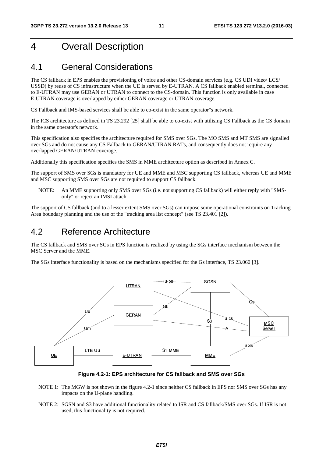# 4 Overall Description

### 4.1 General Considerations

The CS fallback in EPS enables the provisioning of voice and other CS-domain services (e.g. CS UDI video/ LCS/ USSD) by reuse of CS infrastructure when the UE is served by E-UTRAN. A CS fallback enabled terminal, connected to E-UTRAN may use GERAN or UTRAN to connect to the CS-domain. This function is only available in case E-UTRAN coverage is overlapped by either GERAN coverage or UTRAN coverage.

CS Fallback and IMS-based services shall be able to co-exist in the same operator"s network.

The ICS architecture as defined in TS 23.292 [25] shall be able to co-exist with utilising CS Fallback as the CS domain in the same operator's network.

This specification also specifies the architecture required for SMS over SGs. The MO SMS and MT SMS are signalled over SGs and do not cause any CS Fallback to GERAN/UTRAN RATs, and consequently does not require any overlapped GERAN/UTRAN coverage.

Additionally this specification specifies the SMS in MME architecture option as described in Annex C.

The support of SMS over SGs is mandatory for UE and MME and MSC supporting CS fallback, whereas UE and MME and MSC supporting SMS over SGs are not required to support CS fallback.

NOTE: An MME supporting only SMS over SGs (i.e. not supporting CS fallback) will either reply with "SMSonly" or reject an IMSI attach.

The support of CS fallback (and to a lesser extent SMS over SGs) can impose some operational constraints on Tracking Area boundary planning and the use of the "tracking area list concept" (see TS 23.401 [2]).

### 4.2 Reference Architecture

The CS fallback and SMS over SGs in EPS function is realized by using the SGs interface mechanism between the MSC Server and the MME.

The SGs interface functionality is based on the mechanisms specified for the Gs interface, TS 23.060 [3].



**Figure 4.2-1: EPS architecture for CS fallback and SMS over SGs** 

- NOTE 1: The MGW is not shown in the figure 4.2-1 since neither CS fallback in EPS nor SMS over SGs has any impacts on the U-plane handling.
- NOTE 2: SGSN and S3 have additional functionality related to ISR and CS fallback/SMS over SGs. If ISR is not used, this functionality is not required.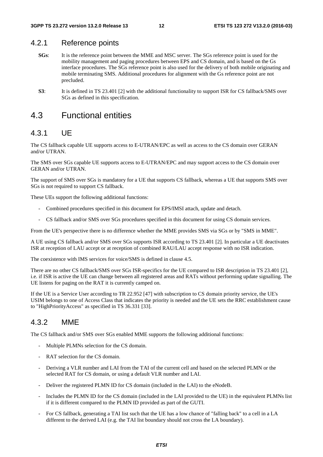#### 4.2.1 Reference points

- **SGs**: It is the reference point between the MME and MSC server. The SGs reference point is used for the mobility management and paging procedures between EPS and CS domain, and is based on the Gs interface procedures. The SGs reference point is also used for the delivery of both mobile originating and mobile terminating SMS. Additional procedures for alignment with the Gs reference point are not precluded.
- **S3**: It is defined in TS 23.401 [2] with the additional functionality to support ISR for CS fallback/SMS over SGs as defined in this specification.

### 4.3 Functional entities

#### 4.3.1 UE

The CS fallback capable UE supports access to E-UTRAN/EPC as well as access to the CS domain over GERAN and/or UTRAN.

The SMS over SGs capable UE supports access to E-UTRAN/EPC and may support access to the CS domain over GERAN and/or UTRAN.

The support of SMS over SGs is mandatory for a UE that supports CS fallback, whereas a UE that supports SMS over SGs is not required to support CS fallback.

These UEs support the following additional functions:

- Combined procedures specified in this document for EPS/IMSI attach, update and detach.
- CS fallback and/or SMS over SGs procedures specified in this document for using CS domain services.

From the UE's perspective there is no difference whether the MME provides SMS via SGs or by "SMS in MME".

A UE using CS fallback and/or SMS over SGs supports ISR according to TS 23.401 [2]. In particular a UE deactivates ISR at reception of LAU accept or at reception of combined RAU/LAU accept response with no ISR indication.

The coexistence with IMS services for voice/SMS is defined in clause 4.5.

There are no other CS fallback/SMS over SGs ISR-specifics for the UE compared to ISR description in TS 23.401 [2], i.e. if ISR is active the UE can change between all registered areas and RATs without performing update signalling. The UE listens for paging on the RAT it is currently camped on.

If the UE is a Service User according to TR 22.952 [47] with subscription to CS domain priority service, the UE's USIM belongs to one of Access Class that indicates the priority is needed and the UE sets the RRC establishment cause to "HighPriorityAccess" as specified in TS 36.331 [33].

#### 4.3.2 MME

The CS fallback and/or SMS over SGs enabled MME supports the following additional functions:

- Multiple PLMNs selection for the CS domain.
- RAT selection for the CS domain.
- Deriving a VLR number and LAI from the TAI of the current cell and based on the selected PLMN or the selected RAT for CS domain, or using a default VLR number and LAI.
- Deliver the registered PLMN ID for CS domain (included in the LAI) to the eNodeB.
- Includes the PLMN ID for the CS domain (included in the LAI provided to the UE) in the equivalent PLMNs list if it is different compared to the PLMN ID provided as part of the GUTI.
- For CS fallback, generating a TAI list such that the UE has a low chance of "falling back" to a cell in a LA different to the derived LAI (e.g. the TAI list boundary should not cross the LA boundary).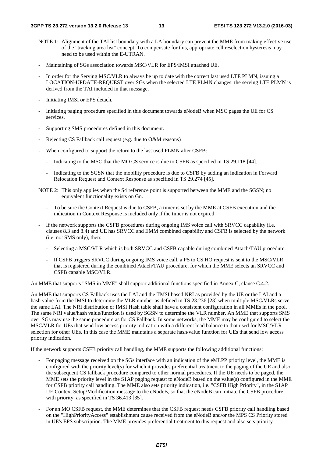- NOTE 1: Alignment of the TAI list boundary with a LA boundary can prevent the MME from making effective use of the "tracking area list" concept. To compensate for this, appropriate cell reselection hysteresis may need to be used within the E-UTRAN.
- Maintaining of SGs association towards MSC/VLR for EPS/IMSI attached UE.
- In order for the Serving MSC/VLR to always be up to date with the correct last used LTE PLMN, issuing a LOCATION-UPDATE-REQUEST over SGs when the selected LTE PLMN changes: the serving LTE PLMN is derived from the TAI included in that message.
- Initiating IMSI or EPS detach.
- Initiating paging procedure specified in this document towards eNodeB when MSC pages the UE for CS services.
- Supporting SMS procedures defined in this document.
- Rejecting CS Fallback call request (e.g. due to O&M reasons)
- When configured to support the return to the last used PLMN after CSFB:
	- Indicating to the MSC that the MO CS service is due to CSFB as specified in TS 29.118 [44].
	- Indicating to the SGSN that the mobility procedure is due to CSFB by adding an indication in Forward Relocation Request and Context Response as specified in TS 29.274 [45].
- NOTE 2: This only applies when the S4 reference point is supported between the MME and the SGSN; no equivalent functionality exists on Gn.
	- To be sure the Context Request is due to CSFB, a timer is set by the MME at CSFB execution and the indication in Context Response is included only if the timer is not expired.
- If the network supports the CSFB procedures during ongoing IMS voice call with SRVCC capability (i.e. clauses 8.3 and 8.4) and UE has SRVCC and EMM combined capability and CSFB is selected by the network (i.e. not SMS only), then:
	- Selecting a MSC/VLR which is both SRVCC and CSFB capable during combined Attach/TAU procedure.
	- If CSFB triggers SRVCC during ongoing IMS voice call, a PS to CS HO request is sent to the MSC/VLR that is registered during the combined Attach/TAU procedure, for which the MME selects an SRVCC and CSFB capable MSC/VLR.

An MME that supports "SMS in MME" shall support additional functions specified in Annex C, clause C.4.2.

An MME that supports CS Fallback uses the LAI and the TMSI based NRI as provided by the UE or the LAI and a hash value from the IMSI to determine the VLR number as defined in TS 23.236 [23] when multiple MSC/VLRs serve the same LAI. The NRI distribution or IMSI Hash table shall have a consistent configuration in all MMEs in the pool. The same NRI value/hash value/function is used by SGSN to determine the VLR number. An MME that supports SMS over SGs may use the same procedure as for CS Fallback. In some networks, the MME may be configured to select the MSC/VLR for UEs that send low access priority indication with a different load balance to that used for MSC/VLR selection for other UEs. In this case the MME maintains a separate hash/value function for UEs that send low access priority indication.

If the network supports CSFB priority call handling, the MME supports the following additional functions:

- For paging message received on the SGs interface with an indication of the eMLPP priority level, the MME is configured with the priority level(s) for which it provides preferential treatment to the paging of the UE and also the subsequent CS fallback procedure compared to other normal procedures. If the UE needs to be paged, the MME sets the priority level in the S1AP paging request to eNodeB based on the value(s) configured in the MME for CSFB priority call handling. The MME also sets priority indication, i.e. "CSFB High Priority", in the S1AP UE Context Setup/Modification message to the eNodeB, so that the eNodeB can initiate the CSFB procedure with priority, as specified in TS 36.413 [35].
- For an MO CSFB request, the MME determines that the CSFB request needs CSFB priority call handling based on the "HighPriorityAccess" establishment cause received from the eNodeB and/or the MPS CS Priority stored in UE's EPS subscription. The MME provides preferential treatment to this request and also sets priority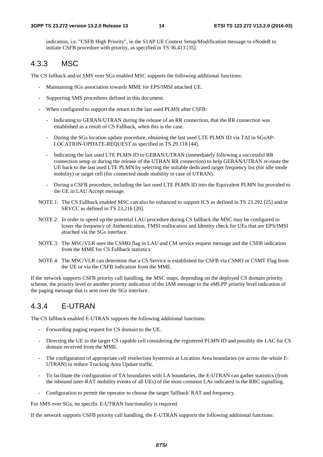indication, i.e. "CSFB High Priority", in the S1AP UE Context Setup/Modification message to eNodeB to initiate CSFB procedure with priority, as specified in TS 36.413 [35].

#### 4.3.3 MSC

The CS fallback and/or SMS over SGs enabled MSC supports the following additional functions:

- Maintaining SGs association towards MME for EPS/IMSI attached UE.
- Supporting SMS procedures defined in this document.
- When configured to support the return to the last used PLMN after CSFB:
	- Indicating to GERAN/UTRAN during the release of an RR connection, that the RR connection was established as a result of CS Fallback, when this is the case.
	- During the SGs location update procedure, obtaining the last used LTE PLMN ID via TAI in SGsAP-LOCATION-UPDATE-REQUEST as specified in TS 29.118 [44].
	- Indicating the last used LTE PLMN ID to GERAN/UTRAN (immediately following a successful RR connection setup or during the release of the UTRAN RR connection) to help GERAN/UTRAN re-route the UE back to the last used LTE PLMN by selecting the suitable dedicated target frequency list (for idle mode mobility) or target cell (for connected mode mobility in case of UTRAN).
	- During a CSFB procedure, including the last used LTE PLMN ID into the Equivalent PLMN list provided to the UE in LAU Accept message.
- NOTE 1: The CS Fallback enabled MSC can also be enhanced to support ICS as defined in TS 23.292 [25] and/or SRVCC as defined in TS 23.216 [20].
- NOTE 2: In order to speed up the potential LAU procedure during CS fallback the MSC may be configured to lower the frequency of Authentication, TMSI reallocation and Identity check for UEs that are EPS/IMSI attached via the SGs interface.
- NOTE 3: The MSC/VLR uses the CSMO flag in LAU and CM service request message and the CSFB indication from the MME for CS Fallback statistics.
- NOTE 4: The MSC/VLR can determine that a CS Service is established for CSFB via CSMO or CSMT Flag from the UE or via the CSFB indication from the MME.

If the network supports CSFB priority call handling, the MSC maps, depending on the deployed CS domain priority scheme, the priority level or another priority indication of the IAM message to the eMLPP priority level indication of the paging message that is sent over the SGs interface.

#### 4.3.4 E-UTRAN

The CS fallback enabled E-UTRAN supports the following additional functions:

- Forwarding paging request for CS domain to the UE.
- Directing the UE to the target CS capable cell considering the registered PLMN ID and possibly the LAC for CS domain received from the MME.
- The configuration of appropriate cell reselection hysteresis at Location Area boundaries (or across the whole E-UTRAN) to reduce Tracking Area Update traffic.
- To facilitate the configuration of TA boundaries with LA boundaries, the E-UTRAN can gather statistics (from the inbound inter-RAT mobility events of all UEs) of the most common LAs indicated in the RRC signalling.
- Configuration to permit the operator to choose the target 'fallback' RAT and frequency.

For SMS over SGs, no specific E-UTRAN functionality is required.

If the network supports CSFB priority call handling, the E-UTRAN supports the following additional functions: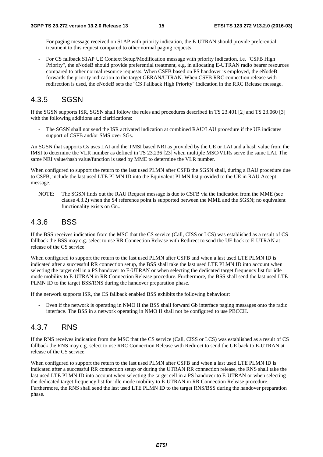- For paging message received on S1AP with priority indication, the E-UTRAN should provide preferential treatment to this request compared to other normal paging requests.
- For CS fallback S1AP UE Context Setup/Modification message with priority indication, i.e. "CSFB High Priority", the eNodeB should provide preferential treatment, e.g. in allocating E-UTRAN radio bearer resources compared to other normal resource requests. When CSFB based on PS handover is employed, the eNodeB forwards the priority indication to the target GERAN/UTRAN. When CSFB RRC connection release with redirection is used, the eNodeB sets the "CS Fallback High Priority" indication in the RRC Release message.

### 4.3.5 SGSN

If the SGSN supports ISR, SGSN shall follow the rules and procedures described in TS 23.401 [2] and TS 23.060 [3] with the following additions and clarifications:

The SGSN shall not send the ISR activated indication at combined RAU/LAU procedure if the UE indicates support of CSFB and/or SMS over SGs.

An SGSN that supports Gs uses LAI and the TMSI based NRI as provided by the UE or LAI and a hash value from the IMSI to determine the VLR number as defined in TS 23.236 [23] when multiple MSC/VLRs serve the same LAI. The same NRI value/hash value/function is used by MME to determine the VLR number.

When configured to support the return to the last used PLMN after CSFB the SGSN shall, during a RAU procedure due to CSFB, include the last used LTE PLMN ID into the Equivalent PLMN list provided to the UE in RAU Accept message.

NOTE: The SGSN finds out the RAU Request message is due to CSFB via the indication from the MME (see clause 4.3.2) when the S4 reference point is supported between the MME and the SGSN; no equivalent functionality exists on Gn..

### 4.3.6 BSS

If the BSS receives indication from the MSC that the CS service (Call, CISS or LCS) was established as a result of CS fallback the BSS may e.g. select to use RR Connection Release with Redirect to send the UE back to E-UTRAN at release of the CS service.

When configured to support the return to the last used PLMN after CSFB and when a last used LTE PLMN ID is indicated after a successful RR connection setup, the BSS shall take the last used LTE PLMN ID into account when selecting the target cell in a PS handover to E-UTRAN or when selecting the dedicated target frequency list for idle mode mobility to E-UTRAN in RR Connection Release procedure. Furthermore, the BSS shall send the last used LTE PLMN ID to the target BSS/RNS during the handover preparation phase.

If the network supports ISR, the CS fallback enabled BSS exhibits the following behaviour:

- Even if the network is operating in NMO II the BSS shall forward Gb interface paging messages onto the radio interface. The BSS in a network operating in NMO II shall not be configured to use PBCCH.

### 4.3.7 RNS

If the RNS receives indication from the MSC that the CS service (Call, CISS or LCS) was established as a result of CS fallback the RNS may e.g. select to use RRC Connection Release with Redirect to send the UE back to E-UTRAN at release of the CS service.

When configured to support the return to the last used PLMN after CSFB and when a last used LTE PLMN ID is indicated after a successful RR connection setup or during the UTRAN RR connection release, the RNS shall take the last used LTE PLMN ID into account when selecting the target cell in a PS handover to E-UTRAN or when selecting the dedicated target frequency list for idle mode mobility to E-UTRAN in RR Connection Release procedure. Furthermore, the RNS shall send the last used LTE PLMN ID to the target RNS/BSS during the handover preparation phase.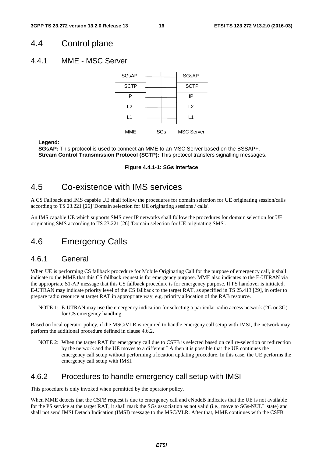### 4.4 Control plane

#### 4.4.1 MME - MSC Server

| <b>SGsAP</b> |     | <b>SGsAP</b>      |
|--------------|-----|-------------------|
| <b>SCTP</b>  |     | <b>SCTP</b>       |
| IP           |     | ΙP                |
| L2           |     | L2                |
| l 1          |     | $\mathsf{L}$ 1    |
| MME          | SGs | <b>MSC Server</b> |

**Legend:** 

**SGsAP:** This protocol is used to connect an MME to an MSC Server based on the BSSAP+. **Stream Control Transmission Protocol (SCTP):** This protocol transfers signalling messages.

#### **Figure 4.4.1-1: SGs Interface**

### 4.5 Co-existence with IMS services

A CS Fallback and IMS capable UE shall follow the procedures for domain selection for UE originating session/calls according to TS 23.221 [26] 'Domain selection for UE originating sessions / calls'.

An IMS capable UE which supports SMS over IP networks shall follow the procedures for domain selection for UE originating SMS according to TS 23.221 [26] 'Domain selection for UE originating SMS'.

### 4.6 Emergency Calls

### 4.6.1 General

When UE is performing CS fallback procedure for Mobile Originating Call for the purpose of emergency call, it shall indicate to the MME that this CS fallback request is for emergency purpose. MME also indicates to the E-UTRAN via the appropriate S1-AP message that this CS fallback procedure is for emergency purpose. If PS handover is initiated, E-UTRAN may indicate priority level of the CS fallback to the target RAT, as specified in TS 25.413 [29], in order to prepare radio resource at target RAT in appropriate way, e.g. priority allocation of the RAB resource.

NOTE 1: E-UTRAN may use the emergency indication for selecting a particular radio access network (2G or 3G) for CS emergency handling.

Based on local operator policy, if the MSC/VLR is required to handle emergeny call setup with IMSI, the network may perform the additional procedure defined in clause 4.6.2.

NOTE 2: When the target RAT for emergency call due to CSFB is selected based on cell re-selection or redirection by the network and the UE moves to a different LA then it is possible that the UE continues the emergency call setup without performing a location updating procedure. In this case, the UE performs the emergency call setup with IMSI.

#### 4.6.2 Procedures to handle emergency call setup with IMSI

This procedure is only invoked when permitted by the operator policy.

When MME detects that the CSFB request is due to emergency call and eNodeB indicates that the UE is not available for the PS service at the target RAT, it shall mark the SGs association as not valid (i.e., move to SGs-NULL state) and shall not send IMSI Detach Indication (IMSI) message to the MSC/VLR. After that, MME continues with the CSFB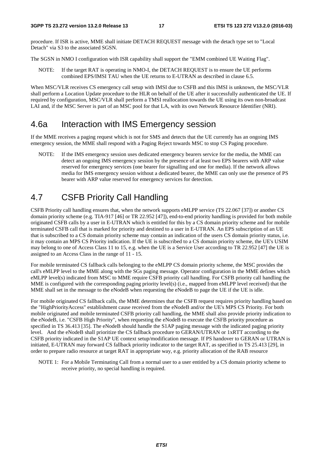procedure. If ISR is active, MME shall initiate DETACH REQUEST message with the detach type set to "Local Detach" via S3 to the associated SGSN.

The SGSN in NMO I configuration with ISR capability shall support the "EMM combined UE Waiting Flag".

NOTE: If the target RAT is operating in NMO-I, the DETACH REQUEST is to ensure the UE performs combined EPS/IMSI TAU when the UE returns to E-UTRAN as described in clause 6.5.

When MSC/VLR receives CS emergency call setup with IMSI due to CSFB and this IMSI is unknown, the MSC/VLR shall perform a Location Update procedure to the HLR on behalf of the UE after it successfully authenticated the UE. If required by configuration, MSC/VLR shall perform a TMSI reallocation towards the UE using its own non-broadcast LAI and, if the MSC Server is part of an MSC pool for that LA, with its own Network Resource Identifier (NRI).

### 4.6a Interaction with IMS Emergency session

If the MME receives a paging request which is not for SMS and detects that the UE currently has an ongoing IMS emergency session, the MME shall respond with a Paging Reject towards MSC to stop CS Paging procedure.

NOTE: If the IMS emergency session uses dedicated emergency bearers service for the media, the MME can detect an ongoing IMS emergency session by the presence of at least two EPS bearers with ARP value reserved for emergency services (one bearer for signalling and one for media). If the network allows media for IMS emergency session without a dedicated bearer, the MME can only use the presence of PS bearer with ARP value reserved for emergency services for detection.

## 4.7 CSFB Priority Call Handling

CSFB Priority call handling ensures that, when the network supports eMLPP service (TS 22.067 [37]) or another CS domain priority scheme (e.g. TIA-917 [46] or TR 22.952 [47]), end-to-end priority handling is provided for both mobile originated CSFB calls by a user in E-UTRAN which is entitled for this by a CS domain priority scheme and for mobile terminated CSFB call that is marked for priority and destined to a user in E-UTRAN. An EPS subscription of an UE that is subscribed to a CS domain priority scheme may contain an indication of the users CS domain priority status, i.e. it may contain an MPS CS Priority indication. If the UE is subscribed to a CS domain priority scheme, the UE's USIM may belong to one of Access Class 11 to 15, e.g. when the UE is a Service User according to TR 22.952 [47] the UE is assigned to an Access Class in the range of 11 - 15.

For mobile terminated CS fallback calls belonging to the eMLPP CS domain priority scheme, the MSC provides the call's eMLPP level to the MME along with the SGs paging message. Operator configuration in the MME defines which eMLPP level(s) indicated from MSC to MME require CSFB priority call handling. For CSFB priority call handling the MME is configured with the corresponding paging priority level(s) (i.e., mapped from eMLPP level received) that the MME shall set in the message to the eNodeB when requesting the eNodeB to page the UE if the UE is idle.

For mobile originated CS fallback calls, the MME determines that the CSFB request requires priority handling based on the "HighPriorityAccess" establishment cause received from the eNodeB and/or the UE's MPS CS Priority. For both mobile originated and mobile terminated CSFB priority call handling, the MME shall also provide priority indication to the eNodeB, i.e. "CSFB High Priority", when requesting the eNodeB to execute the CSFB priority procedure as specified in TS 36.413 [35]. The eNodeB should handle the S1AP paging message with the indicated paging priority level. And the eNodeB shall prioritize the CS fallback procedure to GERAN/UTRAN or 1xRTT according to the CSFB priority indicated in the S1AP UE context setup/modification message. If PS handover to GERAN or UTRAN is initiated, E-UTRAN may forward CS fallback priority indicator to the target RAT, as specified in TS 25.413 [29], in order to prepare radio resource at target RAT in appropriate way, e.g. priority allocation of the RAB resource

NOTE 1: For a Mobile Terminating Call from a normal user to a user entitled by a CS domain priority scheme to receive priority, no special handling is required.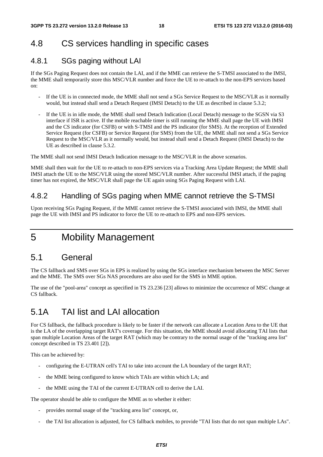### 4.8 CS services handling in specific cases

### 4.8.1 SGs paging without LAI

If the SGs Paging Request does not contain the LAI, and if the MME can retrieve the S-TMSI associated to the IMSI, the MME shall temporarily store this MSC/VLR number and force the UE to re-attach to the non-EPS services based on:

- If the UE is in connected mode, the MME shall not send a SGs Service Request to the MSC/VLR as it normally would, but instead shall send a Detach Request (IMSI Detach) to the UE as described in clause 5.3.2;
- If the UE is in idle mode, the MME shall send Detach Indication (Local Detach) message to the SGSN via S3 interface if ISR is active. If the mobile reachable timer is still running the MME shall page the UE with IMSI and the CS indicator (for CSFB) or with S-TMSI and the PS indicator (for SMS). At the reception of Extended Service Request (for CSFB) or Service Request (for SMS) from the UE, the MME shall not send a SGs Service Request to the MSC/VLR as it normally would, but instead shall send a Detach Request (IMSI Detach) to the UE as described in clause 5.3.2.

The MME shall not send IMSI Detach Indication message to the MSC/VLR in the above scenarios.

MME shall then wait for the UE to re-attach to non-EPS services via a Tracking Area Update Request; the MME shall IMSI attach the UE to the MSC/VLR using the stored MSC/VLR number. After successful IMSI attach, if the paging timer has not expired, the MSC/VLR shall page the UE again using SGs Paging Request with LAI.

### 4.8.2 Handling of SGs paging when MME cannot retrieve the S-TMSI

Upon receiving SGs Paging Request, if the MME cannot retrieve the S-TMSI associated with IMSI, the MME shall page the UE with IMSI and PS indicator to force the UE to re-attach to EPS and non-EPS services.

5 Mobility Management

### 5.1 General

The CS fallback and SMS over SGs in EPS is realized by using the SGs interface mechanism between the MSC Server and the MME. The SMS over SGs NAS procedures are also used for the SMS in MME option.

The use of the "pool-area" concept as specified in TS 23.236 [23] allows to minimize the occurrence of MSC change at CS fallback.

### 5.1A TAI list and LAI allocation

For CS fallback, the fallback procedure is likely to be faster if the network can allocate a Location Area to the UE that is the LA of the overlapping target RAT's coverage. For this situation, the MME should avoid allocating TAI lists that span multiple Location Areas of the target RAT (which may be contrary to the normal usage of the "tracking area list" concept described in TS 23.401 [2]).

This can be achieved by:

- configuring the E-UTRAN cell's TAI to take into account the LA boundary of the target RAT;
- the MME being configured to know which TAIs are within which LA; and
- the MME using the TAI of the current E-UTRAN cell to derive the LAI.

The operator should be able to configure the MME as to whether it either:

- provides normal usage of the "tracking area list" concept, or,
- the TAI list allocation is adjusted, for CS fallback mobiles, to provide "TAI lists that do not span multiple LAs".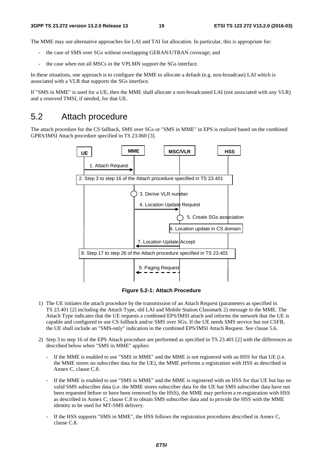The MME may use alternative approaches for LAI and TAI list allocation. In particular, this is appropriate for:

- the case of SMS over SGs without overlapping GERAN/UTRAN coverage; and
- the case when not all MSCs in the VPLMN support the SGs interface.

In these situations, one approach is to configure the MME to allocate a default (e.g. non-broadcast) LAI which is associated with a VLR that supports the SGs interface.

If "SMS in MME" is used for a UE, then the MME shall allocate a non-broadcasted LAI (not associated with any VLR) and a reserved TMSI, if needed, for that UE.

### 5.2 Attach procedure

The attach procedure for the CS fallback, SMS over SGs or "SMS in MME" in EPS is realized based on the combined GPRS/IMSI Attach procedure specified in TS 23.060 [3].



**Figure 5.2-1: Attach Procedure** 

- 1) The UE initiates the attach procedure by the transmission of an Attach Request (parameters as specified in TS 23.401 [2] including the Attach Type, old LAI and Mobile Station Classmark 2) message to the MME. The Attach Type indicates that the UE requests a combined EPS/IMSI attach and informs the network that the UE is capable and configured to use CS fallback and/or SMS over SGs. If the UE needs SMS service but not CSFB, the UE shall include an "SMS-only" indication in the combined EPS/IMSI Attach Request. See clause 5.6.
- 2) Step 3 to step 16 of the EPS Attach procedure are performed as specified in TS 23.401 [2] with the differences as described below when "SMS in MME" applies:
	- If the MME is enabled to use "SMS in MME" and the MME is not registered with an HSS for that UE (i.e. the MME stores no subscriber data for the UE), the MME performs a registration with HSS as described in Annex C, clause C.8.
	- If the MME is enabled to use "SMS in MME" and the MME is registered with an HSS for that UE but has no valid SMS subscriber data (i.e. the MME stores subscriber data for the UE but SMS subscriber data have not been requested before or have been removed by the HSS), the MME may perform a re-registration with HSS as described in Annex C, clause C.8 to obtain SMS subscriber data and to provide the HSS with the MME identity to be used for MT-SMS delivery.
	- If the HSS supports "SMS in MME", the HSS follows the registration procedures described in Annex C,  $clause C.8$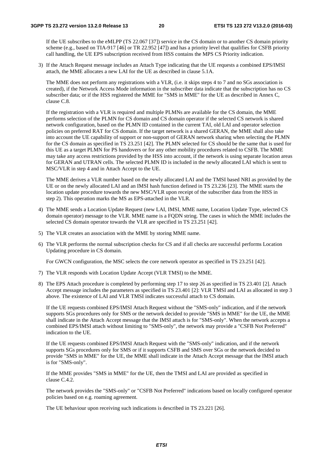If the UE subscribes to the eMLPP (TS 22.067 [37]) service in the CS domain or to another CS domain priority scheme (e.g., based on TIA-917 [46] or TR 22.952 [47]) and has a priority level that qualifies for CSFB priority call handling, the UE EPS subscription received from HSS contains the MPS CS Priority indication.

3) If the Attach Request message includes an Attach Type indicating that the UE requests a combined EPS/IMSI attach, the MME allocates a new LAI for the UE as described in clause 5.1A.

 The MME does not perform any registrations with a VLR, (i.e. it skips steps 4 to 7 and no SGs association is created), if the Network Access Mode information in the subscriber data indicate that the subscription has no CS subscriber data; or if the HSS registered the MME for "SMS in MME" for the UE as described in Annex C, clause C.8.

 If the registration with a VLR is required and multiple PLMNs are available for the CS domain, the MME performs selection of the PLMN for CS domain and CS domain operator if the selected CS network is shared network configuration, based on the PLMN ID contained in the current TAI, old LAI and operator selection policies on preferred RAT for CS domain. If the target network is a shared GERAN, the MME shall also take into account the UE capability of support or non-support of GERAN network sharing when selecting the PLMN for the CS domain as specified in TS 23.251 [42]. The PLMN selected for CS should be the same that is used for this UE as a target PLMN for PS handovers or for any other mobility procedures related to CSFB. The MME may take any access restrictions provided by the HSS into account, if the network is using separate location areas for GERAN and UTRAN cells. The selected PLMN ID is included in the newly allocated LAI which is sent to MSC/VLR in step 4 and in Attach Accept to the UE.

 The MME derives a VLR number based on the newly allocated LAI and the TMSI based NRI as provided by the UE or on the newly allocated LAI and an IMSI hash function defined in TS 23.236 [23]. The MME starts the location update procedure towards the new MSC/VLR upon receipt of the subscriber data from the HSS in step 2). This operation marks the MS as EPS-attached in the VLR.

- 4) The MME sends a Location Update Request (new LAI, IMSI, MME name, Location Update Type, selected CS domain operator) message to the VLR. MME name is a FQDN string. The cases in which the MME includes the selected CS domain operator towards the VLR are specified in TS 23.251 [42].
- 5) The VLR creates an association with the MME by storing MME name.
- 6) The VLR performs the normal subscription checks for CS and if all checks are successful performs Location Updating procedure in CS domain.

For GWCN configuration, the MSC selects the core network operator as specified in TS 23.251 [42].

- 7) The VLR responds with Location Update Accept (VLR TMSI) to the MME.
- 8) The EPS Attach procedure is completed by performing step 17 to step 26 as specified in TS 23.401 [2]. Attach Accept message includes the parameters as specified in TS 23.401 [2]: VLR TMSI and LAI as allocated in step 3 above. The existence of LAI and VLR TMSI indicates successful attach to CS domain.

 If the UE requests combined EPS/IMSI Attach Request without the "SMS-only" indication, and if the network supports SGs procedures only for SMS or the network decided to provide "SMS in MME" for the UE, the MME shall indicate in the Attach Accept message that the IMSI attach is for "SMS-only". When the network accepts a combined EPS/IMSI attach without limiting to "SMS-only", the network may provide a "CSFB Not Preferred" indication to the UE.

 If the UE requests combined EPS/IMSI Attach Request with the "SMS-only" indication, and if the network supports SGs procedures only for SMS or if it supports CSFB and SMS over SGs or the network decided to provide "SMS in MME" for the UE, the MME shall indicate in the Attach Accept message that the IMSI attach is for "SMS-only".

 If the MME provides "SMS in MME" for the UE, then the TMSI and LAI are provided as specified in clause C.4.2.

 The network provides the "SMS-only" or "CSFB Not Preferred" indications based on locally configured operator policies based on e.g. roaming agreement.

The UE behaviour upon receiving such indications is described in TS 23.221 [26].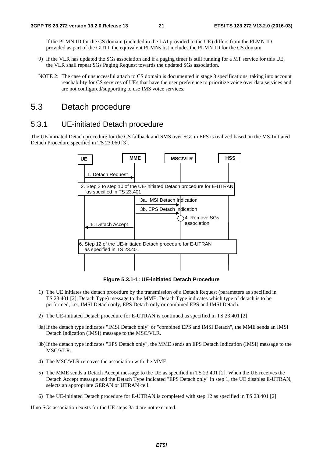If the PLMN ID for the CS domain (included in the LAI provided to the UE) differs from the PLMN ID provided as part of the GUTI, the equivalent PLMNs list includes the PLMN ID for the CS domain.

- 9) If the VLR has updated the SGs association and if a paging timer is still running for a MT service for this UE, the VLR shall repeat SGs Paging Request towards the updated SGs association.
- NOTE 2: The case of unsuccessful attach to CS domain is documented in stage 3 specifications, taking into account reachability for CS services of UEs that have the user preference to prioritize voice over data services and are not configured/supporting to use IMS voice services.

### 5.3 Detach procedure

#### 5.3.1 UE-initiated Detach procedure

The UE-initiated Detach procedure for the CS fallback and SMS over SGs in EPS is realized based on the MS-Initiated Detach Procedure specified in TS 23.060 [3].



**Figure 5.3.1-1: UE-initiated Detach Procedure** 

- 1) The UE initiates the detach procedure by the transmission of a Detach Request (parameters as specified in TS 23.401 [2], Detach Type) message to the MME. Detach Type indicates which type of detach is to be performed, i.e., IMSI Detach only, EPS Detach only or combined EPS and IMSI Detach.
- 2) The UE-initiated Detach procedure for E-UTRAN is continued as specified in TS 23.401 [2].
- 3a) If the detach type indicates "IMSI Detach only" or "combined EPS and IMSI Detach", the MME sends an IMSI Detach Indication (IMSI) message to the MSC/VLR.
- 3b) If the detach type indicates "EPS Detach only", the MME sends an EPS Detach Indication (IMSI) message to the MSC/VLR.
- 4) The MSC/VLR removes the association with the MME.
- 5) The MME sends a Detach Accept message to the UE as specified in TS 23.401 [2]. When the UE receives the Detach Accept message and the Detach Type indicated "EPS Detach only" in step 1, the UE disables E-UTRAN, selects an appropriate GERAN or UTRAN cell.
- 6) The UE-initiated Detach procedure for E-UTRAN is completed with step 12 as specified in TS 23.401 [2].

If no SGs association exists for the UE steps 3a-4 are not executed.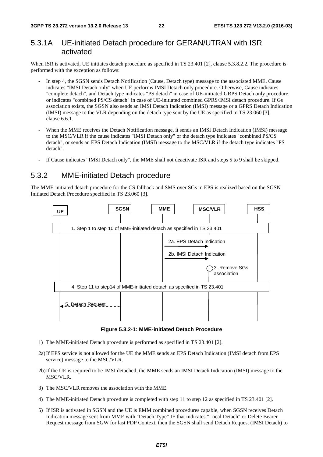### 5.3.1A UE-initiated Detach procedure for GERAN/UTRAN with ISR activated

When ISR is activated, UE initiates detach procedure as specified in TS 23.401 [2], clause 5.3.8.2.2. The procedure is performed with the exception as follows:

- In step 4, the SGSN sends Detach Notification (Cause, Detach type) message to the associated MME. Cause indicates "IMSI Detach only" when UE performs IMSI Detach only procedure. Otherwise, Cause indicates "complete detach", and Detach type indicates "PS detach" in case of UE-initiated GRPS Detach only procedure, or indicates "combined PS/CS detach" in case of UE-initiated combined GPRS/IMSI detach procedure. If Gs association exists, the SGSN also sends an IMSI Detach Indication (IMSI) message or a GPRS Detach Indication (IMSI) message to the VLR depending on the detach type sent by the UE as specified in TS 23.060 [3], clause 6.6.1.
- When the MME receives the Detach Notification message, it sends an IMSI Detach Indication (IMSI) message to the MSC/VLR if the cause indicates "IMSI Detach only" or the detach type indicates "combined PS/CS detach", or sends an EPS Detach Indication (IMSI) message to the MSC/VLR if the detach type indicates "PS detach".
- If Cause indicates "IMSI Detach only", the MME shall not deactivate ISR and steps 5 to 9 shall be skipped.

### 5.3.2 MME-initiated Detach procedure

The MME-initiated detach procedure for the CS fallback and SMS over SGs in EPS is realized based on the SGSN-Initiated Detach Procedure specified in TS 23.060 [3].



**Figure 5.3.2-1: MME-initiated Detach Procedure** 

- 1) The MME-initiated Detach procedure is performed as specified in TS 23.401 [2].
- 2a) If EPS service is not allowed for the UE the MME sends an EPS Detach Indication (IMSI detach from EPS service) message to the MSC/VLR.
- 2b) If the UE is required to be IMSI detached, the MME sends an IMSI Detach Indication (IMSI) message to the MSC/VLR.
- 3) The MSC/VLR removes the association with the MME.
- 4) The MME-initiated Detach procedure is completed with step 11 to step 12 as specified in TS 23.401 [2].
- 5) If ISR is activated in SGSN and the UE is EMM combined procedures capable, when SGSN receives Detach Indication message sent from MME with "Detach Type" IE that indicates "Local Detach" or Delete Bearer Request message from SGW for last PDP Context, then the SGSN shall send Detach Request (IMSI Detach) to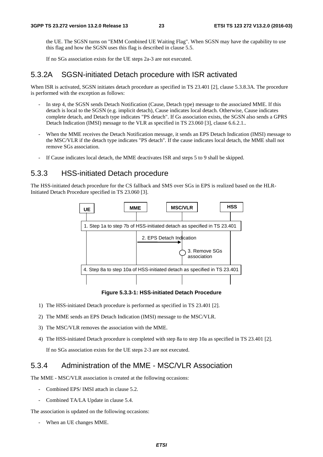the UE. The SGSN turns on "EMM Combined UE Waiting Flag". When SGSN may have the capability to use this flag and how the SGSN uses this flag is described in clause 5.5.

If no SGs association exists for the UE steps 2a-3 are not executed.

#### 5.3.2A SGSN-initiated Detach procedure with ISR activated

When ISR is activated, SGSN initiates detach procedure as specified in TS 23.401 [2], clause 5.3.8.3A. The procedure is performed with the exception as follows:

- In step 4, the SGSN sends Detach Notification (Cause, Detach type) message to the associated MME. If this detach is local to the SGSN (e.g. implicit detach), Cause indicates local detach. Otherwise, Cause indicates complete detach, and Detach type indicates "PS detach". If Gs association exists, the SGSN also sends a GPRS Detach Indication (IMSI) message to the VLR as specified in TS 23.060 [3], clause 6.6.2.1..
- When the MME receives the Detach Notification message, it sends an EPS Detach Indication (IMSI) message to the MSC/VLR if the detach type indicates "PS detach". If the cause indicates local detach, the MME shall not remove SGs association.
- If Cause indicates local detach, the MME deactivates ISR and steps 5 to 9 shall be skipped.

### 5.3.3 HSS-initiated Detach procedure

The HSS-initiated detach procedure for the CS fallback and SMS over SGs in EPS is realized based on the HLR-Initiated Detach Procedure specified in TS 23.060 [3].



**Figure 5.3.3-1: HSS-initiated Detach Procedure** 

- 1) The HSS-initiated Detach procedure is performed as specified in TS 23.401 [2].
- 2) The MME sends an EPS Detach Indication (IMSI) message to the MSC/VLR.
- 3) The MSC/VLR removes the association with the MME.
- 4) The HSS-initiated Detach procedure is completed with step 8a to step 10a as specified in TS 23.401 [2].

If no SGs association exists for the UE steps 2-3 are not executed.

### 5.3.4 Administration of the MME - MSC/VLR Association

The MME - MSC/VLR association is created at the following occasions:

- Combined EPS/ IMSI attach in clause 5.2.
- Combined TA/LA Update in clause 5.4.

The association is updated on the following occasions:

- When an UE changes MME.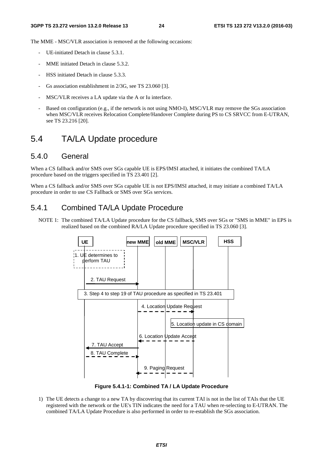The MME - MSC/VLR association is removed at the following occasions:

- UE-initiated Detach in clause 5.3.1.
- MME initiated Detach in clause 5.3.2.
- HSS initiated Detach in clause 5.3.3.
- Gs association establishment in 2/3G, see TS 23.060 [3].
- MSC/VLR receives a LA update via the A or Iu interface.
- Based on configuration (e.g., if the network is not using NMO-I), MSC/VLR may remove the SGs association when MSC/VLR receives Relocation Complete/Handover Complete during PS to CS SRVCC from E-UTRAN, see TS 23.216 [20].

### 5.4 TA/LA Update procedure

#### 5.4.0 General

When a CS fallback and/or SMS over SGs capable UE is EPS/IMSI attached, it initiates the combined TA/LA procedure based on the triggers specified in TS 23.401 [2].

When a CS fallback and/or SMS over SGs capable UE is not EPS/IMSI attached, it may initiate a combined TA/LA procedure in order to use CS Fallback or SMS over SGs services.

#### 5.4.1 Combined TA/LA Update Procedure

NOTE 1: The combined TA/LA Update procedure for the CS fallback, SMS over SGs or "SMS in MME" in EPS is realized based on the combined RA/LA Update procedure specified in TS 23.060 [3].



**Figure 5.4.1-1: Combined TA / LA Update Procedure** 

1) The UE detects a change to a new TA by discovering that its current TAI is not in the list of TAIs that the UE registered with the network or the UE's TIN indicates the need for a TAU when re-selecting to E-UTRAN. The combined TA/LA Update Procedure is also performed in order to re-establish the SGs association.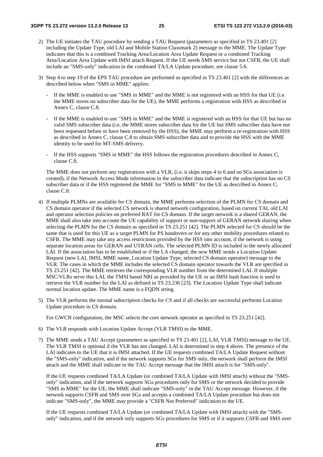- 2) The UE initiates the TAU procedure by sending a TAU Request (parameters as specified in TS 23.401 [2] including the Update Type, old LAI and Mobile Station Classmark 2) message to the MME. The Update Type indicates that this is a combined Tracking Area/Location Area Update Request or a combined Tracking Area/Location Area Update with IMSI attach Request. If the UE needs SMS service but not CSFB, the UE shall include an "SMS-only" indication in the combined TA/LA Update procedure, see clause 5.6.
- 3) Step 4 to step 19 of the EPS TAU procedure are performed as specified in TS 23.401 [2] with the differences as described below when "SMS in MME" applies:
	- If the MME is enabled to use "SMS in MME" and the MME is not registered with an HSS for that UE (i.e. the MME stores no subscriber data for the UE), the MME performs a registration with HSS as described in Annex C, clause C.8.
	- If the MME is enabled to use "SMS in MME" and the MME is registered with an HSS for that UE but has no valid SMS subscriber data (i.e. the MME stores subscriber data for the UE but SMS subscriber data have not been requested before or have been removed by the HSS), the MME may perform a re-registration with HSS as described in Annex C, clause C.8 to obtain SMS subscriber data and to provide the HSS with the MME identity to be used for MT-SMS delivery.
	- If the HSS supports "SMS in MME" the HSS follows the registration procedures described in Annex C, clause C.8.

 The MME does not perform any registrations with a VLR, (i.e. it skips steps 4 to 6 and no SGs association is created), if the Network Access Mode information in the subscriber data indicate that the subscription has no CS subscriber data or if the HSS registered the MME for "SMS in MME" for the UE as described in Annex C, clause C.8.

- 4) If multiple PLMNs are available for CS domain, the MME performs selection of the PLMN for CS domain and CS domain operator if the selected CS network is shared network configuration, based on current TAI, old LAI and operator selection policies on preferred RAT for CS domain. If the target network is a shared GERAN, the MME shall also take into account the UE capability of support or non-support of GERAN network sharing when selecting the PLMN for the CS domain as specified in TS 23.251 [42]. The PLMN selected for CS should be the same that is used for this UE as a target PLMN for PS handovers or for any other mobility procedures related to CSFB. The MME may take any access restrictions provided by the HSS into account, if the network is using separate location areas for GERAN and UTRAN cells. The selected PLMN ID is included in the newly allocated LAI. If the association has to be established or if the LA changed, the new MME sends a Location Update Request (new LAI, IMSI, MME name, Location Update Type, selected CS domain operator) message to the VLR. The cases in which the MME includes the selected CS domain operator towards the VLR are specified in TS 23.251 [42]. The MME retrieves the corresponding VLR number from the determined LAI. If multiple MSC/VLRs serve this LAI, the TMSI based NRI as provided by the UE or an IMSI hash function is used to retrieve the VLR number for the LAI as defined in TS 23.236 [23]. The Location Update Type shall indicate normal location update. The MME name is a FODN string.
- 5) The VLR performs the normal subscription checks for CS and if all checks are successful performs Location Update procedure in CS domain.

For GWCN configuration, the MSC selects the core network operator as specified in TS 23.251 [42].

- 6) The VLR responds with Location Update Accept (VLR TMSI) to the MME.
- 7) The MME sends a TAU Accept (parameters as specified in TS 23.401 [2], LAI, VLR TMSI) message to the UE. The VLR TMSI is optional if the VLR has not changed. LAI is determined in step 4 above. The presence of the LAI indicates to the UE that it is IMSI attached. If the UE requests combined TA/LA Update Request without the "SMS-only" indication, and if the network supports SGs for SMS only, the network shall perform the IMSI attach and the MME shall indicate in the TAU Accept message that the IMSI attach is for "SMS-only".

 If the UE requests combined TA/LA Update (or combined TA/LA Update with IMSI attach) without the "SMSonly" indication, and if the network supports SGs procedures only for SMS or the network decided to provide "SMS in MME" for the UE, the MME shall indicate "SMS-only" in the TAU Accept message. However, if the network supports CSFB and SMS over SGs and accepts a combined TA/LA Update procedure but does not indicate "SMS-only", the MME may provide a "CSFB Not Preferred" indication to the UE.

 If the UE requests combined TA/LA Update (or combined TA/LA Update with IMSI attach) with the "SMSonly" indication, and if the network only supports SGs procedures for SMS or if it supports CSFB and SMS over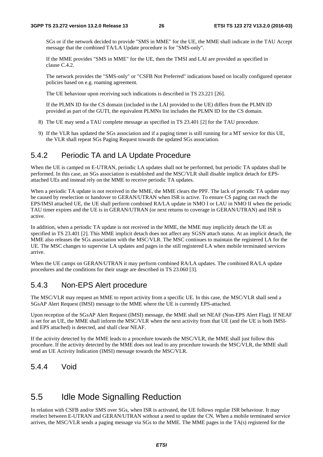SGs or if the network decided to provide "SMS in MME" for the UE, the MME shall indicate in the TAU Accept message that the combined TA/LA Update procedure is for "SMS-only".

 If the MME provides "SMS in MME" for the UE, then the TMSI and LAI are provided as specified in clause C.4.2.

 The network provides the "SMS-only" or "CSFB Not Preferred" indications based on locally configured operator policies based on e.g. roaming agreement.

The UE behaviour upon receiving such indications is described in TS 23.221 [26].

 If the PLMN ID for the CS domain (included in the LAI provided to the UE) differs from the PLMN ID provided as part of the GUTI, the equivalent PLMNs list includes the PLMN ID for the CS domain.

- 8) The UE may send a TAU complete message as specified in TS 23.401 [2] for the TAU procedure.
- 9) If the VLR has updated the SGs association and if a paging timer is still running for a MT service for this UE, the VLR shall repeat SGs Paging Request towards the updated SGs association.

#### 5.4.2 Periodic TA and LA Update Procedure

When the UE is camped on E-UTRAN, periodic LA updates shall not be performed, but periodic TA updates shall be performed. In this case, an SGs association is established and the MSC/VLR shall disable implicit detach for EPSattached UEs and instead rely on the MME to receive periodic TA updates.

When a periodic TA update is not received in the MME, the MME clears the PPF. The lack of periodic TA update may be caused by reselection or handover to GERAN/UTRAN when ISR is active. To ensure CS paging can reach the EPS/IMSI attached UE, the UE shall perform combined RA/LA update in NMO I or LAU in NMO II when the periodic TAU timer expires and the UE is in GERAN/UTRAN (or next returns to coverage in GERAN/UTRAN) and ISR is active.

In addition, when a periodic TA update is not received in the MME, the MME may implicitly detach the UE as specified in TS 23.401 [2]. This MME implicit detach does not affect any SGSN attach status. At an implicit detach, the MME also releases the SGs association with the MSC/VLR. The MSC continues to maintain the registered LA for the UE. The MSC changes to supervise LA updates and pages in the still registered LA when mobile terminated services arrive.

When the UE camps on GERAN/UTRAN it may perform combined RA/LA updates. The combined RA/LA update procedures and the conditions for their usage are described in TS 23.060 [3].

#### 5.4.3 Non-EPS Alert procedure

The MSC/VLR may request an MME to report activity from a specific UE. In this case, the MSC/VLR shall send a SGsAP Alert Request (IMSI) message to the MME where the UE is currently EPS-attached.

Upon reception of the SGsAP Alert Request (IMSI) message, the MME shall set NEAF (Non-EPS Alert Flag). If NEAF is set for an UE, the MME shall inform the MSC/VLR when the next activity from that UE (and the UE is both IMSIand EPS attached) is detected, and shall clear NEAF.

If the activity detected by the MME leads to a procedure towards the MSC/VLR, the MME shall just follow this procedure. If the activity detected by the MME does not lead to any procedure towards the MSC/VLR, the MME shall send an UE Activity Indication (IMSI) message towards the MSC/VLR.

#### 5.4.4 Void

### 5.5 Idle Mode Signalling Reduction

In relation with CSFB and/or SMS over SGs, when ISR is activated, the UE follows regular ISR behaviour. It may reselect between E-UTRAN and GERAN/UTRAN without a need to update the CN. When a mobile terminated service arrives, the MSC/VLR sends a paging message via SGs to the MME. The MME pages in the TA(s) registered for the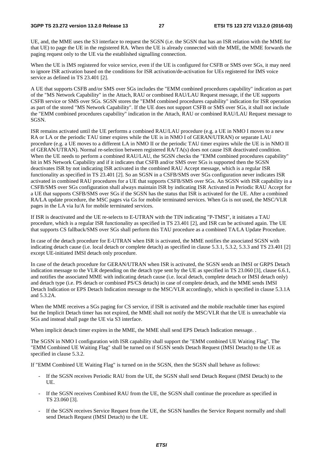UE, and, the MME uses the S3 interface to request the SGSN (i.e. the SGSN that has an ISR relation with the MME for that UE) to page the UE in the registered RA. When the UE is already connected with the MME, the MME forwards the paging request only to the UE via the established signalling connection.

When the UE is IMS registered for voice service, even if the UE is configured for CSFB or SMS over SGs, it may need to ignore ISR activation based on the conditions for ISR activation/de-activation for UEs registered for IMS voice service as defined in TS 23.401 [2].

A UE that supports CSFB and/or SMS over SGs includes the "EMM combined procedures capability" indication as part of the "MS Network Capability" in the Attach, RAU or combined RAU/LAU Request message, if the UE supports CSFB service or SMS over SGs. SGSN stores the "EMM combined procedures capability" indication for ISR operation as part of the stored "MS Network Capability". If the UE does not support CSFB or SMS over SGs, it shall not include the "EMM combined procedures capability" indication in the Attach, RAU or combined RAU/LAU Request message to SGSN.

ISR remains activated until the UE performs a combined RAU/LAU procedure (e.g. a UE in NMO I moves to a new RA or LA or the periodic TAU timer expires while the UE is in NMO I of GERAN/UTRAN) or separate LAU procedure (e.g. a UE moves to a different LA in NMO II or the periodic TAU timer expires while the UE is in NMO II of GERAN/UTRAN). Normal re-selection between registered RA/TA(s) does not cause ISR deactivated condition. When the UE needs to perform a combined RAU/LAU, the SGSN checks the "EMM combined procedures capability" bit in MS Network Capability and if it indicates that CSFB and/or SMS over SGs is supported then the SGSN deactivates ISR by not indicating ISR activated in the combined RAU Accept message, which is a regular ISR functionality as specified in TS 23.401 [2]. So an SGSN in a CSFB/SMS over SGs configuration never indicates ISR activated in combined RAU procedures for a UE that supports CSFB/SMS over SGs. An SGSN with ISR capability in a CSFB/SMS over SGs configuration shall always maintain ISR by indicating ISR Activated in Periodic RAU Accept for a UE that supports CSFB/SMS over SGs if the SGSN has the status that ISR is activated for the UE. After a combined RA/LA update procedure, the MSC pages via Gs for mobile terminated services. When Gs is not used, the MSC/VLR pages in the LA via Iu/A for mobile terminated services.

If ISR is deactivated and the UE re-selects to E-UTRAN with the TIN indicating "P-TMSI", it initiates a TAU procedure, which is a regular ISR functionality as specified in TS 23.401 [2], and ISR can be activated again. The UE that supports CS fallback/SMS over SGs shall perform this TAU procedure as a combined TA/LA Update Procedure.

In case of the detach procedure for E-UTRAN when ISR is activated, the MME notifies the associated SGSN with indicating detach cause (i.e. local detach or complete detach) as specified in clause 5.3.1, 5.3.2, 5.3.3 and TS 23.401 [2] except UE-initiated IMSI detach only procedure.

In case of the detach procedure for GERAN/UTRAN when ISR is activated, the SGSN sends an IMSI or GRPS Detach indication message to the VLR depending on the detach type sent by the UE as specified in TS 23.060 [3], clause 6.6.1, and notifies the associated MME with indicating detach cause (i.e. local detach, complete detach or IMSI detach only) and detach type (i.e. PS detach or combined PS/CS detach) in case of complete detach, and the MME sends IMSI Detach Indication or EPS Detach Indication message to the MSC/VLR accordingly, which is specified in clause 5.3.1A and 5.3.2A.

When the MME receives a SGs paging for CS service, if ISR is activated and the mobile reachable timer has expired but the Implicit Detach timer has not expired, the MME shall not notify the MSC/VLR that the UE is unreachable via SGs and instead shall page the UE via S3 interface.

When implicit detach timer expires in the MME, the MME shall send EPS Detach Indication message. .

The SGSN in NMO I configuration with ISR capability shall support the "EMM combined UE Waiting Flag". The "EMM Combined UE Waiting Flag" shall be turned on if SGSN sends Detach Request (IMSI Detach) to the UE as specified in clause 5.3.2.

If "EMM Combined UE Waiting Flag" is turned on in the SGSN, then the SGSN shall behave as follows:

- If the SGSN receives Periodic RAU from the UE, the SGSN shall send Detach Request (IMSI Detach) to the UE.
- If the SGSN receives Combined RAU from the UE, the SGSN shall continue the procedure as specified in TS 23.060 [3].
- If the SGSN receives Service Request from the UE, the SGSN handles the Service Request normally and shall send Detach Request (IMSI Detach) to the UE.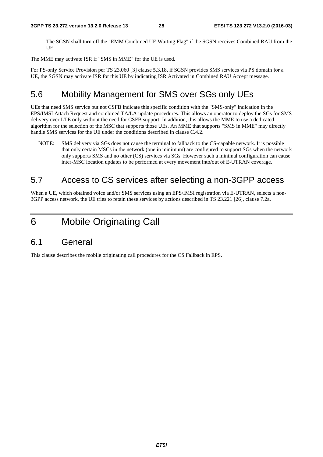The SGSN shall turn off the "EMM Combined UE Waiting Flag" if the SGSN receives Combined RAU from the UE.

The MME may activate ISR if "SMS in MME" for the UE is used.

For PS-only Service Provision per TS 23.060 [3] clause 5.3.18, if SGSN provides SMS services via PS domain for a UE, the SGSN may activate ISR for this UE by indicating ISR Activated in Combined RAU Accept message.

# 5.6 Mobility Management for SMS over SGs only UEs

UEs that need SMS service but not CSFB indicate this specific condition with the "SMS-only" indication in the EPS/IMSI Attach Request and combined TA/LA update procedures. This allows an operator to deploy the SGs for SMS delivery over LTE only without the need for CSFB support. In addition, this allows the MME to use a dedicated algorithm for the selection of the MSC that supports those UEs. An MME that supports "SMS in MME" may directly handle SMS services for the UE under the conditions described in clause C.4.2.

NOTE: SMS delivery via SGs does not cause the terminal to fallback to the CS-capable network. It is possible that only certain MSCs in the network (one in minimum) are configured to support SGs when the network only supports SMS and no other (CS) services via SGs. However such a minimal configuration can cause inter-MSC location updates to be performed at every movement into/out of E-UTRAN coverage.

# 5.7 Access to CS services after selecting a non-3GPP access

When a UE, which obtained voice and/or SMS services using an EPS/IMSI registration via E-UTRAN, selects a non-3GPP access network, the UE tries to retain these services by actions described in TS 23.221 [26], clause 7.2a.

6 Mobile Originating Call

### 6.1 General

This clause describes the mobile originating call procedures for the CS Fallback in EPS.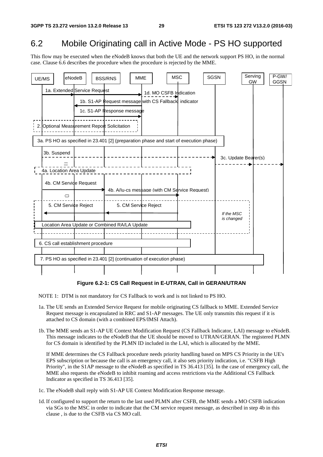### 6.2 Mobile Originating call in Active Mode - PS HO supported

This flow may be executed when the eNodeB knows that both the UE and the network support PS HO, in the normal case. Clause 6.6 describes the procedure when the procedure is rejected by the MME.



#### **Figure 6.2-1: CS Call Request in E-UTRAN, Call in GERAN/UTRAN**

NOTE 1: DTM is not mandatory for CS Fallback to work and is not linked to PS HO.

- 1a. The UE sends an Extended Service Request for mobile originating CS fallback to MME. Extended Service Request message is encapsulated in RRC and S1-AP messages. The UE only transmits this request if it is attached to CS domain (with a combined EPS/IMSI Attach).
- 1b. The MME sends an S1-AP UE Context Modification Request (CS Fallback Indicator, LAI) message to eNodeB. This message indicates to the eNodeB that the UE should be moved to UTRAN/GERAN. The registered PLMN for CS domain is identified by the PLMN ID included in the LAI, which is allocated by the MME.

 If MME determines the CS Fallback procedure needs priority handling based on MPS CS Priority in the UE's EPS subscription or because the call is an emergency call, it also sets priority indication, i.e. "CSFB High Priority", in the S1AP message to the eNodeB as specified in TS 36.413 [35]. In the case of emergency call, the MME also requests the eNodeB to inhibit roaming and access restrictions via the Additional CS Fallback Indicator as specified in TS 36.413 [35].

1c. The eNodeB shall reply with S1-AP UE Context Modification Response message.

1d. If configured to support the return to the last used PLMN after CSFB, the MME sends a MO CSFB indication via SGs to the MSC in order to indicate that the CM service request message, as described in step 4b in this clause , is due to the CSFB via CS MO call.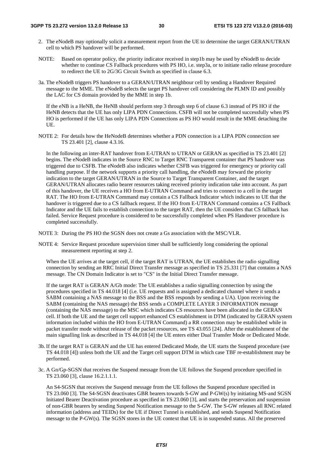- 2. The eNodeB may optionally solicit a measurement report from the UE to determine the target GERAN/UTRAN cell to which PS handover will be performed.
- NOTE: Based on operator policy, the priority indicator received in step1b may be used by eNodeB to decide whether to continue CS Fallback procedures with PS HO, i.e. step3a, or to initiate radio release procedure to redirect the UE to 2G/3G Circuit Switch as specified in clause 6.3.
- 3a. The eNodeB triggers PS handover to a GERAN/UTRAN neighbour cell by sending a Handover Required message to the MME. The eNodeB selects the target PS handover cell considering the PLMN ID and possibly the LAC for CS domain provided by the MME in step 1b.

 If the eNB is a HeNB, the HeNB should perform step 3 through step 6 of clause 6.3 instead of PS HO if the HeNB detects that the UE has only LIPA PDN Connections. CSFB will not be completed successfully when PS HO is performed if the UE has only LIPA PDN Connections as PS HO would result in the MME detaching the UE.

NOTE 2: For details how the HeNodeB determines whether a PDN connection is a LIPA PDN connection see TS 23.401 [2], clause 4.3.16.

 In the following an inter-RAT handover from E-UTRAN to UTRAN or GERAN as specified in TS 23.401 [2] begins. The eNodeB indicates in the Source RNC to Target RNC Transparent container that PS handover was triggered due to CSFB. The eNodeB also indicates whether CSFB was triggered for emergency or priority call handling purpose. If the network supports a priority call handling, the eNodeB may forward the priority indication to the target GERAN/UTRAN in the Source to Target Transparent Container, and the target GERAN/UTRAN allocates radio bearer resources taking received priority indication take into account. As part of this handover, the UE receives a HO from E-UTRAN Command and tries to connect to a cell in the target RAT. The HO from E-UTRAN Command may contain a CS Fallback Indicator which indicates to UE that the handover is triggered due to a CS fallback request. If the HO from E-UTRAN Command contains a CS Fallback Indicator and the UE fails to establish connection to the target RAT, then the UE considers that CS fallback has failed. Service Request procedure is considered to be successfully completed when PS Handover procedure is completed successfully.

- NOTE 3: During the PS HO the SGSN does not create a Gs association with the MSC/VLR.
- NOTE 4: Service Request procedure supervision timer shall be sufficiently long considering the optional measurement reporting at step 2.

When the UE arrives at the target cell, if the target RAT is UTRAN, the UE establishes the radio signalling connection by sending an RRC Initial Direct Transfer message as specified in TS 25.331 [7] that contains a NAS message. The CN Domain Indicator is set to "CS" in the Initial Direct Transfer message.

 If the target RAT is GERAN A/Gb mode: The UE establishes a radio signalling connection by using the procedures specified in TS 44.018 [4] (i.e. UE requests and is assigned a dedicated channel where it sends a SABM containing a NAS message to the BSS and the BSS responds by sending a UA). Upon receiving the SABM (containing the NAS message) the BSS sends a COMPLETE LAYER 3 INFORMATION message (containing the NAS message) to the MSC which indicates CS resources have been allocated in the GERAN cell. If both the UE and the target cell support enhanced CS establishment in DTM (indicated by GERAN system information included within the HO from E-UTRAN Command) a RR connection may be established while in packet transfer mode without release of the packet resources, see TS 43.055 [24]. After the establishment of the main signalling link as described in TS 44.018 [4] the UE enters either Dual Transfer Mode or Dedicated Mode.

- 3b. If the target RAT is GERAN and the UE has entered Dedicated Mode, the UE starts the Suspend procedure (see TS 44.018 [4]) unless both the UE and the Target cell support DTM in which case TBF re-establishment may be performed.
- 3c. A Gn/Gp-SGSN that receives the Suspend message from the UE follows the Suspend procedure specified in TS 23.060 [3], clause 16.2.1.1.1.

 An S4-SGSN that receives the Suspend message from the UE follows the Suspend procedure specified in TS 23.060 [3]. The S4-SGSN deactivates GBR bearers towards S-GW and P-GW(s) by initiating MS-and SGSN Initiated Bearer Deactivation procedure as specified in TS 23.060 [3], and starts the preservation and suspension of non-GBR bearers by sending Suspend Notification message to the S-GW. The S-GW releases all RNC related information (address and TEIDs) for the UE if Direct Tunnel is established, and sends Suspend Notification message to the P-GW(s). The SGSN stores in the UE context that UE is in suspended status. All the preserved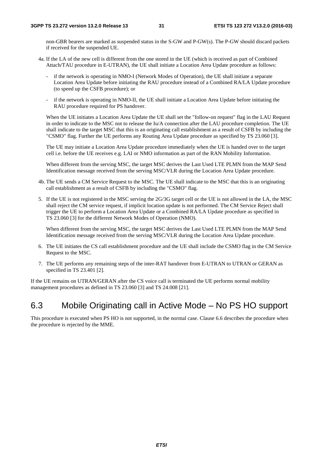non-GBR bearers are marked as suspended status in the S-GW and P-GW(s). The P-GW should discard packets if received for the suspended UE.

- 4a. If the LA of the new cell is different from the one stored in the UE (which is received as part of Combined Attach/TAU procedure in E-UTRAN), the UE shall initiate a Location Area Update procedure as follows:
	- if the network is operating in NMO-I (Network Modes of Operation), the UE shall initiate a separate Location Area Update before initiating the RAU procedure instead of a Combined RA/LA Update procedure (to speed up the CSFB procedure); or
	- if the network is operating in NMO-II, the UE shall initiate a Location Area Update before initiating the RAU procedure required for PS handover.

 When the UE initiates a Location Area Update the UE shall set the "follow-on request" flag in the LAU Request in order to indicate to the MSC not to release the Iu/A connection after the LAU procedure completion. The UE shall indicate to the target MSC that this is an originating call establishment as a result of CSFB by including the "CSMO" flag. Further the UE performs any Routing Area Update procedure as specified by TS 23.060 [3].

 The UE may initiate a Location Area Update procedure immediately when the UE is handed over to the target cell i.e. before the UE receives e.g. LAI or NMO information as part of the RAN Mobility Information.

 When different from the serving MSC, the target MSC derives the Last Used LTE PLMN from the MAP Send Identification message received from the serving MSC/VLR during the Location Area Update procedure.

- 4b. The UE sends a CM Service Request to the MSC. The UE shall indicate to the MSC that this is an originating call establishment as a result of CSFB by including the "CSMO" flag.
- 5. If the UE is not registered in the MSC serving the 2G/3G target cell or the UE is not allowed in the LA, the MSC shall reject the CM service request, if implicit location update is not performed. The CM Service Reject shall trigger the UE to perform a Location Area Update or a Combined RA/LA Update procedure as specified in TS 23.060 [3] for the different Network Modes of Operation (NMO).

 When different from the serving MSC, the target MSC derives the Last Used LTE PLMN from the MAP Send Identification message received from the serving MSC/VLR during the Location Area Update procedure.

- 6. The UE initiates the CS call establishment procedure and the UE shall include the CSMO flag in the CM Service Request to the MSC.
- 7. The UE performs any remaining steps of the inter-RAT handover from E-UTRAN to UTRAN or GERAN as specified in TS 23.401 [2].

If the UE remains on UTRAN/GERAN after the CS voice call is terminated the UE performs normal mobility management procedures as defined in TS 23.060 [3] and TS 24.008 [21].

### 6.3 Mobile Originating call in Active Mode – No PS HO support

This procedure is executed when PS HO is not supported, in the normal case. Clause 6.6 describes the procedure when the procedure is rejected by the MME.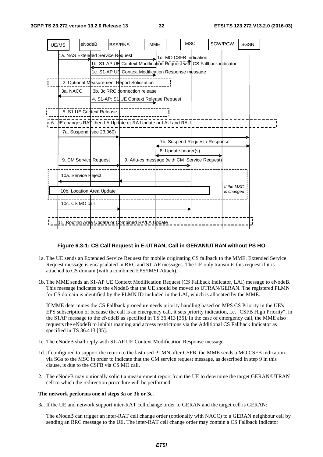

#### **Figure 6.3-1: CS Call Request in E-UTRAN, Call in GERAN/UTRAN without PS HO**

- 1a. The UE sends an Extended Service Request for mobile originating CS fallback to the MME. Extended Service Request message is encapsulated in RRC and S1-AP messages. The UE only transmits this request if it is attached to CS domain (with a combined EPS/IMSI Attach).
- 1b. The MME sends an S1-AP UE Context Modification Request (CS Fallback Indicator, LAI) message to eNodeB. This message indicates to the eNodeB that the UE should be moved to UTRAN/GERAN. The registered PLMN for CS domain is identified by the PLMN ID included in the LAI, which is allocated by the MME.

 If MME determines the CS Fallback procedure needs priority handling based on MPS CS Priority in the UE's EPS subscription or because the call is an emergency call, it sets priority indication, i.e. "CSFB High Priority", in the S1AP message to the eNodeB as specified in TS 36.413 [35]. In the case of emergency call, the MME also requests the eNodeB to inhibit roaming and access restrictions via the Additional CS Fallback Indicator as specified in TS 36.413 [35].

- 1c. The eNodeB shall reply with S1-AP UE Context Modification Response message.
- 1d. If configured to support the return to the last used PLMN after CSFB, the MME sends a MO CSFB indication via SGs to the MSC in order to indicate that the CM service request message, as described in step 9 in this clause, is due to the CSFB via CS MO call.
- 2. The eNodeB may optionally solicit a measurement report from the UE to determine the target GERAN/UTRAN cell to which the redirection procedure will be performed.

#### **The network performs one of steps 3a or 3b or 3c.**

3a. If the UE and network support inter-RAT cell change order to GERAN and the target cell is GERAN:

 The eNodeB can trigger an inter-RAT cell change order (optionally with NACC) to a GERAN neighbour cell by sending an RRC message to the UE. The inter-RAT cell change order may contain a CS Fallback Indicator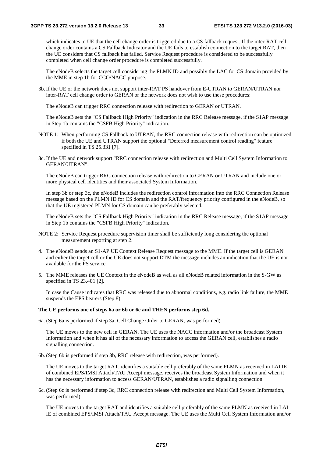which indicates to UE that the cell change order is triggered due to a CS fallback request. If the inter-RAT cell change order contains a CS Fallback Indicator and the UE fails to establish connection to the target RAT, then the UE considers that CS fallback has failed. Service Request procedure is considered to be successfully completed when cell change order procedure is completed successfully.

 The eNodeB selects the target cell considering the PLMN ID and possibly the LAC for CS domain provided by the MME in step 1b for CCO/NACC purpose.

3b. If the UE or the network does not support inter-RAT PS handover from E-UTRAN to GERAN/UTRAN nor inter-RAT cell change order to GERAN or the network does not wish to use these procedures:

The eNodeB can trigger RRC connection release with redirection to GERAN or UTRAN.

 The eNodeB sets the "CS Fallback High Priority" indication in the RRC Release message, if the S1AP message in Step 1b contains the "CSFB High Priority" indication.

- NOTE 1: When performing CS Fallback to UTRAN, the RRC connection release with redirection can be optimized if both the UE and UTRAN support the optional "Deferred measurement control reading" feature specified in TS 25.331 [7].
- 3c. If the UE and network support "RRC connection release with redirection and Multi Cell System Information to GERAN/UTRAN":

 The eNodeB can trigger RRC connection release with redirection to GERAN or UTRAN and include one or more physical cell identities and their associated System Information.

 In step 3b or step 3c, the eNodeB includes the redirection control information into the RRC Connection Release message based on the PLMN ID for CS domain and the RAT/frequency priority configured in the eNodeB, so that the UE registered PLMN for CS domain can be preferably selected.

 The eNodeB sets the "CS Fallback High Priority" indication in the RRC Release message, if the S1AP message in Step 1b contains the "CSFB High Priority" indication.

- NOTE 2: Service Request procedure supervision timer shall be sufficiently long considering the optional measurement reporting at step 2.
- 4. The eNodeB sends an S1-AP UE Context Release Request message to the MME. If the target cell is GERAN and either the target cell or the UE does not support DTM the message includes an indication that the UE is not available for the PS service.
- 5. The MME releases the UE Context in the eNodeB as well as all eNodeB related information in the S-GW as specified in TS 23.401 [2].

 In case the Cause indicates that RRC was released due to abnormal conditions, e.g. radio link failure, the MME suspends the EPS bearers (Step 8).

#### **The UE performs one of steps 6a or 6b or 6c and THEN performs step 6d.**

6a. (Step 6a is performed if step 3a, Cell Change Order to GERAN, was performed)

 The UE moves to the new cell in GERAN. The UE uses the NACC information and/or the broadcast System Information and when it has all of the necessary information to access the GERAN cell, establishes a radio signalling connection.

6b. (Step 6b is performed if step 3b, RRC release with redirection, was performed).

 The UE moves to the target RAT, identifies a suitable cell preferably of the same PLMN as received in LAI IE of combined EPS/IMSI Attach/TAU Accept message, receives the broadcast System Information and when it has the necessary information to access GERAN/UTRAN, establishes a radio signalling connection.

6c. (Step 6c is performed if step 3c, RRC connection release with redirection and Multi Cell System Information, was performed).

 The UE moves to the target RAT and identifies a suitable cell preferably of the same PLMN as received in LAI IE of combined EPS/IMSI Attach/TAU Accept message. The UE uses the Multi Cell System Information and/or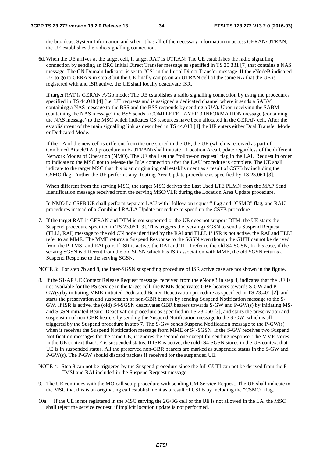the broadcast System Information and when it has all of the necessary information to access GERAN/UTRAN, the UE establishes the radio signalling connection.

6d. When the UE arrives at the target cell, if target RAT is UTRAN: The UE establishes the radio signalling connection by sending an RRC Initial Direct Transfer message as specified in TS 25.331 [7] that contains a NAS message. The CN Domain Indicator is set to "CS" in the Initial Direct Transfer message. If the eNodeB indicated UE to go to GERAN in step 3 but the UE finally camps on an UTRAN cell of the same RA that the UE is registered with and ISR active, the UE shall locally deactivate ISR.

 If target RAT is GERAN A/Gb mode: The UE establishes a radio signalling connection by using the procedures specified in TS 44.018 [4] (i.e. UE requests and is assigned a dedicated channel where it sends a SABM containing a NAS message to the BSS and the BSS responds by sending a UA). Upon receiving the SABM (containing the NAS message) the BSS sends a COMPLETE LAYER 3 INFORMATION message (containing the NAS message) to the MSC which indicates CS resources have been allocated in the GERAN cell. After the establishment of the main signalling link as described in TS 44.018 [4] the UE enters either Dual Transfer Mode or Dedicated Mode.

 If the LA of the new cell is different from the one stored in the UE, the UE (which is received as part of Combined Attach/TAU procedure in E-UTRAN) shall initiate a Location Area Update regardless of the different Network Modes of Operation (NMO). The UE shall set the "follow-on request" flag in the LAU Request in order to indicate to the MSC not to release the Iu/A connection after the LAU procedure is complete. The UE shall indicate to the target MSC that this is an originating call establishment as a result of CSFB by including the CSMO flag. Further the UE performs any Routing Area Update procedure as specified by TS 23.060 [3].

 When different from the serving MSC, the target MSC derives the Last Used LTE PLMN from the MAP Send Identification message received from the serving MSC/VLR during the Location Area Update procedure.

 In NMO I a CSFB UE shall perform separate LAU with "follow-on request" flag and "CSMO" flag, and RAU procedures instead of a Combined RA/LA Update procedure to speed up the CSFB procedure.

7. If the target RAT is GERAN and DTM is not supported or the UE does not support DTM, the UE starts the Suspend procedure specified in TS 23.060 [3]. This triggers the (serving) SGSN to send a Suspend Request (TLLI, RAI) message to the old CN node identified by the RAI and TLLI. If ISR is not active, the RAI and TLLI refer to an MME. The MME returns a Suspend Response to the SGSN even though the GUTI cannot be derived from the P-TMSI and RAI pair. If ISR is active, the RAI and TLLI refer to the old S4-SGSN, In this case, if the serving SGSN is different from the old SGSN which has ISR association with MME, the old SGSN returns a Suspend Response to the serving SGSN.

NOTE 3: For step 7b and 8, the inter-SGSN suspending procedure of ISR active case are not shown in the figure.

- 8. If the S1-AP UE Context Release Request message, received from the eNodeB in step 4, indicates that the UE is not available for the PS service in the target cell, the MME deactivates GBR bearers towards S-GW and P-GW(s) by initiating MME-initiated Dedicated Bearer Deactivation procedure as specified in TS 23.401 [2], and starts the preservation and suspension of non-GBR bearers by sending Suspend Notification message to the S-GW. If ISR is active, the (old) S4-SGSN deactivates GBR bearers towards S-GW and P-GW(s) by initiating MSand SGSN initiated Bearer Deactivation procedure as specified in TS 23.060 [3], and starts the preservation and suspension of non-GBR bearers by sending the Suspend Notification message to the S-GW, which is all triggered by the Suspend procedure in step 7. The S-GW sends Suspend Notification message to the P-GW(s) when it receives the Suspend Notification message from MME or S4-SGSN. If the S-GW receives two Suspend Notification messages for the same UE, it ignores the second one except for sending response. The MME stores in the UE context that UE is suspended status. If ISR is active, the (old) S4-SGSN stores in the UE context that UE is in suspended status. All the preserved non-GBR bearers are marked as suspended status in the S-GW and P-GW(s). The P-GW should discard packets if received for the suspended UE.
- NOTE 4: Step 8 can not be triggered by the Suspend procedure since the full GUTI can not be derived from the P-TMSI and RAI included in the Suspend Request message.
- 9. The UE continues with the MO call setup procedure with sending CM Service Request. The UE shall indicate to the MSC that this is an originating call establishment as a result of CSFB by including the "CSMO" flag.
- 10a. If the UE is not registered in the MSC serving the 2G/3G cell or the UE is not allowed in the LA, the MSC shall reject the service request, if implicit location update is not performed.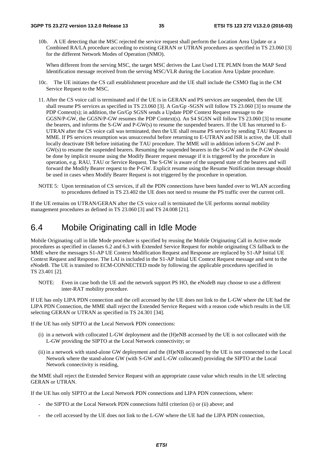10b. A UE detecting that the MSC rejected the service request shall perform the Location Area Update or a Combined RA/LA procedure according to existing GERAN or UTRAN procedures as specified in TS 23.060 [3] for the different Network Modes of Operation (NMO).

 When different from the serving MSC, the target MSC derives the Last Used LTE PLMN from the MAP Send Identification message received from the serving MSC/VLR during the Location Area Update procedure.

- 10c. The UE initiates the CS call establishment procedure and the UE shall include the CSMO flag in the CM Service Request to the MSC.
- 11. After the CS voice call is terminated and if the UE is in GERAN and PS services are suspended, then the UE shall resume PS services as specified in TS 23.060 [3]. A Gn/Gp -SGSN will follow TS 23.060 [3] to resume the PDP Context(s); in addition, the Gn/Gp SGSN sends a Update PDP Context Request message to the GGSN/P-GW, the GGSN/P-GW resumes the PDP Context(s). An S4 SGSN will follow TS 23.060 [3] to resume the bearers, and informs the S-GW and P-GW(s) to resume the suspended bearers. If the UE has returned to E-UTRAN after the CS voice call was terminated, then the UE shall resume PS service by sending TAU Request to MME. If PS services resumption was unsuccessful before returning to E-UTRAN and ISR is active, the UE shall locally deactivate ISR before initiating the TAU procedure. The MME will in addition inform S-GW and P-GW(s) to resume the suspended bearers. Resuming the suspended bearers in the S-GW and in the P-GW should be done by implicit resume using the Modify Bearer request message if it is triggered by the procedure in operation, e.g. RAU, TAU or Service Request. The S-GW is aware of the suspend state of the bearers and will forward the Modify Bearer request to the P-GW. Explicit resume using the Resume Notification message should be used in cases when Modify Bearer Request is not triggered by the procedure in operation.
- NOTE 5: Upon termination of CS services, if all the PDN connections have been handed over to WLAN according to procedures defined in TS 23.402 the UE does not need to resume the PS traffic over the current cell.

If the UE remains on UTRAN/GERAN after the CS voice call is terminated the UE performs normal mobility management procedures as defined in TS 23.060 [3] and TS 24.008 [21].

### 6.4 Mobile Originating call in Idle Mode

Mobile Originating call in Idle Mode procedure is specified by reusing the Mobile Originating Call in Active mode procedures as specified in clauses 6.2 and 6.3 with Extended Service Request for mobile originating CS fallback to the MME where the messages S1-AP UE Context Modification Request and Response are replaced by S1-AP Initial UE Context Request and Response. The LAI is included in the S1-AP Initial UE Context Request message and sent to the eNodeB. The UE is transited to ECM-CONNECTED mode by following the applicable procedures specified in TS 23.401 [2].

NOTE: Even in case both the UE and the network support PS HO, the eNodeB may choose to use a different inter-RAT mobility procedure.

If UE has only LIPA PDN connection and the cell accessed by the UE does not link to the L-GW where the UE had the LIPA PDN Connection, the MME shall reject the Extended Service Request with a reason code which results in the UE selecting GERAN or UTRAN as specified in TS 24.301 [34].

If the UE has only SIPTO at the Local Network PDN connections:

- (i) in a network with collocated L-GW deployment and the (H)eNB accessed by the UE is not collocated with the L-GW providing the SIPTO at the Local Network connectivity; or
- (ii) in a network with stand-alone GW deployment and the (H)eNB accessed by the UE is not connected to the Local Network where the stand-alone GW (with S-GW and L-GW collocated) providing the SIPTO at the Local Network connectivity is residing,

the MME shall reject the Extended Service Request with an appropriate cause value which results in the UE selecting GERAN or UTRAN.

If the UE has only SIPTO at the Local Network PDN connections and LIPA PDN connections, where:

- the SIPTO at the Local Network PDN connections fulfil criterion (i) or (ii) above; and
- the cell accessed by the UE does not link to the L-GW where the UE had the LIPA PDN connection,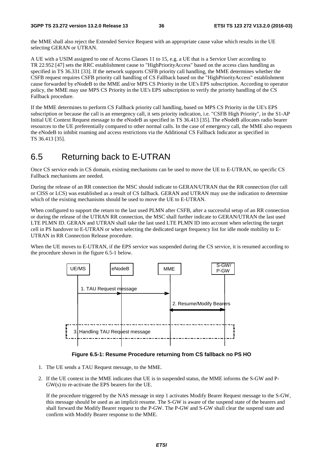the MME shall also reject the Extended Service Request with an appropriate cause value which results in the UE selecting GERAN or UTRAN.

A UE with a USIM assigned to one of Access Classes 11 to 15, e.g. a UE that is a Service User according to TR 22.952 [47] sets the RRC establishment cause to "HighPriorityAccess" based on the access class handling as specified in TS 36.331 [33]. If the network supports CSFB priority call handling, the MME determines whether the CSFB request requires CSFB priority call handling of CS Fallback based on the "HighPriorityAccess" establishment cause forwarded by eNodeB to the MME and/or MPS CS Priority in the UE's EPS subscription. According to operator policy, the MME may use MPS CS Priority in the UE's EPS subscription to verify the priority handling of the CS Fallback procedure.

If the MME determines to perform CS Fallback priority call handling, based on MPS CS Priority in the UE's EPS subscription or because the call is an emergency call, it sets priority indication, i.e. "CSFB High Priority", in the S1-AP Initial UE Context Request message to the eNodeB as specified in TS 36.413 [35]. The eNodeB allocates radio bearer resources to the UE preferentially compared to other normal calls. In the case of emergency call, the MME also requests the eNodeB to inhibit roaming and access restrictions via the Additional CS Fallback Indicator as specified in TS 36.413 [35].

# 6.5 Returning back to E-UTRAN

Once CS service ends in CS domain, existing mechanisms can be used to move the UE to E-UTRAN, no specific CS Fallback mechanisms are needed.

During the release of an RR connection the MSC should indicate to GERAN/UTRAN that the RR connection (for call or CISS or LCS) was established as a result of CS fallback. GERAN and UTRAN may use the indication to determine which of the existing mechanisms should be used to move the UE to E-UTRAN.

When configured to support the return to the last used PLMN after CSFB, after a successful setup of an RR connection or during the release of the UTRAN RR connection, the MSC shall further indicate to GERAN/UTRAN the last used LTE PLMN ID. GERAN and UTRAN shall take the last used LTE PLMN ID into account when selecting the target cell in PS handover to E-UTRAN or when selecting the dedicated target frequency list for idle mode mobility to E-UTRAN in RR Connection Release procedure.

When the UE moves to E-UTRAN, if the EPS service was suspended during the CS service, it is resumed according to the procedure shown in the figure 6.5-1 below.



**Figure 6.5-1: Resume Procedure returning from CS fallback no PS HO** 

- 1. The UE sends a TAU Request message, to the MME.
- 2. If the UE context in the MME indicates that UE is in suspended status, the MME informs the S-GW and P-GW(s) to re-activate the EPS bearers for the UE.

 If the procedure triggered by the NAS message in step 1 activates Modify Bearer Request message to the S-GW, this message should be used as an implicit resume. The S-GW is aware of the suspend state of the bearers and shall forward the Modify Bearer request to the P-GW. The P-GW and S-GW shall clear the suspend state and confirm with Modify Bearer response to the MME.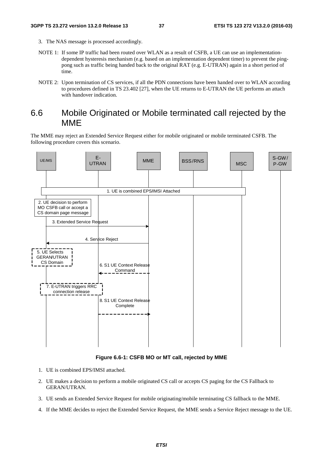- 3. The NAS message is processed accordingly.
- NOTE 1: If some IP traffic had been routed over WLAN as a result of CSFB, a UE can use an implementationdependent hysteresis mechanism (e.g. based on an implementation dependent timer) to prevent the pingpong such as traffic being handed back to the original RAT (e.g. E-UTRAN) again in a short period of time.
- NOTE 2: Upon termination of CS services, if all the PDN connections have been handed over to WLAN according to procedures defined in TS 23.402 [27], when the UE returns to E-UTRAN the UE performs an attach with handover indication.

## 6.6 Mobile Originated or Mobile terminated call rejected by the MME

The MME may reject an Extended Service Request either for mobile originated or mobile terminated CSFB. The following procedure covers this scenario.



#### **Figure 6.6-1: CSFB MO or MT call, rejected by MME**

- 1. UE is combined EPS/IMSI attached.
- 2. UE makes a decision to perform a mobile originated CS call or accepts CS paging for the CS Fallback to GERAN/UTRAN.
- 3. UE sends an Extended Service Request for mobile originating/mobile terminating CS fallback to the MME.
- 4. If the MME decides to reject the Extended Service Request, the MME sends a Service Reject message to the UE.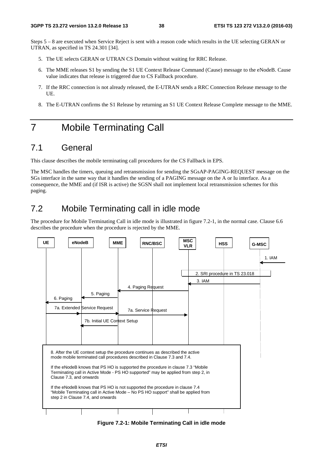Steps 5 – 8 are executed when Service Reject is sent with a reason code which results in the UE selecting GERAN or UTRAN, as specified in TS 24.301 [34].

- 5. The UE selects GERAN or UTRAN CS Domain without waiting for RRC Release.
- 6. The MME releases S1 by sending the S1 UE Context Release Command (Cause) message to the eNodeB. Cause value indicates that release is triggered due to CS Fallback procedure.
- 7. If the RRC connection is not already released, the E-UTRAN sends a RRC Connection Release message to the UE.
- 8. The E-UTRAN confirms the S1 Release by returning an S1 UE Context Release Complete message to the MME.

# 7 Mobile Terminating Call

# 7.1 General

This clause describes the mobile terminating call procedures for the CS Fallback in EPS.

The MSC handles the timers, queuing and retransmission for sending the SGsAP-PAGING-REQUEST message on the SGs interface in the same way that it handles the sending of a PAGING message on the A or Iu interface. As a consequence, the MME and (if ISR is active) the SGSN shall not implement local retransmission schemes for this paging.

# 7.2 Mobile Terminating call in idle mode

The procedure for Mobile Terminating Call in idle mode is illustrated in figure 7.2-1, in the normal case. Clause 6.6 describes the procedure when the procedure is rejected by the MME.



**Figure 7.2-1: Mobile Terminating Call in idle mode**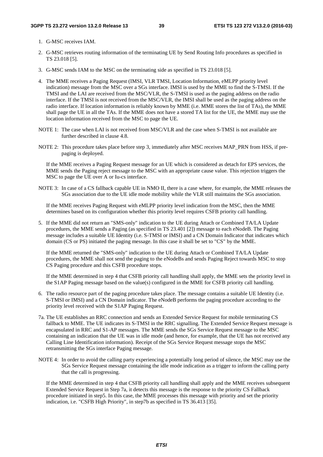- 1. G-MSC receives IAM.
- 2. G-MSC retrieves routing information of the terminating UE by Send Routing Info procedures as specified in TS 23.018 [5].
- 3. G-MSC sends IAM to the MSC on the terminating side as specified in TS 23.018 [5].
- 4. The MME receives a Paging Request (IMSI, VLR TMSI, Location Information, eMLPP priority level indication) message from the MSC over a SGs interface. IMSI is used by the MME to find the S-TMSI. If the TMSI and the LAI are received from the MSC/VLR, the S-TMSI is used as the paging address on the radio interface. If the TMSI is not received from the MSC/VLR, the IMSI shall be used as the paging address on the radio interface. If location information is reliably known by MME (i.e. MME stores the list of TAs), the MME shall page the UE in all the TAs. If the MME does not have a stored TA list for the UE, the MME may use the location information received from the MSC to page the UE.
- NOTE 1: The case when LAI is not received from MSC/VLR and the case when S-TMSI is not available are further described in clause 4.8.
- NOTE 2: This procedure takes place before step 3, immediately after MSC receives MAP\_PRN from HSS, if prepaging is deployed.

 If the MME receives a Paging Request message for an UE which is considered as detach for EPS services, the MME sends the Paging reject message to the MSC with an appropriate cause value. This rejection triggers the MSC to page the UE over A or Iu-cs interface.

NOTE 3: In case of a CS fallback capable UE in NMO II, there is a case where, for example, the MME releases the SGs association due to the UE idle mode mobility while the VLR still maintains the SGs association.

 If the MME receives Paging Request with eMLPP priority level indication from the MSC, then the MME determines based on its configuration whether this priority level requires CSFB priority call handling.

5. If the MME did not return an "SMS-only" indication to the UE during Attach or Combined TA/LA Update procedures, the MME sends a Paging (as specified in TS 23.401 [2]) message to each eNodeB. The Paging message includes a suitable UE Identity (i.e. S-TMSI or IMSI) and a CN Domain Indicator that indicates which domain (CS or PS) initiated the paging message. In this case it shall be set to "CS" by the MME.

 If the MME returned the "SMS-only" indication to the UE during Attach or Combined TA/LA Update procedures, the MME shall not send the paging to the eNodeBs and sends Paging Reject towards MSC to stop CS Paging procedure and this CSFB procedure stops.

 If the MME determined in step 4 that CSFB priority call handling shall apply, the MME sets the priority level in the S1AP Paging message based on the value(s) configured in the MME for CSFB priority call handling.

- 6. The radio resource part of the paging procedure takes place. The message contains a suitable UE Identity (i.e. S-TMSI or IMSI) and a CN Domain indicator. The eNodeB performs the paging procedure according to the priority level received with the S1AP Paging Request.
- 7a. The UE establishes an RRC connection and sends an Extended Service Request for mobile terminating CS fallback to MME. The UE indicates its S-TMSI in the RRC signalling. The Extended Service Request message is encapsulated in RRC and S1-AP messages. The MME sends the SGs Service Request message to the MSC containing an indication that the UE was in idle mode (and hence, for example, that the UE has not received any Calling Line Identification information). Receipt of the SGs Service Request message stops the MSC retransmitting the SGs interface Paging message.
- NOTE 4: In order to avoid the calling party experiencing a potentially long period of silence, the MSC may use the SGs Service Request message containing the idle mode indication as a trigger to inform the calling party that the call is progressing.

 If the MME determined in step 4 that CSFB priority call handling shall apply and the MME receives subsequent Extended Service Request in Step 7a, it detects this message is the response to the priority CS Fallback procedure initiated in step5. In this case, the MME processes this message with priority and set the priority indication, i.e. "CSFB High Priority", in step7b as specified in TS 36.413 [35].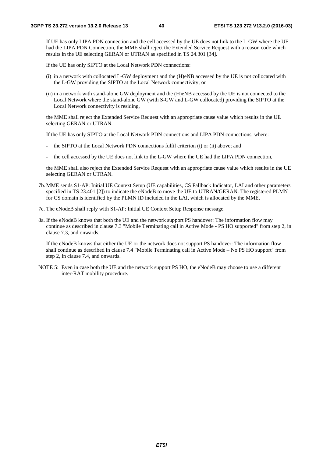If UE has only LIPA PDN connection and the cell accessed by the UE does not link to the L-GW where the UE had the LIPA PDN Connection, the MME shall reject the Extended Service Request with a reason code which results in the UE selecting GERAN or UTRAN as specified in TS 24.301 [34].

If the UE has only SIPTO at the Local Network PDN connections:

- (i) in a network with collocated L-GW deployment and the (H)eNB accessed by the UE is not collocated with the L-GW providing the SIPTO at the Local Network connectivity; or
- (ii) in a network with stand-alone GW deployment and the (H)eNB accessed by the UE is not connected to the Local Network where the stand-alone GW (with S-GW and L-GW collocated) providing the SIPTO at the Local Network connectivity is residing,

 the MME shall reject the Extended Service Request with an appropriate cause value which results in the UE selecting GERAN or UTRAN.

If the UE has only SIPTO at the Local Network PDN connections and LIPA PDN connections, where:

- the SIPTO at the Local Network PDN connections fulfil criterion (i) or (ii) above; and
- the cell accessed by the UE does not link to the L-GW where the UE had the LIPA PDN connection,

 the MME shall also reject the Extended Service Request with an appropriate cause value which results in the UE selecting GERAN or UTRAN.

- 7b. MME sends S1-AP: Initial UE Context Setup (UE capabilities, CS Fallback Indicator, LAI and other parameters specified in TS 23.401 [2]) to indicate the eNodeB to move the UE to UTRAN/GERAN. The registered PLMN for CS domain is identified by the PLMN ID included in the LAI, which is allocated by the MME.
- 7c. The eNodeB shall reply with S1-AP: Initial UE Context Setup Response message.
- 8a. If the eNodeB knows that both the UE and the network support PS handover: The information flow may continue as described in clause 7.3 "Mobile Terminating call in Active Mode - PS HO supported" from step 2, in clause 7.3, and onwards.
- . If the eNodeB knows that either the UE or the network does not support PS handover: The information flow shall continue as described in clause 7.4 "Mobile Terminating call in Active Mode – No PS HO support" from step 2, in clause 7.4, and onwards.
- NOTE 5: Even in case both the UE and the network support PS HO, the eNodeB may choose to use a different inter-RAT mobility procedure.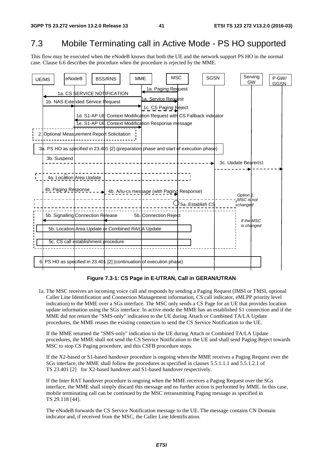# 7.3 Mobile Terminating call in Active Mode - PS HO supported

This flow may be executed when the eNodeB knows that both the UE and the network support PS HO in the normal case. Clause 6.6 describes the procedure when the procedure is rejected by the MME.



#### **Figure 7.3-1: CS Page in E-UTRAN, Call in GERAN/UTRAN**

1a. The MSC receives an incoming voice call and responds by sending a Paging Request (IMSI or TMSI, optional Caller Line Identification and Connection Management information, CS call indicator, eMLPP priority level indication) to the MME over a SGs interface. The MSC only sends a CS Page for an UE that provides location update information using the SGs interface. In active mode the MME has an established S1 connection and if the MME did not return the "SMS-only" indication to the UE during Attach or Combined TA/LA Update procedures, the MME reuses the existing connection to send the CS Service Notification to the UE.

 If the MME returned the "SMS-only" indication to the UE during Attach or Combined TA/LA Update procedures, the MME shall not send the CS Service Notification to the UE and shall send Paging Reject towards MSC to stop CS Paging procedure, and this CSFB procedure stops.

 If the X2-based or S1-based handover procedure is ongoing when the MME receives a Paging Request over the SGs interface, the MME shall follow the procedures as specified in clauses 5.5.1.1.1 and 5.5.1.2.1 of TS 23.401 [2] for X2-based handover and S1-based handover respectively.

 If the Inter RAT handover procedure is ongoing when the MME receives a Paging Request over the SGs interface, the MME shall simply discard this message and no further action is performed by MME. In this case, mobile terminating call can be continued by the MSC retransmitting Paging message as specified in TS 29.118 [44].

 The eNodeB forwards the CS Service Notification message to the UE. The message contains CN Domain indicator and, if received from the MSC, the Caller Line Identification.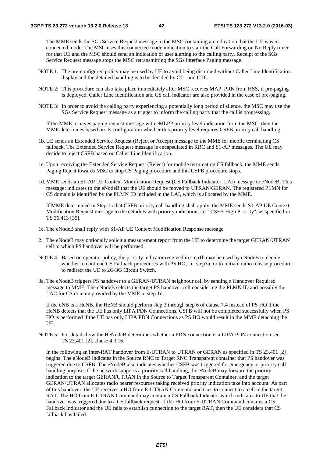The MME sends the SGs Service Request message to the MSC containing an indication that the UE was in connected mode. The MSC uses this connected mode indication to start the Call Forwarding on No Reply timer for that UE and the MSC should send an indication of user alerting to the calling party. Receipt of the SGs Service Request message stops the MSC retransmitting the SGs interface Paging message.

- NOTE 1: The pre-configured policy may be used by UE to avoid being disturbed without Caller Line Identification display and the detailed handling is to be decided by CT1 and CT6.
- NOTE 2: This procedure can also take place immediately after MSC receives MAP\_PRN from HSS, if pre-paging is deployed. Caller Line Identification and CS call indicator are also provided in the case of pre-paging.
- NOTE 3: In order to avoid the calling party experiencing a potentially long period of silence, the MSC may use the SGs Service Request message as a trigger to inform the calling party that the call is progressing.

 If the MME receives paging request message with eMLPP priority level indication from the MSC, then the MME determines based on its configuration whether this priority level requires CSFB priority call handling.

- 1b. UE sends an Extended Service Request (Reject or Accept) message to the MME for mobile terminating CS fallback. The Extended Service Request message is encapsulated in RRC and S1-AP messages. The UE may decide to reject CSFB based on Caller Line Identification.
- 1c. Upon receiving the Extended Service Request (Reject) for mobile terminating CS fallback, the MME sends Paging Reject towards MSC to stop CS Paging procedure and this CSFB procedure stops.
- 1d. MME sends an S1-AP UE Context Modification Request (CS Fallback Indicator, LAI) message to eNodeB. This message: indicates to the eNodeB that the UE should be moved to UTRAN/GERAN. The registered PLMN for CS domain is identified by the PLMN ID included in the LAI, which is allocated by the MME.

 If MME determined in Step 1a that CSFB priority call handling shall apply, the MME sends S1-AP UE Context Modification Request message to the eNodeB with priority indication, i.e. "CSFB High Priority", as specified in TS 36.413 [35].

- 1e. The eNodeB shall reply with S1-AP UE Context Modification Response message.
- 2. The eNodeB may optionally solicit a measurement report from the UE to determine the target GERAN/UTRAN cell to which PS handover will be performed.
- NOTE 4: Based on operator policy, the priority indicator received in step1b may be used by eNodeB to decide whether to continue CS Fallback procedures with PS HO, i.e. step3a, or to initiate radio release procedure to redirect the UE to 2G/3G Circuit Switch.
- 3a. The eNodeB triggers PS handover to a GERAN/UTRAN neighbour cell by sending a Handover Required message to MME. The eNodeB selects the target PS handover cell considering the PLMN ID and possibly the LAC for CS domain provided by the MME in step 1d.

 If the eNB is a HeNB, the HeNB should perform step 3 through step 6 of clause 7.4 instead of PS HO if the HeNB detects that the UE has only LIPA PDN Connections. CSFB will not be completed successfully when PS HO is performed if the UE has only LIPA PDN Connections as PS HO would result in the MME detaching the UE.

NOTE 5: For details how the HeNodeB determines whether a PDN connection is a LIPA PDN connection see TS 23.401 [2], clause 4.3.16.

 In the following an inter-RAT handover from E-UTRAN to UTRAN or GERAN as specified in TS 23.401 [2] begins. The eNodeB indicates in the Source RNC to Target RNC Transparent container that PS handover was triggered due to CSFB. The eNodeB also indicates whether CSFB was triggered for emergency or priority call handling purpose. If the network supports a priority call handling, the eNodeB may forward the priority indication to the target GERAN/UTRAN in the Source to Target Transparent Container, and the target GERAN/UTRAN allocates radio bearer resources taking received priority indication take into account. As part of this handover, the UE receives a HO from E-UTRAN Command and tries to connect to a cell in the target RAT. The HO from E-UTRAN Command may contain a CS Fallback Indicator which indicates to UE that the handover was triggered due to a CS fallback request. If the HO from E-UTRAN Command contains a CS Fallback Indicator and the UE fails to establish connection to the target RAT, then the UE considers that CS fallback has failed.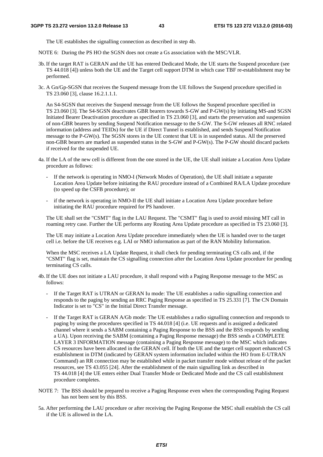The UE establishes the signalling connection as described in step 4b.

NOTE 6: During the PS HO the SGSN does not create a Gs association with the MSC/VLR.

- 3b. If the target RAT is GERAN and the UE has entered Dedicated Mode, the UE starts the Suspend procedure (see TS 44.018 [4]) unless both the UE and the Target cell support DTM in which case TBF re-establishment may be performed.
- 3c. A Gn/Gp-SGSN that receives the Suspend message from the UE follows the Suspend procedure specified in TS 23.060 [3], clause 16.2.1.1.1.

 An S4-SGSN that receives the Suspend message from the UE follows the Suspend procedure specified in TS 23.060 [3]. The S4-SGSN deactivates GBR bearers towards S-GW and P-GW(s) by initiating MS-and SGSN Initiated Bearer Deactivation procedure as specified in TS 23.060 [3], and starts the preservation and suspension of non-GBR bearers by sending Suspend Notification message to the S-GW. The S-GW releases all RNC related information (address and TEIDs) for the UE if Direct Tunnel is established, and sends Suspend Notification message to the P-GW(s). The SGSN stores in the UE context that UE is in suspended status. All the preserved non-GBR bearers are marked as suspended status in the S-GW and P-GW(s). The P-GW should discard packets if received for the suspended UE.

- 4a. If the LA of the new cell is different from the one stored in the UE, the UE shall initiate a Location Area Update procedure as follows:
	- If the network is operating in NMO-I (Network Modes of Operation), the UE shall initiate a separate Location Area Update before initiating the RAU procedure instead of a Combined RA/LA Update procedure (to speed up the CSFB procedure); or
	- if the network is operating in NMO-II the UE shall initiate a Location Area Update procedure before initiating the RAU procedure required for PS handover.

 The UE shall set the "CSMT" flag in the LAU Request. The "CSMT" flag is used to avoid missing MT call in roaming retry case. Further the UE performs any Routing Area Update procedure as specified in TS 23.060 [3].

 The UE may initiate a Location Area Update procedure immediately when the UE is handed over to the target cell i.e. before the UE receives e.g. LAI or NMO information as part of the RAN Mobility Information.

 When the MSC receives a LA Update Request, it shall check for pending terminating CS calls and, if the "CSMT" flag is set, maintain the CS signalling connection after the Location Area Update procedure for pending terminating CS calls.

- 4b. If the UE does not initiate a LAU procedure, it shall respond with a Paging Response message to the MSC as follows:
	- If the Target RAT is UTRAN or GERAN Iu mode: The UE establishes a radio signalling connection and responds to the paging by sending an RRC Paging Response as specified in TS 25.331 [7]. The CN Domain Indicator is set to "CS" in the Initial Direct Transfer message.
	- If the Target RAT is GERAN A/Gb mode: The UE establishes a radio signalling connection and responds to paging by using the procedures specified in TS 44.018 [4] (i.e. UE requests and is assigned a dedicated channel where it sends a SABM containing a Paging Response to the BSS and the BSS responds by sending a UA). Upon receiving the SABM (containing a Paging Response message) the BSS sends a COMPLETE LAYER 3 INFORMATION message (containing a Paging Response message) to the MSC which indicates CS resources have been allocated in the GERAN cell. If both the UE and the target cell support enhanced CS establishment in DTM (indicated by GERAN system information included within the HO from E-UTRAN Command) an RR connection may be established while in packet transfer mode without release of the packet resources, see TS 43.055 [24]. After the establishment of the main signalling link as described in TS 44.018 [4] the UE enters either Dual Transfer Mode or Dedicated Mode and the CS call establishment procedure completes.
- NOTE 7: The BSS should be prepared to receive a Paging Response even when the corresponding Paging Request has not been sent by this BSS.
- 5a. After performing the LAU procedure or after receiving the Paging Response the MSC shall establish the CS call if the UE is allowed in the LA.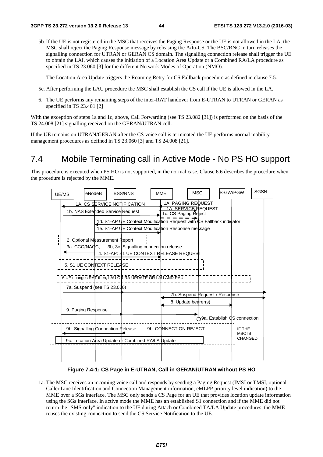5b. If the UE is not registered in the MSC that receives the Paging Response or the UE is not allowed in the LA, the MSC shall reject the Paging Response message by releasing the A/Iu-CS. The BSC/RNC in turn releases the signalling connection for UTRAN or GERAN CS domain. The signalling connection release shall trigger the UE to obtain the LAI, which causes the initiation of a Location Area Update or a Combined RA/LA procedure as specified in TS 23.060 [3] for the different Network Modes of Operation (NMO).

The Location Area Update triggers the Roaming Retry for CS Fallback procedure as defined in clause 7.5.

- 5c. After performing the LAU procedure the MSC shall establish the CS call if the UE is allowed in the LA.
- 6. The UE performs any remaining steps of the inter-RAT handover from E-UTRAN to UTRAN or GERAN as specified in TS 23.401 [2]

With the exception of steps 1a and 1c, above, Call Forwarding (see TS 23.082 [31]) is performed on the basis of the TS 24.008 [21] signalling received on the GERAN/UTRAN cell.

If the UE remains on UTRAN/GERAN after the CS voice call is terminated the UE performs normal mobility management procedures as defined in TS 23.060 [3] and TS 24.008 [21].

# 7.4 Mobile Terminating call in Active Mode - No PS HO support

This procedure is executed when PS HO is not supported, in the normal case. Clause 6.6 describes the procedure when the procedure is rejected by the MME.



#### **Figure 7.4-1: CS Page in E-UTRAN, Call in GERAN/UTRAN without PS HO**

1a. The MSC receives an incoming voice call and responds by sending a Paging Request (IMSI or TMSI, optional Caller Line Identification and Connection Management information, eMLPP priority level indication) to the MME over a SGs interface. The MSC only sends a CS Page for an UE that provides location update information using the SGs interface. In active mode the MME has an established S1 connection and if the MME did not return the "SMS-only" indication to the UE during Attach or Combined TA/LA Update procedures, the MME reuses the existing connection to send the CS Service Notification to the UE.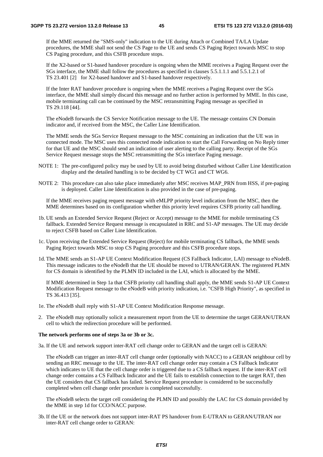If the MME returned the "SMS-only" indication to the UE during Attach or Combined TA/LA Update procedures, the MME shall not send the CS Page to the UE and sends CS Paging Reject towards MSC to stop CS Paging procedure, and this CSFB procedure stops.

 If the X2-based or S1-based handover procedure is ongoing when the MME receives a Paging Request over the SGs interface, the MME shall follow the procedures as specified in clauses 5.5.1.1.1 and 5.5.1.2.1 of TS 23.401 [2] for X2-based handover and S1-based handover respectively.

 If the Inter RAT handover procedure is ongoing when the MME receives a Paging Request over the SGs interface, the MME shall simply discard this message and no further action is performed by MME. In this case, mobile terminating call can be continued by the MSC retransmitting Paging message as specified in TS 29.118 [44].

 The eNodeB forwards the CS Service Notification message to the UE. The message contains CN Domain indicator and, if received from the MSC, the Caller Line Identification.

 The MME sends the SGs Service Request message to the MSC containing an indication that the UE was in connected mode. The MSC uses this connected mode indication to start the Call Forwarding on No Reply timer for that UE and the MSC should send an indication of user alerting to the calling party. Receipt of the SGs Service Request message stops the MSC retransmitting the SGs interface Paging message.

- NOTE 1: The pre-configured policy may be used by UE to avoid being disturbed without Caller Line Identification display and the detailed handling is to be decided by CT WG1 and CT WG6.
- NOTE 2: This procedure can also take place immediately after MSC receives MAP\_PRN from HSS, if pre-paging is deployed. Caller Line Identification is also provided in the case of pre-paging.

 If the MME receives paging request message with eMLPP priority level indication from the MSC, then the MME determines based on its configuration whether this priority level requires CSFB priority call handling.

- 1b. UE sends an Extended Service Request (Reject or Accept) message to the MME for mobile terminating CS fallback. Extended Service Request message is encapsulated in RRC and S1-AP messages. The UE may decide to reject CSFB based on Caller Line Identification.
- 1c. Upon receiving the Extended Service Request (Reject) for mobile terminating CS fallback, the MME sends Paging Reject towards MSC to stop CS Paging procedure and this CSFB procedure stops.
- 1d. The MME sends an S1-AP UE Context Modification Request (CS Fallback Indicator, LAI) message to eNodeB. This message indicates to the eNodeB that the UE should be moved to UTRAN/GERAN. The registered PLMN for CS domain is identified by the PLMN ID included in the LAI, which is allocated by the MME.

 If MME determined in Step 1a that CSFB priority call handling shall apply, the MME sends S1-AP UE Context Modification Request message to the eNodeB with priority indication, i.e. "CSFB High Priority", as specified in TS 36.413 [35].

- 1e. The eNodeB shall reply with S1-AP UE Context Modification Response message.
- 2. The eNodeB may optionally solicit a measurement report from the UE to determine the target GERAN/UTRAN cell to which the redirection procedure will be performed.

#### **The network performs one of steps 3a or 3b or 3c.**

3a. If the UE and network support inter-RAT cell change order to GERAN and the target cell is GERAN:

 The eNodeB can trigger an inter-RAT cell change order (optionally with NACC) to a GERAN neighbour cell by sending an RRC message to the UE. The inter-RAT cell change order may contain a CS Fallback Indicator which indicates to UE that the cell change order is triggered due to a CS fallback request. If the inter-RAT cell change order contains a CS Fallback Indicator and the UE fails to establish connection to the target RAT, then the UE considers that CS fallback has failed. Service Request procedure is considered to be successfully completed when cell change order procedure is completed successfully.

 The eNodeB selects the target cell considering the PLMN ID and possibly the LAC for CS domain provided by the MME in step 1d for CCO/NACC purpose.

3b. If the UE or the network does not support inter-RAT PS handover from E-UTRAN to GERAN/UTRAN nor inter-RAT cell change order to GERAN: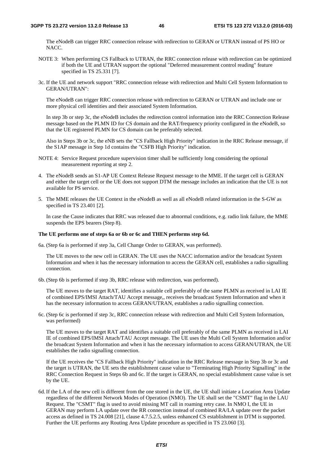The eNodeB can trigger RRC connection release with redirection to GERAN or UTRAN instead of PS HO or NACC.

- NOTE 3: When performing CS Fallback to UTRAN, the RRC connection release with redirection can be optimized if both the UE and UTRAN support the optional "Deferred measurement control reading" feature specified in TS 25.331 [7].
- 3c. If the UE and network support "RRC connection release with redirection and Multi Cell System Information to GERAN/UTRAN":

 The eNodeB can trigger RRC connection release with redirection to GERAN or UTRAN and include one or more physical cell identities and their associated System Information.

 In step 3b or step 3c, the eNodeB includes the redirection control information into the RRC Connection Release message based on the PLMN ID for CS domain and the RAT/frequency priority configured in the eNodeB, so that the UE registered PLMN for CS domain can be preferably selected.

 Also in Steps 3b or 3c, the eNB sets the "CS Fallback High Priority" indication in the RRC Release message, if the S1AP message in Step 1d contains the "CSFB High Priority" indication.

- NOTE 4: Service Request procedure supervision timer shall be sufficiently long considering the optional measurement reporting at step 2.
- 4. The eNodeB sends an S1-AP UE Context Release Request message to the MME. If the target cell is GERAN and either the target cell or the UE does not support DTM the message includes an indication that the UE is not available for PS service.
- 5. The MME releases the UE Context in the eNodeB as well as all eNodeB related information in the S-GW as specified in TS 23.401 [2].

 In case the Cause indicates that RRC was released due to abnormal conditions, e.g. radio link failure, the MME suspends the EPS bearers (Step 8).

#### **The UE performs one of steps 6a or 6b or 6c and THEN performs step 6d.**

6a. (Step 6a is performed if step 3a, Cell Change Order to GERAN, was performed).

 The UE moves to the new cell in GERAN. The UE uses the NACC information and/or the broadcast System Information and when it has the necessary information to access the GERAN cell, establishes a radio signalling connection.

6b. (Step 6b is performed if step 3b, RRC release with redirection, was performed).

 The UE moves to the target RAT, identifies a suitable cell preferably of the same PLMN as received in LAI IE of combined EPS/IMSI Attach/TAU Accept message,, receives the broadcast System Information and when it has the necessary information to access GERAN/UTRAN, establishes a radio signalling connection.

6c. (Step 6c is performed if step 3c, RRC connection release with redirection and Multi Cell System Information, was performed)

 The UE moves to the target RAT and identifies a suitable cell preferably of the same PLMN as received in LAI IE of combined EPS/IMSI Attach/TAU Accept message. The UE uses the Multi Cell System Information and/or the broadcast System Information and when it has the necessary information to access GERAN/UTRAN, the UE establishes the radio signalling connection.

 If the UE receives the "CS Fallback High Priority" indication in the RRC Release message in Step 3b or 3c and the target is UTRAN, the UE sets the establishment cause value to "Terminating High Priority Signalling" in the RRC Connection Request in Steps 6b and 6c. If the target is GERAN, no special establishment cause value is set by the UE.

6d. If the LA of the new cell is different from the one stored in the UE, the UE shall initiate a Location Area Update regardless of the different Network Modes of Operation (NMO). The UE shall set the "CSMT" flag in the LAU Request. The "CSMT" flag is used to avoid missing MT call in roaming retry case. In NMO I, the UE in GERAN may perform LA update over the RR connection instead of combined RA/LA update over the packet access as defined in TS 24.008 [21], clause 4.7.5.2.5, unless enhanced CS establishment in DTM is supported. Further the UE performs any Routing Area Update procedure as specified in TS 23.060 [3].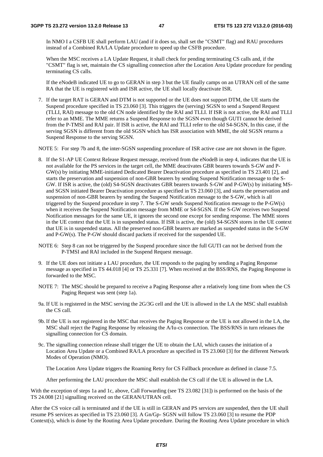In NMO I a CSFB UE shall perform LAU (and if it does so, shall set the "CSMT" flag) and RAU procedures instead of a Combined RA/LA Update procedure to speed up the CSFB procedure.

 When the MSC receives a LA Update Request, it shall check for pending terminating CS calls and, if the "CSMT" flag is set, maintain the CS signalling connection after the Location Area Update procedure for pending terminating CS calls.

 If the eNodeB indicated UE to go to GERAN in step 3 but the UE finally camps on an UTRAN cell of the same RA that the UE is registered with and ISR active, the UE shall locally deactivate ISR.

7. If the target RAT is GERAN and DTM is not supported or the UE does not support DTM, the UE starts the Suspend procedure specified in TS 23.060 [3]. This triggers the (serving) SGSN to send a Suspend Request (TLLI, RAI) message to the old CN node identified by the RAI and TLLI. If ISR is not active, the RAI and TLLI refer to an MME. The MME returns a Suspend Response to the SGSN even though GUTI cannot be derived from the P-TMSI and RAI pair. If ISR is active, the RAI and TLLI refer to the old S4-SGSN, In this case, if the serving SGSN is different from the old SGSN which has ISR association with MME, the old SGSN returns a Suspend Response to the serving SGSN.

NOTE 5: For step 7b and 8, the inter-SGSN suspending procedure of ISR active case are not shown in the figure.

- 8. If the S1-AP UE Context Release Request message, received from the eNodeB in step 4, indicates that the UE is not available for the PS services in the target cell, the MME deactivates GBR bearers towards S-GW and P-GW(s) by initiating MME-initiated Dedicated Bearer Deactivation procedure as specified in TS 23.401 [2], and starts the preservation and suspension of non-GBR bearers by sending Suspend Notification message to the S-GW. If ISR is active, the (old) S4-SGSN deactivates GBR bearers towards S-GW and P-GW(s) by initiating MSand SGSN initiated Bearer Deactivation procedure as specified in TS 23.060 [3], and starts the preservation and suspension of non-GBR bearers by sending the Suspend Notification message to the S-GW, which is all triggered by the Suspend procedure in step 7. The S-GW sends Suspend Notification message to the P-GW(s) when it receives the Suspend Notification message from MME or S4-SGSN. If the S-GW receives two Suspend Notification messages for the same UE, it ignores the second one except for sending response. The MME stores in the UE context that the UE is in suspended status. If ISR is active, the (old) S4-SGSN stores in the UE context that UE is in suspended status. All the preserved non-GBR bearers are marked as suspended status in the S-GW and P-GW(s). The P-GW should discard packets if received for the suspended UE.
- NOTE 6: Step 8 can not be triggered by the Suspend procedure since the full GUTI can not be derived from the P-TMSI and RAI included in the Suspend Request message.
- 9. If the UE does not initiate a LAU procedure, the UE responds to the paging by sending a Paging Response message as specified in TS 44.018 [4] or TS 25.331 [7]. When received at the BSS/RNS, the Paging Response is forwarded to the MSC.
- NOTE 7: The MSC should be prepared to receive a Paging Response after a relatively long time from when the CS Paging Request was sent (step 1a).
- 9a. If UE is registered in the MSC serving the 2G/3G cell and the UE is allowed in the LA the MSC shall establish the CS call.
- 9b. If the UE is not registered in the MSC that receives the Paging Response or the UE is not allowed in the LA, the MSC shall reject the Paging Response by releasing the A/Iu-cs connection. The BSS/RNS in turn releases the signalling connection for CS domain.
- 9c. The signalling connection release shall trigger the UE to obtain the LAI, which causes the initiation of a Location Area Update or a Combined RA/LA procedure as specified in TS 23.060 [3] for the different Network Modes of Operation (NMO).

The Location Area Update triggers the Roaming Retry for CS Fallback procedure as defined in clause 7.5.

After performing the LAU procedure the MSC shall establish the CS call if the UE is allowed in the LA.

With the exception of steps 1a and 1c, above, Call Forwarding (see TS 23.082 [31]) is performed on the basis of the TS 24.008 [21] signalling received on the GERAN/UTRAN cell.

After the CS voice call is terminated and if the UE is still in GERAN and PS services are suspended, then the UE shall resume PS services as specified in TS 23.060 [3]. A Gn/Gp- SGSN will follow TS 23.060 [3] to resume the PDP Context(s), which is done by the Routing Area Update procedure. During the Routing Area Update procedure in which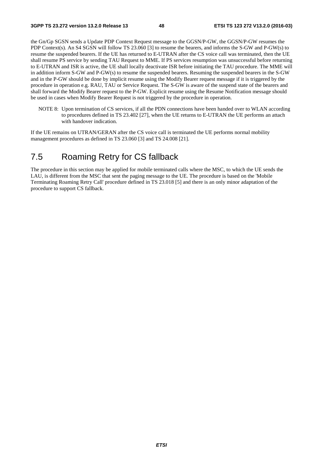the Gn/Gp SGSN sends a Update PDP Context Request message to the GGSN/P-GW, the GGSN/P-GW resumes the PDP Context(s). An S4 SGSN will follow TS 23.060 [3] to resume the bearers, and informs the S-GW and P-GW(s) to resume the suspended bearers. If the UE has returned to E-UTRAN after the CS voice call was terminated, then the UE shall resume PS service by sending TAU Request to MME. If PS services resumption was unsuccessful before returning to E-UTRAN and ISR is active, the UE shall locally deactivate ISR before initiating the TAU procedure. The MME will in addition inform S-GW and P-GW(s) to resume the suspended bearers. Resuming the suspended bearers in the S-GW and in the P-GW should be done by implicit resume using the Modify Bearer request message if it is triggered by the procedure in operation e.g. RAU, TAU or Service Request. The S-GW is aware of the suspend state of the bearers and shall forward the Modify Bearer request to the P-GW. Explicit resume using the Resume Notification message should be used in cases when Modify Bearer Request is not triggered by the procedure in operation.

NOTE 8: Upon termination of CS services, if all the PDN connections have been handed over to WLAN according to procedures defined in TS 23.402 [27], when the UE returns to E-UTRAN the UE performs an attach with handover indication.

If the UE remains on UTRAN/GERAN after the CS voice call is terminated the UE performs normal mobility management procedures as defined in TS 23.060 [3] and TS 24.008 [21].

# 7.5 Roaming Retry for CS fallback

The procedure in this section may be applied for mobile terminated calls where the MSC, to which the UE sends the LAU, is different from the MSC that sent the paging message to the UE. The procedure is based on the 'Mobile Terminating Roaming Retry Call' procedure defined in TS 23.018 [5] and there is an only minor adaptation of the procedure to support CS fallback.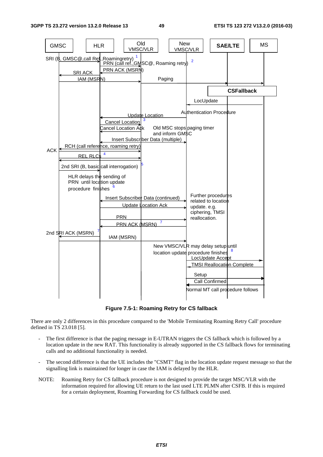

**Figure 7.5-1: Roaming Retry for CS fallback** 

There are only 2 differences in this procedure compared to the 'Mobile Terminating Roaming Retry Call' procedure defined in TS 23.018 [5].

- The first difference is that the paging message in E-UTRAN triggers the CS fallback which is followed by a location update in the new RAT. This functionality is already supported in the CS fallback flows for terminating calls and no additional functionality is needed.
- The second difference is that the UE includes the "CSMT" flag in the location update request message so that the signalling link is maintained for longer in case the IAM is delayed by the HLR.
- NOTE: Roaming Retry for CS fallback procedure is not designed to provide the target MSC/VLR with the information required for allowing UE return to the last used LTE PLMN after CSFB. If this is required for a certain deployment, Roaming Forwarding for CS fallback could be used.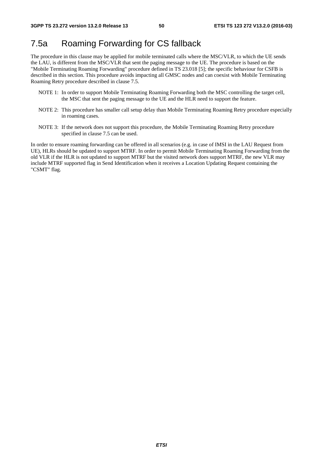# 7.5a Roaming Forwarding for CS fallback

The procedure in this clause may be applied for mobile terminated calls where the MSC/VLR, to which the UE sends the LAU, is different from the MSC/VLR that sent the paging message to the UE. The procedure is based on the "Mobile Terminating Roaming Forwarding" procedure defined in TS 23.018 [5]; the specific behaviour for CSFB is described in this section. This procedure avoids impacting all GMSC nodes and can coexist with Mobile Terminating Roaming Retry procedure described in clause 7.5.

- NOTE 1: In order to support Mobile Terminating Roaming Forwarding both the MSC controlling the target cell, the MSC that sent the paging message to the UE and the HLR need to support the feature.
- NOTE 2: This procedure has smaller call setup delay than Mobile Terminating Roaming Retry procedure especially in roaming cases.
- NOTE 3: If the network does not support this procedure, the Mobile Terminating Roaming Retry procedure specified in clause 7.5 can be used.

In order to ensure roaming forwarding can be offered in all scenarios (e.g. in case of IMSI in the LAU Request from UE), HLRs should be updated to support MTRF. In order to permit Mobile Terminating Roaming Forwarding from the old VLR if the HLR is not updated to support MTRF but the visited network does support MTRF, the new VLR may include MTRF supported flag in Send Identification when it receives a Location Updating Request containing the "CSMT" flag.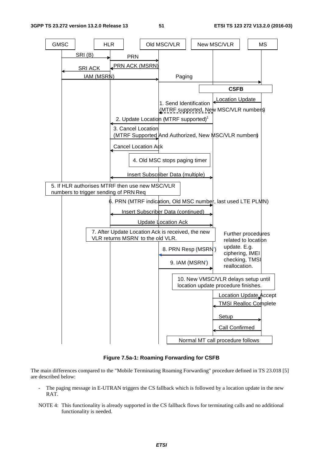

**Figure 7.5a-1: Roaming Forwarding for CSFB** 

The main differences compared to the "Mobile Terminating Roaming Forwarding" procedure defined in TS 23.018 [5] are described below:

- The paging message in E-UTRAN triggers the CS fallback which is followed by a location update in the new RAT.
- NOTE 4: This functionality is already supported in the CS fallback flows for terminating calls and no additional functionality is needed.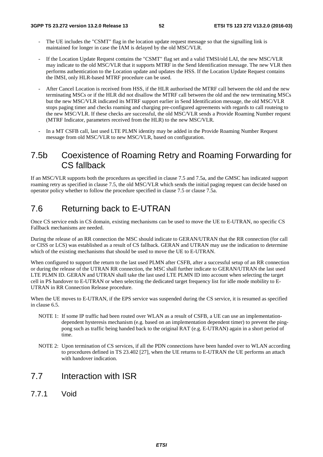- The UE includes the "CSMT" flag in the location update request message so that the signalling link is maintained for longer in case the IAM is delayed by the old MSC/VLR.
- If the Location Update Request contains the "CSMT" flag set and a valid TMSI/old LAI, the new MSC/VLR may indicate to the old MSC/VLR that it supports MTRF in the Send Identification message. The new VLR then performs authentication to the Location update and updates the HSS. If the Location Update Request contains the IMSI, only HLR-based MTRF procedure can be used.
- After Cancel Location is received from HSS, if the HLR authorised the MTRF call between the old and the new terminating MSCs or if the HLR did not disallow the MTRF call between the old and the new terminating MSCs but the new MSC/VLR indicated its MTRF support earlier in Send Identification message, the old MSC/VLR stops paging timer and checks roaming and charging pre-configured agreements with regards to call routeing to the new MSC/VLR. If these checks are successful, the old MSC/VLR sends a Provide Roaming Number request (MTRF Indicator, parameters received from the HLR) to the new MSC/VLR.
- In a MT CSFB call, last used LTE PLMN identity may be added in the Provide Roaming Number Request message from old MSC/VLR to new MSC/VLR, based on configuration.

## 7.5b Coexistence of Roaming Retry and Roaming Forwarding for CS fallback

If an MSC/VLR supports both the procedures as specified in clause 7.5 and 7.5a, and the GMSC has indicated support roaming retry as specified in clause 7.5, the old MSC/VLR which sends the initial paging request can decide based on operator policy whether to follow the procedure specified in clause 7.5 or clause 7.5a.

# 7.6 Returning back to E-UTRAN

Once CS service ends in CS domain, existing mechanisms can be used to move the UE to E-UTRAN, no specific CS Fallback mechanisms are needed.

During the release of an RR connection the MSC should indicate to GERAN/UTRAN that the RR connection (for call or CISS or LCS) was established as a result of CS fallback. GERAN and UTRAN may use the indication to determine which of the existing mechanisms that should be used to move the UE to E-UTRAN.

When configured to support the return to the last used PLMN after CSFB, after a successful setup of an RR connection or during the release of the UTRAN RR connection, the MSC shall further indicate to GERAN/UTRAN the last used LTE PLMN ID. GERAN and UTRAN shall take the last used LTE PLMN ID into account when selecting the target cell in PS handover to E-UTRAN or when selecting the dedicated target frequency list for idle mode mobility to E-UTRAN in RR Connection Release procedure.

When the UE moves to E-UTRAN, if the EPS service was suspended during the CS service, it is resumed as specified in clause 6.5.

- NOTE 1: If some IP traffic had been routed over WLAN as a result of CSFB, a UE can use an implementationdependent hysteresis mechanism (e.g. based on an implementation dependent timer) to prevent the pingpong such as traffic being handed back to the original RAT (e.g. E-UTRAN) again in a short period of time.
- NOTE 2: Upon termination of CS services, if all the PDN connections have been handed over to WLAN according to procedures defined in TS 23.402 [27], when the UE returns to E-UTRAN the UE performs an attach with handover indication.

## 7.7 Interaction with ISR

7.7.1 Void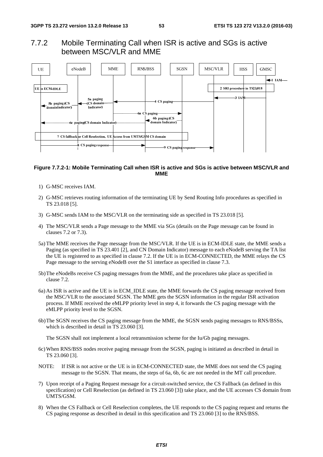### 7.7.2 Mobile Terminating Call when ISR is active and SGs is active between MSC/VLR and MME



#### **Figure 7.7.2-1: Mobile Terminating Call when ISR is active and SGs is active between MSC/VLR and MME**

- 1) G-MSC receives IAM.
- 2) G-MSC retrieves routing information of the terminating UE by Send Routing Info procedures as specified in TS 23.018 [5].
- 3) G-MSC sends IAM to the MSC/VLR on the terminating side as specified in TS 23.018 [5].
- 4) The MSC/VLR sends a Page message to the MME via SGs (details on the Page message can be found in clauses 7.2 or 7.3).
- 5a) The MME receives the Page message from the MSC/VLR. If the UE is in ECM-IDLE state, the MME sends a Paging (as specified in TS 23.401 [2], and CN Domain Indicator) message to each eNodeB serving the TA list the UE is registered to as specified in clause 7.2. If the UE is in ECM-CONNECTED, the MME relays the CS Page message to the serving eNodeB over the S1 interface as specified in clause 7.3.
- 5b) The eNodeBs receive CS paging messages from the MME, and the procedures take place as specified in clause 7.2.
- 6a) As ISR is active and the UE is in ECM\_IDLE state, the MME forwards the CS paging message received from the MSC/VLR to the associated SGSN. The MME gets the SGSN information in the regular ISR activation process. If MME received the eMLPP priority level in step 4, it forwards the CS paging message with the eMLPP priority level to the SGSN.
- 6b) The SGSN receives the CS paging message from the MME, the SGSN sends paging messages to RNS/BSSs, which is described in detail in TS 23.060 [3].

The SGSN shall not implement a local retransmission scheme for the Iu/Gb paging messages.

- 6c) When RNS/BSS nodes receive paging message from the SGSN, paging is initiated as described in detail in TS 23.060 [3].
- NOTE: If ISR is not active or the UE is in ECM-CONNECTED state, the MME does not send the CS paging message to the SGSN. That means, the steps of 6a, 6b, 6c are not needed in the MT call procedure.
- 7) Upon receipt of a Paging Request message for a circuit-switched service, the CS Fallback (as defined in this specification) or Cell Reselection (as defined in TS 23.060 [3]) take place, and the UE accesses CS domain from UMTS/GSM.
- 8) When the CS Fallback or Cell Reselection completes, the UE responds to the CS paging request and returns the CS paging response as described in detail in this specification and TS 23.060 [3] to the RNS/BSS.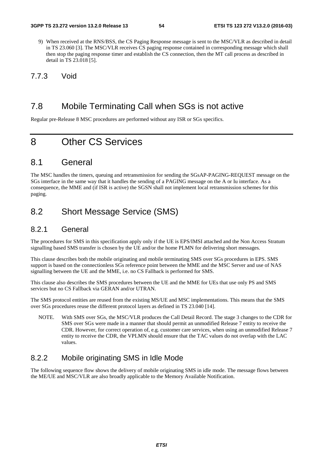- 9) When received at the RNS/BSS, the CS Paging Response message is sent to the MSC/VLR as described in detail in TS 23.060 [3]. The MSC/VLR receives CS paging response contained in corresponding message which shall then stop the paging response timer and establish the CS connection, then the MT call process as described in detail in TS 23.018 [5].
- 7.7.3 Void

## 7.8 Mobile Terminating Call when SGs is not active

Regular pre-Release 8 MSC procedures are performed without any ISR or SGs specifics.

# 8 Other CS Services

## 8.1 General

The MSC handles the timers, queuing and retransmission for sending the SGsAP-PAGING-REQUEST message on the SGs interface in the same way that it handles the sending of a PAGING message on the A or Iu interface. As a consequence, the MME and (if ISR is active) the SGSN shall not implement local retransmission schemes for this paging.

## 8.2 Short Message Service (SMS)

## 8.2.1 General

The procedures for SMS in this specification apply only if the UE is EPS/IMSI attached and the Non Access Stratum signalling based SMS transfer is chosen by the UE and/or the home PLMN for delivering short messages.

This clause describes both the mobile originating and mobile terminating SMS over SGs procedures in EPS. SMS support is based on the connectionless SGs reference point between the MME and the MSC Server and use of NAS signalling between the UE and the MME, i.e. no CS Fallback is performed for SMS.

This clause also describes the SMS procedures between the UE and the MME for UEs that use only PS and SMS services but no CS Fallback via GERAN and/or UTRAN.

The SMS protocol entities are reused from the existing MS/UE and MSC implementations. This means that the SMS over SGs procedures reuse the different protocol layers as defined in TS 23.040 [14].

NOTE. With SMS over SGs, the MSC/VLR produces the Call Detail Record. The stage 3 changes to the CDR for SMS over SGs were made in a manner that should permit an unmodified Release 7 entity to receive the CDR. However, for correct operation of, e.g. customer care services, when using an unmodified Release 7 entity to receive the CDR, the VPLMN should ensure that the TAC values do not overlap with the LAC values.

## 8.2.2 Mobile originating SMS in Idle Mode

The following sequence flow shows the delivery of mobile originating SMS in idle mode. The message flows between the ME/UE and MSC/VLR are also broadly applicable to the Memory Available Notification.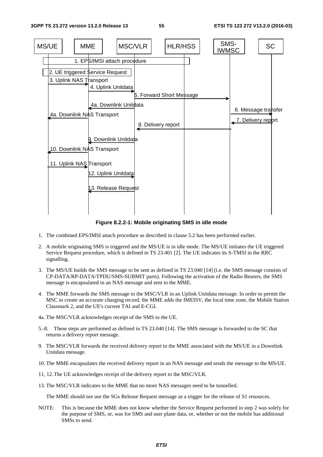

**Figure 8.2.2-1: Mobile originating SMS in idle mode** 

- 1. The combined EPS/IMSI attach procedure as described in clause 5.2 has been performed earlier.
- 2. A mobile originating SMS is triggered and the MS/UE is in idle mode. The MS/UE initiates the UE triggered Service Request procedure, which is defined in TS 23.401 [2]. The UE indicates its S-TMSI in the RRC signalling.
- 3. The MS/UE builds the SMS message to be sent as defined in TS 23.040 [14] (i.e. the SMS message consists of CP-DATA/RP-DATA/TPDU/SMS-SUBMIT parts). Following the activation of the Radio Bearers, the SMS message is encapsulated in an NAS message and sent to the MME.
- 4. The MME forwards the SMS message to the MSC/VLR in an Uplink Unitdata message. In order to permit the MSC to create an accurate charging record, the MME adds the IMEISV, the local time zone, the Mobile Station Classmark 2, and the UE's current TAI and E-CGI.
- 4a. The MSC/VLR acknowledges receipt of the SMS to the UE.
- 5.-8. These steps are performed as defined in TS 23.040 [14]. The SMS message is forwarded to the SC that returns a delivery report message.
- 9. The MSC/VLR forwards the received delivery report to the MME associated with the MS/UE in a Downlink Unitdata message.
- 10. The MME encapsulates the received delivery report in an NAS message and sends the message to the MS/UE.
- 11, 12. The UE acknowledges receipt of the delivery report to the MSC/VLR.
- 13. The MSC/VLR indicates to the MME that no more NAS messages need to be tunnelled.

The MME should not use the SGs Release Request message as a trigger for the release of S1 resources.

NOTE: This is because the MME does not know whether the Service Request performed in step 2 was solely for the purpose of SMS, or, was for SMS and user plane data, or, whether or not the mobile has additional SMSs to send.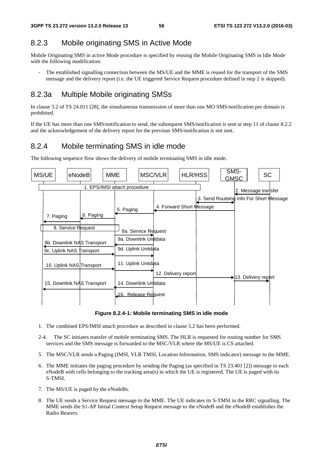## 8.2.3 Mobile originating SMS in Active Mode

Mobile Originating SMS in active Mode procedure is specified by reusing the Mobile Originating SMS in Idle Mode with the following modification:

The established signalling connection between the MS/UE and the MME is reused for the transport of the SMS message and the delivery report (i.e. the UE triggered Service Request procedure defined in step 2 is skipped).

### 8.2.3a Multiple Mobile originating SMSs

In clause 3.2 of TS 24.011 [28], the simultaneous transmission of more than one MO SMS/notification per domain is prohibited.

If the UE has more than one SMS/notification to send, the subsequent SMS/notification is sent at step 11 of clause 8.2.2 and the acknowledgement of the delivery report for the previous SMS/notification is not sent.

### 8.2.4 Mobile terminating SMS in idle mode

The following sequence flow shows the delivery of mobile terminating SMS in idle mode.



**Figure 8.2.4-1: Mobile terminating SMS in idle mode** 

- 1. The combined EPS/IMSI attach procedure as described in clause 5.2 has been performed.
- 2-4. The SC initiates transfer of mobile terminating SMS. The HLR is requested for routing number for SMS services and the SMS message is forwarded to the MSC/VLR where the MS/UE is CS attached.
- 5. The MSC/VLR sends a Paging (IMSI, VLR TMSI, Location Information, SMS indicator) message to the MME.
- 6. The MME initiates the paging procedure by sending the Paging (as specified in TS 23.401 [2]) message to each eNodeB with cells belonging to the tracking area(s) in which the UE is registered. The UE is paged with its S-TMSI.
- 7. The MS/UE is paged by the eNodeBs.
- 8. The UE sends a Service Request message to the MME. The UE indicates its S-TMSI in the RRC signalling. The MME sends the S1-AP Initial Context Setup Request message to the eNodeB and the eNodeB establishes the Radio Bearers.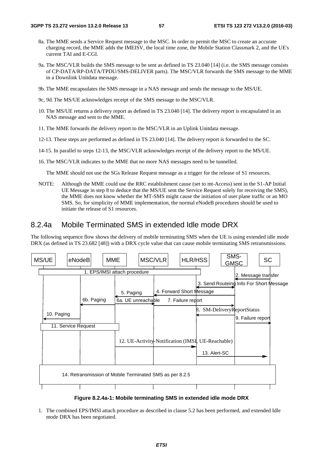- 8a. The MME sends a Service Request message to the MSC. In order to permit the MSC to create an accurate charging record, the MME adds the IMEISV, the local time zone, the Mobile Station Classmark 2, and the UE's current TAI and E-CGI.
- 9a. The MSC/VLR builds the SMS message to be sent as defined in TS 23.040 [14] (i.e. the SMS message consists of CP-DATA/RP-DATA/TPDU/SMS-DELIVER parts). The MSC/VLR forwards the SMS message to the MME in a Downlink Unitdata message.
- 9b. The MME encapsulates the SMS message in a NAS message and sends the message to the MS/UE.
- 9c, 9d. The MS/UE acknowledges receipt of the SMS message to the MSC/VLR.
- 10. The MS/UE returns a delivery report as defined in TS 23.040 [14]. The delivery report is encapsulated in an NAS message and sent to the MME.
- 11. The MME forwards the delivery report to the MSC/VLR in an Uplink Unitdata message.
- 12-13. These steps are performed as defined in TS 23.040 [14]. The delivery report is forwarded to the SC.
- 14-15. In parallel to steps 12-13, the MSC/VLR acknowledges receipt of the delivery report to the MS/UE.
- 16. The MSC/VLR indicates to the MME that no more NAS messages need to be tunnelled.

The MME should not use the SGs Release Request message as a trigger for the release of S1 resources.

NOTE: Although the MME could use the RRC establishment cause (set to mt-Access) sent in the S1-AP Initial UE Message in step 8 to deduce that the MS/UE sent the Service Request solely for receiving the SMS), the MME does not know whether the MT-SMS might cause the initiation of user plane traffic or an MO SMS. So, for simplicity of MME implementation, the normal eNodeB procedures should be used to initiate the release of S1 resources.

### 8.2.4a Mobile Terminated SMS in extended Idle mode DRX

The following sequence flow shows the delivery of mobile terminating SMS when the UE is using extended idle mode DRX (as defined in TS 23.682 [48]) with a DRX cycle value that can cause mobile terminating SMS retransmissions.



**Figure 8.2.4a-1: Mobile terminating SMS in extended idle mode DRX** 

1. The combined EPS/IMSI attach procedure as described in clause 5.2 has been performed, and extended Idle mode DRX has been negotiated.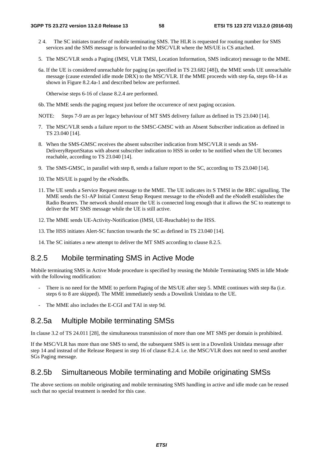- 2 4. The SC initiates transfer of mobile terminating SMS. The HLR is requested for routing number for SMS services and the SMS message is forwarded to the MSC/VLR where the MS/UE is CS attached.
- 5. The MSC/VLR sends a Paging (IMSI, VLR TMSI, Location Information, SMS indicator) message to the MME.
- 6a. If the UE is considered unreachable for paging (as specified in TS 23.682 [48]), the MME sends UE unreachable message (cause extended idle mode DRX) to the MSC/VLR. If the MME proceeds with step 6a, steps 6b-14 as shown in Figure 8.2.4a-1 and described below are performed.

Otherwise steps 6-16 of clause 8.2.4 are performed.

- 6b. The MME sends the paging request just before the occurrence of next paging occasion.
- NOTE: Steps 7-9 are as per legacy behaviour of MT SMS delivery failure as defined in TS 23.040 [14].
- 7. The MSC/VLR sends a failure report to the SMSC-GMSC with an Absent Subscriber indication as defined in TS 23.040 [14].
- 8. When the SMS-GMSC receives the absent subscriber indication from MSC/VLR it sends an SM-DeliveryReportStatus with absent subscriber indication to HSS in order to be notified when the UE becomes reachable, according to TS 23.040 [14].
- 9. The SMS-GMSC, in parallel with step 8, sends a failure report to the SC, according to TS 23.040 [14].
- 10. The MS/UE is paged by the eNodeBs.
- 11. The UE sends a Service Request message to the MME. The UE indicates its S TMSI in the RRC signalling. The MME sends the S1-AP Initial Context Setup Request message to the eNodeB and the eNodeB establishes the Radio Bearers. The network should ensure the UE is connected long enough that it allows the SC to reattempt to deliver the MT SMS message while the UE is still active.
- 12. The MME sends UE-Activity-Notification (IMSI, UE-Reachable) to the HSS.
- 13. The HSS initiates Alert-SC function towards the SC as defined in TS 23.040 [14].
- 14. The SC initiates a new attempt to deliver the MT SMS according to clause 8.2.5.

### 8.2.5 Mobile terminating SMS in Active Mode

Mobile terminating SMS in Active Mode procedure is specified by reusing the Mobile Terminating SMS in Idle Mode with the following modification:

- There is no need for the MME to perform Paging of the MS/UE after step 5. MME continues with step 8a (i.e. steps 6 to 8 are skipped). The MME immediately sends a Downlink Unitdata to the UE.
- The MME also includes the E-CGI and TAI in step 9d.

### 8.2.5a Multiple Mobile terminating SMSs

In clause 3.2 of TS 24.011 [28], the simultaneous transmission of more than one MT SMS per domain is prohibited.

If the MSC/VLR has more than one SMS to send, the subsequent SMS is sent in a Downlink Unitdata message after step 14 and instead of the Release Request in step 16 of clause 8.2.4. i.e. the MSC/VLR does not need to send another SGs Paging message.

### 8.2.5b Simultaneous Mobile terminating and Mobile originating SMSs

The above sections on mobile originating and mobile terminating SMS handling in active and idle mode can be reused such that no special treatment is needed for this case.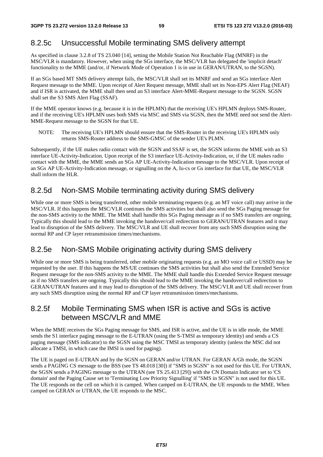## 8.2.5c Unsuccessful Mobile terminating SMS delivery attempt

As specified in clause 3.2.8 of TS 23.040 [14], setting the Mobile Station Not Reachable Flag (MNRF) in the MSC/VLR is mandatory. However, when using the SGs interface, the MSC/VLR has delegated the 'implicit detach' functionality to the MME (and/or, if Network Mode of Operation 1 is in use in GERAN/UTRAN, to the SGSN).

If an SGs based MT SMS delivery attempt fails, the MSC/VLR shall set its MNRF and send an SGs interface Alert Request message to the MME. Upon receipt of Alert Request message, MME shall set its Non-EPS Alert Flag (NEAF) and if ISR is activated, the MME shall then send an S3 interface Alert-MME-Request message to the SGSN. SGSN shall set the S3 SMS Alert Flag (SSAF).

If the MME operator knows (e.g. because it is in the HPLMN) that the receiving UE's HPLMN deploys SMS-Router, and if the receiving UE's HPLMN uses both SMS via MSC and SMS via SGSN, then the MME need not send the Alert-MME-Request message to the SGSN for that UE.

NOTE: The receiving UE's HPLMN should ensure that the SMS-Router in the receiving UE's HPLMN only returns SMS-Router address to the SMS-GMSC of the sender UE's PLMN.

Subsequently, if the UE makes radio contact with the SGSN and SSAF is set, the SGSN informs the MME with an S3 interface UE-Activity-Indication. Upon receipt of the S3 interface UE-Activity-Indication, or, if the UE makes radio contact with the MME, the MME sends an SGs AP UE-Activity-Indication message to the MSC/VLR. Upon receipt of an SGs AP UE-Activity-Indication message, or signalling on the A, Iu-cs or Gs interface for that UE, the MSC/VLR shall inform the HLR.

## 8.2.5d Non-SMS Mobile terminating activity during SMS delivery

While one or more SMS is being transferred, other mobile terminating requests (e.g. an MT voice call) may arrive in the MSC/VLR. If this happens the MSC/VLR continues the SMS activities but shall also send the SGs Paging message for the non-SMS activity to the MME. The MME shall handle this SGs Paging message as if no SMS transfers are ongoing. Typically this should lead to the MME invoking the handover/call redirection to GERAN/UTRAN features and it may lead to disruption of the SMS delivery. The MSC/VLR and UE shall recover from any such SMS disruption using the normal RP and CP layer retransmission timers/mechanisms.

## 8.2.5e Non-SMS Mobile originating activity during SMS delivery

While one or more SMS is being transferred, other mobile originating requests (e.g. an MO voice call or USSD) may be requested by the user. If this happens the MS/UE continues the SMS activities but shall also send the Extended Service Request message for the non-SMS activity to the MME. The MME shall handle this Extended Service Request message as if no SMS transfers are ongoing. Typically this should lead to the MME invoking the handover/call redirection to GERAN/UTRAN features and it may lead to disruption of the SMS delivery. The MSC/VLR and UE shall recover from any such SMS disruption using the normal RP and CP layer retransmission timers/mechanisms.

## 8.2.5f Mobile Terminating SMS when ISR is active and SGs is active between MSC/VLR and MME

When the MME receives the SGs Paging message for SMS, and ISR is active, and the UE is in idle mode, the MME sends the S1 interface paging message to the E-UTRAN (using the S-TMSI as temporary identity) and sends a CS paging message (SMS indicator) to the SGSN using the MSC TMSI as temporary identity (unless the MSC did not allocate a TMSI, in which case the IMSI is used for paging).

The UE is paged on E-UTRAN and by the SGSN on GERAN and/or UTRAN. For GERAN A/Gb mode, the SGSN sends a PAGING CS message to the BSS (see TS 48.018 [30]) if "SMS in SGSN" is not used for this UE. For UTRAN, the SGSN sends a PAGING message to the UTRAN (see TS 25.413 [29]) with the CN Domain Indicator set to 'CS domain' and the Paging Cause set to 'Terminating Low Priority Signalling' if "SMS in SGSN" is not used for this UE. The UE responds on the cell on which it is camped. When camped on E-UTRAN, the UE responds to the MME. When camped on GERAN or UTRAN, the UE responds to the MSC.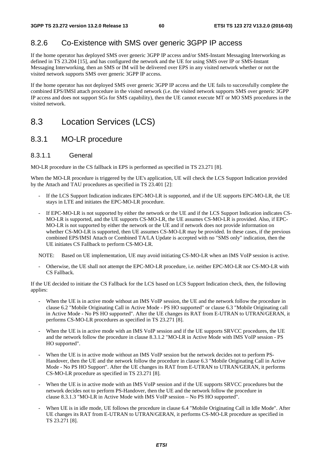# 8.2.6 Co-Existence with SMS over generic 3GPP IP access

If the home operator has deployed SMS over generic 3GPP IP access and/or SMS-Instant Messaging Interworking as defined in TS 23.204 [15], and has configured the network and the UE for using SMS over IP or SMS-Instant Messaging Interworking, then an SMS or IM will be delivered over EPS in any visited network whether or not the visited network supports SMS over generic 3GPP IP access.

If the home operator has not deployed SMS over generic 3GPP IP access and the UE fails to successfully complete the combined EPS/IMSI attach procedure in the visited network (i.e. the visited network supports SMS over generic 3GPP IP access and does not support SGs for SMS capability), then the UE cannot execute MT or MO SMS procedures in the visited network.

# 8.3 Location Services (LCS)

## 8.3.1 MO-LR procedure

### 8.3.1.1 General

MO-LR procedure in the CS fallback in EPS is performed as specified in TS 23.271 [8].

When the MO-LR procedure is triggered by the UE's application, UE will check the LCS Support Indication provided by the Attach and TAU procedures as specified in TS 23.401 [2]:

- If the LCS Support Indication indicates EPC-MO-LR is supported, and if the UE supports EPC-MO-LR, the UE stays in LTE and initiates the EPC-MO-LR procedure.
- If EPC-MO-LR is not supported by either the network or the UE and if the LCS Support Indication indicates CS-MO-LR is supported, and the UE supports CS-MO-LR, the UE assumes CS-MO-LR is provided. Also, if EPC-MO-LR is not supported by either the network or the UE and if network does not provide information on whether CS-MO-LR is supported, then UE assumes CS-MO-LR may be provided. In these cases, if the previous combined EPS/IMSI Attach or Combined TA/LA Update is accepted with no "SMS only" indication, then the UE initiates CS Fallback to perform CS-MO-LR.
- NOTE: Based on UE implementation, UE may avoid initiating CS-MO-LR when an IMS VoIP session is active.
- Otherwise, the UE shall not attempt the EPC-MO-LR procedure, i.e. neither EPC-MO-LR nor CS-MO-LR with CS Fallback.

If the UE decided to initiate the CS Fallback for the LCS based on LCS Support Indication check, then, the following applies:

- When the UE is in active mode without an IMS VoIP session, the UE and the network follow the procedure in clause 6.2 "Mobile Originating Call in Active Mode - PS HO supported" or clause 6.3 "Mobile Originating call in Active Mode - No PS HO supported". After the UE changes its RAT from E-UTRAN to UTRAN/GERAN, it performs CS-MO-LR procedures as specified in TS 23.271 [8].
- When the UE is in active mode with an IMS VoIP session and if the UE supports SRVCC procedures, the UE and the network follow the procedure in clause 8.3.1.2 "MO-LR in Active Mode with IMS VoIP session - PS HO supported".
- When the UE is in active mode without an IMS VoIP session but the network decides not to perform PS-Handover, then the UE and the network follow the procedure in clause 6.3 "Mobile Originating Call in Active Mode - No PS HO Support". After the UE changes its RAT from E-UTRAN to UTRAN/GERAN, it performs CS-MO-LR procedure as specified in TS 23.271 [8].
- When the UE is in active mode with an IMS VoIP session and if the UE supports SRVCC procedures but the network decides not to perform PS-Handover, then the UE and the network follow the procedure in clause 8.3.1.3 "MO-LR in Active Mode with IMS VoIP session – No PS HO supported".
- When UE is in idle mode, UE follows the procedure in clause 6.4 "Mobile Originating Call in Idle Mode". After UE changes its RAT from E-UTRAN to UTRAN/GERAN, it performs CS-MO-LR procedure as specified in TS 23.271 [8].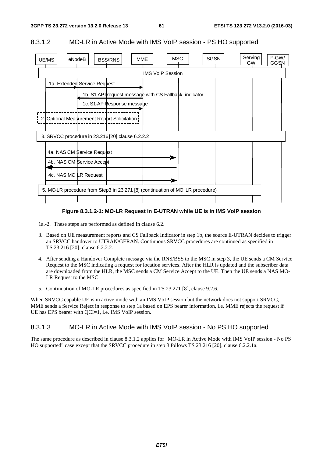#### 8.3.1.2 MO-LR in Active Mode with IMS VoIP session - PS HO supported



#### **Figure 8.3.1.2-1: MO-LR Request in E-UTRAN while UE is in IMS VoIP session**

1a.-2. These steps are performed as defined in clause 6.2.

- 3. Based on UE measurement reports and CS Fallback Indicator in step 1b, the source E-UTRAN decides to trigger an SRVCC handover to UTRAN/GERAN. Continuous SRVCC procedures are continued as specified in TS 23.216 [20], clause 6.2.2.2.
- 4. After sending a Handover Complete message via the RNS/BSS to the MSC in step 3, the UE sends a CM Service Request to the MSC indicating a request for location services. After the HLR is updated and the subscriber data are downloaded from the HLR, the MSC sends a CM Service Accept to the UE. Then the UE sends a NAS MO-LR Request to the MSC.
- 5. Continuation of MO-LR procedures as specified in TS 23.271 [8], clause 9.2.6.

When SRVCC capable UE is in active mode with an IMS VoIP session but the network does not support SRVCC, MME sends a Service Reject in response to step 1a based on EPS bearer information, i.e. MME rejects the request if UE has EPS bearer with OCI=1, i.e. IMS VoIP session.

#### 8.3.1.3 MO-LR in Active Mode with IMS VoIP session - No PS HO supported

The same procedure as described in clause 8.3.1.2 applies for "MO-LR in Active Mode with IMS VoIP session - No PS HO supported" case except that the SRVCC procedure in step 3 follows TS 23.216 [20], clause 6.2.2.1a.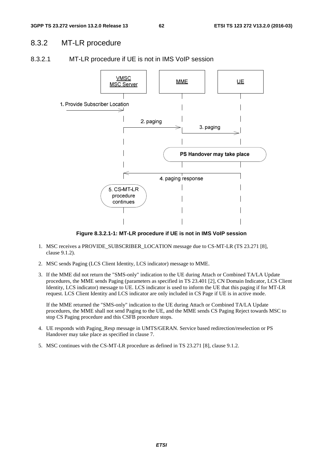## 8.3.2 MT-LR procedure



#### 8.3.2.1 MT-LR procedure if UE is not in IMS VoIP session

**Figure 8.3.2.1-1: MT-LR procedure if UE is not in IMS VoIP session** 

- 1. MSC receives a PROVIDE\_SUBSCRIBER\_LOCATION message due to CS-MT-LR (TS 23.271 [8], clause 9.1.2).
- 2. MSC sends Paging (LCS Client Identity, LCS indicator) message to MME.
- 3. If the MME did not return the "SMS-only" indication to the UE during Attach or Combined TA/LA Update procedures, the MME sends Paging (parameters as specified in TS 23.401 [2], CN Domain Indicator, LCS Client Identity, LCS indicator) message to UE. LCS indicator is used to inform the UE that this paging if for MT-LR request. LCS Client Identity and LCS indicator are only included in CS Page if UE is in active mode.

 If the MME returned the "SMS-only" indication to the UE during Attach or Combined TA/LA Update procedures, the MME shall not send Paging to the UE, and the MME sends CS Paging Reject towards MSC to stop CS Paging procedure and this CSFB procedure stops.

- 4. UE responds with Paging\_Resp message in UMTS/GERAN. Service based redirection/reselection or PS Handover may take place as specified in clause 7.
- 5. MSC continues with the CS-MT-LR procedure as defined in TS 23.271 [8], clause 9.1.2.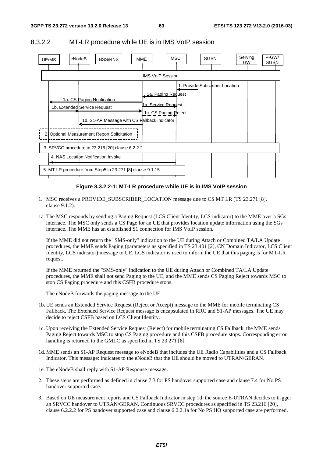

#### 8.3.2.2 MT-LR procedure while UE is in IMS VoIP session

#### **Figure 8.3.2.2-1: MT-LR procedure while UE is in IMS VoIP session**

- 1. MSC receives a PROVIDE\_SUBSCRIBER\_LOCATION message due to CS MT LR (TS 23.271 [8], clause 9.1.2).
- 1a. The MSC responds by sending a Paging Request (LCS Client Identity, LCS indicator) to the MME over a SGs interface. The MSC only sends a CS Page for an UE that provides location update information using the SGs interface. The MME has an established S1 connection for IMS VoIP session.

 If the MME did not return the "SMS-only" indication to the UE during Attach or Combined TA/LA Update procedures, the MME sends Paging (parameters as specified in TS 23.401 [2], CN Domain Indicator, LCS Client Identity, LCS indicator) message to UE. LCS indicator is used to inform the UE that this paging is for MT-LR request.

 If the MME returned the "SMS-only" indication to the UE during Attach or Combined TA/LA Update procedures, the MME shall not send Paging to the UE, and the MME sends CS Paging Reject towards MSC to stop CS Paging procedure and this CSFB procedure stops.

The eNodeB forwards the paging message to the UE.

- 1b. UE sends an Extended Service Request (Reject or Accept) message to the MME for mobile terminating CS Fallback. The Extended Service Request message is encapsulated in RRC and S1-AP messages. The UE may decide to reject CSFB based on LCS Client Identity.
- 1c. Upon receiving the Extended Service Request (Reject) for mobile terminating CS Fallback, the MME sends Paging Reject towards MSC to stop CS Paging procedure and this CSFB procedure stops. Corresponding error handling is returned to the GMLC as specified in TS 23.271 [8].
- 1d. MME sends an S1-AP Request message to eNodeB that includes the UE Radio Capabilities and a CS Fallback Indicator. This message: indicates to the eNodeB that the UE should be moved to UTRAN/GERAN.
- 1e. The eNodeB shall reply with S1-AP Response message.
- 2. These steps are performed as defined in clause 7.3 for PS handover supported case and clause 7.4 for No PS handover supported case.
- 3. Based on UE measurement reports and CS Fallback Indicator in step 1d, the source E-UTRAN decides to trigger an SRVCC handover to UTRAN/GERAN. Continuous SRVCC procedures as specified in TS 23.216 [20], clause 6.2.2.2 for PS handover supported case and clause 6.2.2.1a for No PS HO supported case are performed.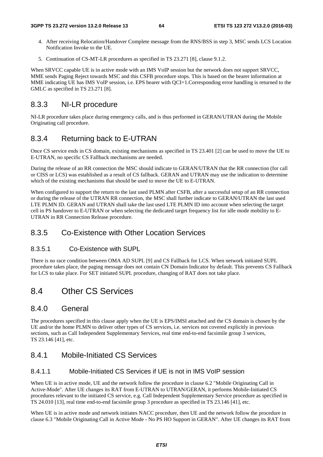- 4. After receiving Relocation/Handover Complete message from the RNS/BSS in step 3, MSC sends LCS Location Notification Invoke to the UE.
- 5. Continuation of CS-MT-LR procedures as specified in TS 23.271 [8], clause 9.1.2.

When SRVCC capable UE is in active mode with an IMS VoIP session but the network does not support SRVCC, MME sends Paging Reject towards MSC and this CSFB procedure stops. This is based on the bearer information at MME indicating UE has IMS VoIP session, i.e. EPS bearer with OCI=1.Corresponding error handling is returned to the GMLC as specified in TS 23.271 [8].

### 8.3.3 NI-LR procedure

NI-LR procedure takes place during emergency calls, and is thus performed in GERAN/UTRAN during the Mobile Originating call procedure.

### 8.3.4 Returning back to E-UTRAN

Once CS service ends in CS domain, existing mechanisms as specified in TS 23.401 [2] can be used to move the UE to E-UTRAN, no specific CS Fallback mechanisms are needed.

During the release of an RR connection the MSC should indicate to GERAN/UTRAN that the RR connection (for call or CISS or LCS) was established as a result of CS fallback. GERAN and UTRAN may use the indication to determine which of the existing mechanisms that should be used to move the UE to E-UTRAN.

When configured to support the return to the last used PLMN after CSFB, after a successful setup of an RR connection or during the release of the UTRAN RR connection, the MSC shall further indicate to GERAN/UTRAN the last used LTE PLMN ID. GERAN and UTRAN shall take the last used LTE PLMN ID into account when selecting the target cell in PS handover to E-UTRAN or when selecting the dedicated target frequency list for idle mode mobility to E-UTRAN in RR Connection Release procedure.

### 8.3.5 Co-Existence with Other Location Services

#### 8.3.5.1 Co-Existence with SUPL

There is no race condition between OMA AD SUPL [9] and CS Fallback for LCS. When network initiated SUPL procedure takes place, the paging message does not contain CN Domain Indicator by default. This prevents CS Fallback for LCS to take place. For SET initiated SUPL procedure, changing of RAT does not take place.

## 8.4 Other CS Services

#### 8.4.0 General

The procedures specified in this clause apply when the UE is EPS/IMSI attached and the CS domain is chosen by the UE and/or the home PLMN to deliver other types of CS services, i.e. services not covered explicitly in previous sections, such as Call Independent Supplementary Services, real time end-to-end facsimile group 3 services, TS 23.146 [41], etc.

### 8.4.1 Mobile-Initiated CS Services

### 8.4.1.1 Mobile-Initiated CS Services if UE is not in IMS VoIP session

When UE is in active mode, UE and the network follow the procedure in clause 6.2 "Mobile Originating Call in Active-Mode". After UE changes its RAT from E-UTRAN to UTRAN/GERAN, it performs Mobile-Initiated CS procedures relevant to the initiated CS service, e.g. Call Independent Supplementary Service procedure as specified in TS 24.010 [13], real time end-to-end facsimile group 3 procedure as specified in TS 23.146 [41], etc.

When UE is in active mode and network initiates NACC procedure, then UE and the network follow the procedure in clause 6.3 "Mobile Originating Call in Active Mode - No PS HO Support in GERAN". After UE changes its RAT from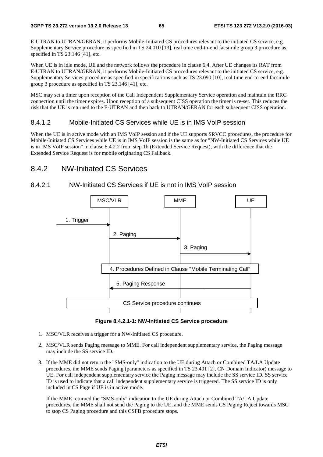E-UTRAN to UTRAN/GERAN, it performs Mobile-Initiated CS procedures relevant to the initiated CS service, e.g. Supplementary Service procedure as specified in TS 24.010 [13], real time end-to-end facsimile group 3 procedure as specified in TS 23.146 [41], etc.

When UE is in idle mode, UE and the network follows the procedure in clause 6.4. After UE changes its RAT from E-UTRAN to UTRAN/GERAN, it performs Mobile-Initiated CS procedures relevant to the initiated CS service, e.g. Supplementary Services procedure as specified in specifications such as TS 23.090 [10], real time end-to-end facsimile group 3 procedure as specified in TS 23.146 [41], etc.

MSC may set a timer upon reception of the Call Independent Supplementary Service operation and maintain the RRC connection until the timer expires. Upon reception of a subsequent CISS operation the timer is re-set. This reduces the risk that the UE is returned to the E-UTRAN and then back to UTRAN/GERAN for each subsequent CISS operation.

#### 8.4.1.2 Mobile-Initiated CS Services while UE is in IMS VoIP session

When the UE is in active mode with an IMS VoIP session and if the UE supports SRVCC procedures, the procedure for Mobile-Initiated CS Services while UE is in IMS VoIP session is the same as for "NW-Initiated CS Services while UE is in IMS VoIP session" in clause 8.4.2.2 from step 1b (Extended Service Request), with the difference that the Extended Service Request is for mobile originating CS Fallback.

### 8.4.2 NW-Initiated CS Services

#### 8.4.2.1 NW-Initiated CS Services if UE is not in IMS VoIP session



#### **Figure 8.4.2.1-1: NW-Initiated CS Service procedure**

- 1. MSC/VLR receives a trigger for a NW-Initiated CS procedure.
- 2. MSC/VLR sends Paging message to MME. For call independent supplementary service, the Paging message may include the SS service ID.
- 3. If the MME did not return the "SMS-only" indication to the UE during Attach or Combined TA/LA Update procedures, the MME sends Paging (parameters as specified in TS 23.401 [2], CN Domain Indicator) message to UE. For call independent supplementary service the Paging message may include the SS service ID. SS service ID is used to indicate that a call independent supplementary service is triggered. The SS service ID is only included in CS Page if UE is in active mode.

 If the MME returned the "SMS-only" indication to the UE during Attach or Combined TA/LA Update procedures, the MME shall not send the Paging to the UE, and the MME sends CS Paging Reject towards MSC to stop CS Paging procedure and this CSFB procedure stops.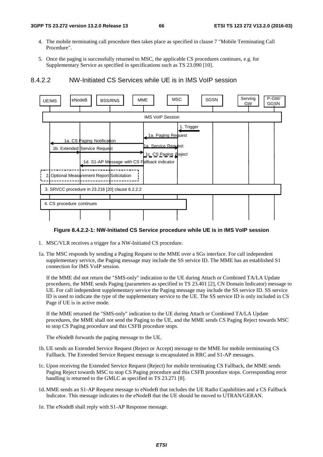- 4. The mobile terminating call procedure then takes place as specified in clause 7 "Mobile Terminating Call Procedure".
- 5. Once the paging is successfully returned to MSC, the applicable CS procedures continues, e.g. for Supplementary Service as specified in specifications such as TS 23.090 [10].





#### **Figure 8.4.2.2-1: NW-Initiated CS Service procedure while UE is in IMS VoIP session**

- 1. MSC/VLR receives a trigger for a NW-Initiated CS procedure.
- 1a. The MSC responds by sending a Paging Request to the MME over a SGs interface. For call independent supplementary service, the Paging message may include the SS service ID. The MME has an established S1 connection for IMS VoIP session.

 If the MME did not return the "SMS-only" indication to the UE during Attach or Combined TA/LA Update procedures, the MME sends Paging (parameters as specified in TS 23.401 [2], CN Domain Indicator) message to UE. For call independent supplementary service the Paging message may include the SS service ID. SS service ID is used to indicate the type of the supplementary service to the UE. The SS service ID is only included in CS Page if UE is in active mode.

 If the MME returned the "SMS-only" indication to the UE during Attach or Combined TA/LA Update procedures, the MME shall not send the Paging to the UE, and the MME sends CS Paging Reject towards MSC to stop CS Paging procedure and this CSFB procedure stops.

The eNodeB forwards the paging message to the UE.

- 1b. UE sends an Extended Service Request (Reject or Accept) message to the MME for mobile terminating CS Fallback. The Extended Service Request message is encapsulated in RRC and S1-AP messages.
- 1c. Upon receiving the Extended Service Request (Reject) for mobile terminating CS Fallback, the MME sends Paging Reject towards MSC to stop CS Paging procedure and this CSFB procedure stops. Corresponding error handling is returned to the GMLC as specified in TS 23.271 [8].
- 1d. MME sends an S1-AP Request message to eNodeB that includes the UE Radio Capabilities and a CS Fallback Indicator. This message indicates to the eNodeB that the UE should be moved to UTRAN/GERAN.
- 1e. The eNodeB shall reply with S1-AP Response message.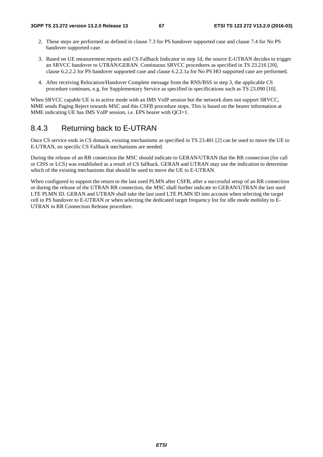- 2. These steps are performed as defined in clause 7.3 for PS handover supported case and clause 7.4 for No PS handover supported case.
- 3. Based on UE measurement reports and CS Fallback Indicator in step 1d, the source E-UTRAN decides to trigger an SRVCC handover to UTRAN/GERAN. Continuous SRVCC procedures as specified in TS 23.216 [20], clause 6.2.2.2 for PS handover supported case and clause 6.2.2.1a for No PS HO supported case are performed.
- 4. After receiving Relocation/Handover Complete message from the RNS/BSS in step 3, the applicable CS procedure continues, e.g. for Supplementary Service as specified in specifications such as TS 23.090 [10].

When SRVCC capable UE is in active mode with an IMS VoIP session but the network does not support SRVCC, MME sends Paging Reject towards MSC and this CSFB procedure stops. This is based on the bearer information at MME indicating UE has IMS VoIP session, i.e. EPS bearer with QCI=1.

## 8.4.3 Returning back to E-UTRAN

Once CS service ends in CS domain, existing mechanisms as specified in TS 23.401 [2] can be used to move the UE to E-UTRAN, no specific CS Fallback mechanisms are needed.

During the release of an RR connection the MSC should indicate to GERAN/UTRAN that the RR connection (for call or CISS or LCS) was established as a result of CS fallback. GERAN and UTRAN may use the indication to determine which of the existing mechanisms that should be used to move the UE to E-UTRAN.

When configured to support the return to the last used PLMN after CSFB, after a successful setup of an RR connection or during the release of the UTRAN RR connection, the MSC shall further indicate to GERAN/UTRAN the last used LTE PLMN ID. GERAN and UTRAN shall take the last used LTE PLMN ID into account when selecting the target cell in PS handover to E-UTRAN or when selecting the dedicated target frequency list for idle mode mobility to E-UTRAN in RR Connection Release procedure.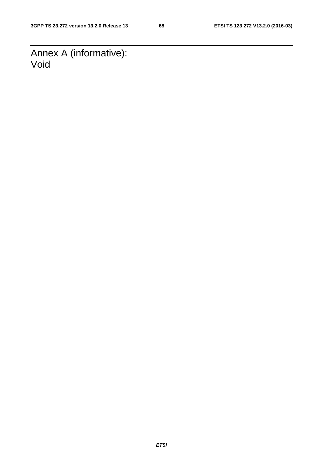Annex A (informative): Void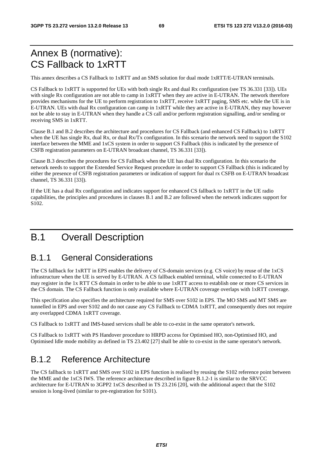# Annex B (normative): CS Fallback to 1xRTT

This annex describes a CS Fallback to 1xRTT and an SMS solution for dual mode 1xRTT/E-UTRAN terminals.

CS Fallback to 1xRTT is supported for UEs with both single Rx and dual Rx configuration (see TS 36.331 [33]). UEs with single Rx configuration are not able to camp in  $1xRTT$  when they are active in E-UTRAN. The network therefore provides mechanisms for the UE to perform registration to 1xRTT, receive 1xRTT paging, SMS etc. while the UE is in E-UTRAN. UEs with dual Rx configuration can camp in 1xRTT while they are active in E-UTRAN, they may however not be able to stay in E-UTRAN when they handle a CS call and/or perform registration signalling, and/or sending or receiving SMS in 1xRTT.

Clause B.1 and B.2 describes the architecture and procedures for CS Fallback (and enhanced CS Fallback) to 1xRTT when the UE has single Rx, dual Rx, or dual Rx/Tx configuration. In this scenario the network need to support the S102 interface between the MME and 1xCS system in order to support CS Fallback (this is indicated by the presence of CSFB registration parameters on E-UTRAN broadcast channel, TS 36.331 [33]).

Clause B.3 describes the procedures for CS Fallback when the UE has dual Rx configuration. In this scenario the network needs to support the Extended Service Request procedure in order to support CS Fallback (this is indicated by either the presence of CSFB registration parameters or indication of support for dual rx CSFB on E-UTRAN broadcast channel, TS 36.331 [33]).

If the UE has a dual Rx configuration and indicates support for enhanced CS fallback to 1xRTT in the UE radio capabilities, the principles and procedures in clauses B.1 and B.2 are followed when the network indicates support for S102.

# B.1 Overall Description

## B.1.1 General Considerations

The CS fallback for 1xRTT in EPS enables the delivery of CS-domain services (e.g. CS voice) by reuse of the 1xCS infrastructure when the UE is served by E-UTRAN. A CS fallback enabled terminal, while connected to E-UTRAN may register in the 1x RTT CS domain in order to be able to use 1xRTT access to establish one or more CS services in the CS domain. The CS Fallback function is only available where E-UTRAN coverage overlaps with 1xRTT coverage.

This specification also specifies the architecture required for SMS over S102 in EPS. The MO SMS and MT SMS are tunnelled in EPS and over S102 and do not cause any CS Fallback to CDMA 1xRTT, and consequently does not require any overlapped CDMA 1xRTT coverage.

CS Fallback to 1xRTT and IMS-based services shall be able to co-exist in the same operator's network.

CS Fallback to 1xRTT with PS Handover procedure to HRPD access for Optimised HO, non-Optimised HO, and Optimised Idle mode mobility as defined in TS 23.402 [27] shall be able to co-exist in the same operator's network.

# B.1.2 Reference Architecture

The CS fallback to 1xRTT and SMS over S102 in EPS function is realised by reusing the S102 reference point between the MME and the 1xCS IWS. The reference architecture described in figure B.1.2-1 is similar to the SRVCC architecture for E-UTRAN to 3GPP2 1xCS described in TS 23.216 [20], with the additional aspect that the S102 session is long-lived (similar to pre-registration for S101).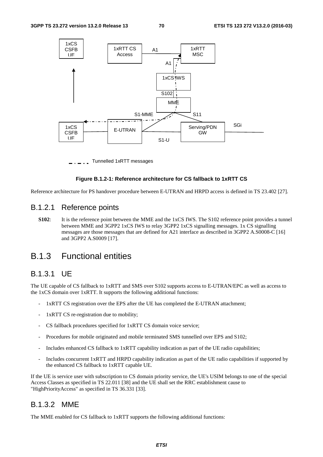

Tunnelled 1xRTT messages

#### **Figure B.1.2-1: Reference architecture for CS fallback to 1xRTT CS**

Reference architecture for PS handover procedure between E-UTRAN and HRPD access is defined in TS 23.402 [27].

#### B.1.2.1 Reference points

**S102**: It is the reference point between the MME and the 1xCS IWS. The S102 reference point provides a tunnel between MME and 3GPP2 1xCS IWS to relay 3GPP2 1xCS signalling messages. 1x CS signalling messages are those messages that are defined for A21 interface as described in 3GPP2 A.S0008-C [16] and 3GPP2 A.S0009 [17].

## B.1.3 Functional entities

### B.1.3.1 UE

The UE capable of CS fallback to 1xRTT and SMS over S102 supports access to E-UTRAN/EPC as well as access to the 1xCS domain over 1xRTT. It supports the following additional functions:

- 1xRTT CS registration over the EPS after the UE has completed the E-UTRAN attachment;
- 1xRTT CS re-registration due to mobility;
- CS fallback procedures specified for 1xRTT CS domain voice service;
- Procedures for mobile originated and mobile terminated SMS tunnelled over EPS and S102;
- Includes enhanced CS fallback to 1xRTT capability indication as part of the UE radio capabilities;
- Includes concurrent 1xRTT and HRPD capability indication as part of the UE radio capabilities if supported by the enhanced CS fallback to 1xRTT capable UE.

If the UE is service user with subscription to CS domain priority service, the UE's USIM belongs to one of the special Access Classes as specified in TS 22.011 [38] and the UE shall set the RRC establishment cause to "HighPriorityAccess" as specified in TS 36.331 [33].

### B.1.3.2 MME

The MME enabled for CS fallback to 1xRTT supports the following additional functions: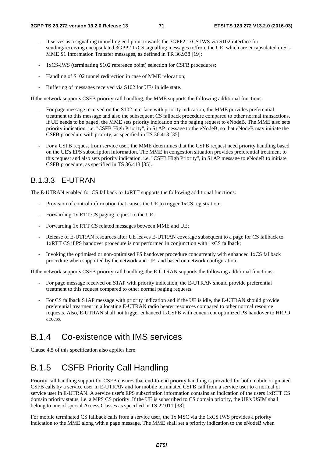- It serves as a signalling tunnelling end point towards the  $3GPP2$  1xCS IWS via S102 interface for sending/receiving encapsulated 3GPP2 1xCS signalling messages to/from the UE, which are encapsulated in S1- MME S1 Information Transfer messages, as defined in TR 36.938 [19];
- 1xCS-IWS (terminating S102 reference point) selection for CSFB procedures;
- Handling of S102 tunnel redirection in case of MME relocation;
- Buffering of messages received via S102 for UEs in idle state.

If the network supports CSFB priority call handling, the MME supports the following additional functions:

- For page message received on the S102 interface with priority indication, the MME provides preferential treatment to this message and also the subsequent CS fallback procedure compared to other normal transactions. If UE needs to be paged, the MME sets priority indication on the paging request to eNodeB. The MME also sets priority indication, i.e. "CSFB High Priority", in S1AP message to the eNodeB, so that eNodeB may initiate the CSFB procedure with priority, as specified in TS 36.413 [35].
- For a CSFB request from service user, the MME determines that the CSFB request need priority handling based on the UE's EPS subscription information. The MME in congestion situation provides preferential treatment to this request and also sets priority indication, i.e. "CSFB High Priority", in S1AP message to eNodeB to initiate CSFB procedure, as specified in TS 36.413 [35].

## B.1.3.3 E-UTRAN

The E-UTRAN enabled for CS fallback to 1xRTT supports the following additional functions:

- Provision of control information that causes the UE to trigger 1xCS registration;
- Forwarding 1x RTT CS paging request to the UE;
- Forwarding 1x RTT CS related messages between MME and UE;
- Release of E-UTRAN resources after UE leaves E-UTRAN coverage subsequent to a page for CS fallback to 1xRTT CS if PS handover procedure is not performed in conjunction with 1xCS fallback;
- Invoking the optimised or non-optimised PS handover procedure concurrently with enhanced 1xCS fallback procedure when supported by the network and UE, and based on network configuration.

If the network supports CSFB priority call handling, the E-UTRAN supports the following additional functions:

- For page message received on S1AP with priority indication, the E-UTRAN should provide preferential treatment to this request compared to other normal paging requests.
- For CS fallback S1AP message with priority indication and if the UE is idle, the E-UTRAN should provide preferential treatment in allocating E-UTRAN radio bearer resources compared to other normal resource requests. Also, E-UTRAN shall not trigger enhanced 1xCSFB with concurrent optimized PS handover to HRPD access.

## B.1.4 Co-existence with IMS services

Clause 4.5 of this specification also applies here.

# B.1.5 CSFB Priority Call Handling

Priority call handling support for CSFB ensures that end-to-end priority handling is provided for both mobile originated CSFB calls by a service user in E-UTRAN and for mobile terminated CSFB call from a service user to a normal or service user in E-UTRAN. A service user's EPS subscription information contains an indication of the users 1xRTT CS domain priority status, i.e. a MPS CS priority. If the UE is subscribed to CS domain priority, the UE's USIM shall belong to one of special Access Classes as specified in TS 22.011 [38].

For mobile terminated CS fallback calls from a service user, the 1x MSC via the 1xCS IWS provides a priority indication to the MME along with a page message. The MME shall set a priority indication to the eNodeB when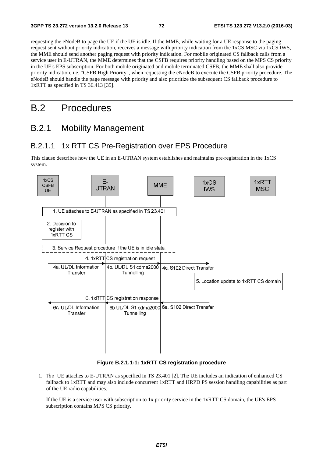requesting the eNodeB to page the UE if the UE is idle. If the MME, while waiting for a UE response to the paging request sent without priority indication, receives a message with priority indication from the 1xCS MSC via 1xCS IWS, the MME should send another paging request with priority indication. For mobile originated CS fallback calls from a service user in E-UTRAN, the MME determines that the CSFB requires priority handling based on the MPS CS priority in the UE's EPS subscription. For both mobile originated and mobile terminated CSFB, the MME shall also provide priority indication, i.e. "CSFB High Priority", when requesting the eNodeB to execute the CSFB priority procedure. The eNodeB should handle the page message with priority and also prioritize the subsequent CS fallback procedure to 1xRTT as specified in TS 36.413 [35].

## B.2 Procedures

## B.2.1 Mobility Management

#### B.2.1.1 1x RTT CS Pre-Registration over EPS Procedure

This clause describes how the UE in an E-UTRAN system establishes and maintains pre-registration in the 1xCS system.



#### **Figure B.2.1.1-1: 1xRTT CS registration procedure**

1. The UE attaches to E-UTRAN as specified in TS 23.401 [2]. The UE includes an indication of enhanced CS fallback to 1xRTT and may also include concurrent 1xRTT and HRPD PS session handling capabilities as part of the UE radio capabilities.

 If the UE is a service user with subscription to 1x priority service in the 1xRTT CS domain, the UE's EPS subscription contains MPS CS priority.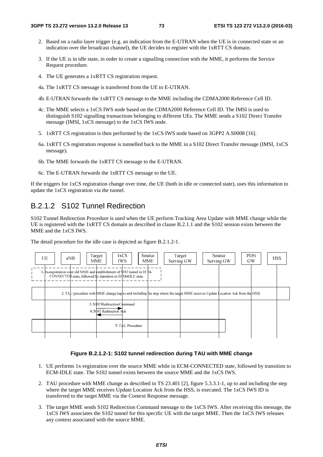- 2. Based on a radio layer trigger (e.g. an indication from the E-UTRAN when the UE is in connected state or an indication over the broadcast channel), the UE decides to register with the 1xRTT CS domain.
- 3. If the UE is in idle state, in order to create a signalling connection with the MME, it performs the Service Request procedure.
- 4. The UE generates a 1xRTT CS registration request.
- 4a. The 1xRTT CS message is transferred from the UE to E-UTRAN.
- 4b. E-UTRAN forwards the 1xRTT CS message to the MME including the CDMA2000 Reference Cell ID.
- 4c. The MME selects a 1xCS IWS node based on the CDMA2000 Reference Cell ID. The IMSI is used to distinguish S102 signalling transactions belonging to different UEs. The MME sends a S102 Direct Transfer message (IMSI, 1xCS message) to the 1xCS IWS node.
- 5. 1xRTT CS registration is then performed by the 1xCS IWS node based on 3GPP2 A.S0008 [16].
- 6a. 1xRTT CS registration response is tunnelled back to the MME in a S102 Direct Transfer message (IMSI, 1xCS message).
- 6b. The MME forwards the 1xRTT CS message to the E-UTRAN.
- 6c. The E-UTRAN forwards the 1xRTT CS message to the UE.

If the triggers for 1xCS registration change over time, the UE (both in idle or connected state), uses this information to update the 1xCS registration via the tunnel.

#### B.2.1.2 S102 Tunnel Redirection

S102 Tunnel Redirection Procedure is used when the UE perform Tracking Area Update with MME change while the UE is registered with the 1xRTT CS domain as described in clause B.2.1.1 and the S102 session exists between the MME and the 1xCS IWS.

The detail procedure for the idle case is depicted as figure B.2.1.2-1.

| UE | eNB                                                                                                                                    | Target<br>MME                                          | 1xCS<br><b>IWS</b> | Source<br><b>MME</b> | Target<br>Serving GW<br>Serving GW                                                                                             | <b>PDN</b><br>Source<br><b>GW</b> | <b>HSS</b> |
|----|----------------------------------------------------------------------------------------------------------------------------------------|--------------------------------------------------------|--------------------|----------------------|--------------------------------------------------------------------------------------------------------------------------------|-----------------------------------|------------|
|    | 1. Ix-registration over old MME and establishment of \$102 tunnel in ECM-<br>CONNECTED state, followed by transition to ECM-IDLE state |                                                        |                    |                      |                                                                                                                                |                                   |            |
|    |                                                                                                                                        |                                                        |                    |                      | 2. TAU procedure with MME change (up to and including the step where the target MME receives Update Location Ack from the HSS) |                                   |            |
|    |                                                                                                                                        | 3. S102 Redirection Command<br>4. S102 Redirection Ack |                    |                      |                                                                                                                                |                                   |            |
|    |                                                                                                                                        |                                                        | 5. TAU Procedure   |                      |                                                                                                                                |                                   |            |

#### **Figure B.2.1.2-1: S102 tunnel redirection during TAU with MME change**

- 1. UE performs 1x-registration over the source MME while in ECM-CONNECTED state, followed by transition to ECM-IDLE state. The S102 tunnel exists between the source MME and the 1xCS IWS.
- 2. TAU procedure with MME change as described in TS 23.401 [2], figure 5.3.3.1-1, up to and including the step where the target MME receives Update Location Ack from the HSS, is executed. The 1xCS IWS ID is transferred to the target MME via the Context Response message.
- 3. The target MME sends S102 Redirection Command message to the 1xCS IWS. After receiving this message, the 1xCS IWS associates the S102 tunnel for this specific UE with the target MME. Then the 1xCS IWS releases any context associated with the source MME.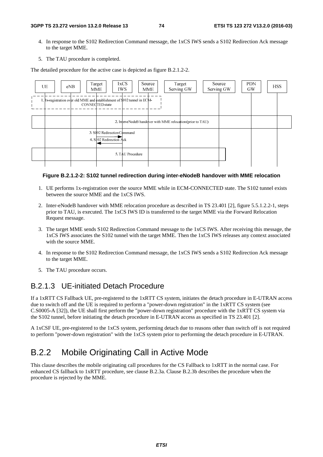- 4. In response to the S102 Redirection Command message, the 1xCS IWS sends a S102 Redirection Ack message to the target MME.
- 5. The TAU procedure is completed.

The detailed procedure for the active case is depicted as figure B.2.1.2-2.

| UE<br>eNB                                                                  | Target<br>1xCS<br>IWS.<br><b>MME</b>                   | Target<br>Source<br>Serving GW<br><b>MME</b>                | Source<br>Serving GW | <b>PDN</b><br><b>HSS</b><br>GW |
|----------------------------------------------------------------------------|--------------------------------------------------------|-------------------------------------------------------------|----------------------|--------------------------------|
| 1. Itx-registration over old MME and establishment of \$102 tunnel in ECM- | CONNECTED state                                        |                                                             |                      |                                |
|                                                                            |                                                        | 2. Inter eNodeB handqver with MME relocation (prior to TAU) |                      |                                |
|                                                                            | 3. S102 Redirection Command<br>4. S102 Redirection Ack |                                                             |                      |                                |
|                                                                            | 5. TAU Procedure                                       |                                                             |                      |                                |

#### **Figure B.2.1.2-2: S102 tunnel redirection during inter-eNodeB handover with MME relocation**

- 1. UE performs 1x-registration over the source MME while in ECM-CONNECTED state. The S102 tunnel exists between the source MME and the 1xCS IWS.
- 2. Inter-eNodeB handover with MME relocation procedure as described in TS 23.401 [2], figure 5.5.1.2.2-1, steps prior to TAU, is executed. The 1xCS IWS ID is transferred to the target MME via the Forward Relocation Request message.
- 3. The target MME sends S102 Redirection Command message to the 1xCS IWS. After receiving this message, the 1xCS IWS associates the S102 tunnel with the target MME. Then the 1xCS IWS releases any context associated with the source MME.
- 4. In response to the S102 Redirection Command message, the 1xCS IWS sends a S102 Redirection Ack message to the target MME.
- 5. The TAU procedure occurs.

#### B.2.1.3 UE-initiated Detach Procedure

If a 1xRTT CS Fallback UE, pre-registered to the 1xRTT CS system, initiates the detach procedure in E-UTRAN access due to switch off and the UE is required to perform a "power-down registration" in the 1xRTT CS system (see C.S0005-A [32]), the UE shall first perform the "power-down registration" procedure with the 1xRTT CS system via the S102 tunnel, before initiating the detach procedure in E-UTRAN access as specified in TS 23.401 [2].

A 1xCSF UE, pre-registered to the 1xCS system, performing detach due to reasons other than switch off is not required to perform "power-down registration" with the 1xCS system prior to performing the detach procedure in E-UTRAN.

## B.2.2 Mobile Originating Call in Active Mode

This clause describes the mobile originating call procedures for the CS Fallback to 1xRTT in the normal case. For enhanced CS fallback to 1xRTT procedure, see clause B.2.3a. Clause B.2.3b describes the procedure when the procedure is rejected by the MME.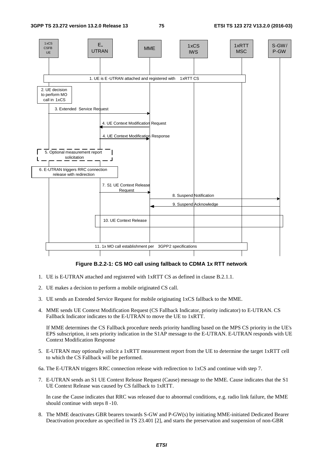

#### **Figure B.2.2-1: CS MO call using fallback to CDMA 1x RTT network**

- 1. UE is E-UTRAN attached and registered with 1xRTT CS as defined in clause B.2.1.1.
- 2. UE makes a decision to perform a mobile originated CS call.
- 3. UE sends an Extended Service Request for mobile originating 1xCS fallback to the MME.
- 4. MME sends UE Context Modification Request (CS Fallback Indicator, priority indicator) to E-UTRAN. CS Fallback Indicator indicates to the E-UTRAN to move the UE to 1xRTT.

 If MME determines the CS Fallback procedure needs priority handling based on the MPS CS priority in the UE's EPS subscription, it sets priority indication in the S1AP message to the E-UTRAN. E-UTRAN responds with UE Context Modification Response

- 5. E-UTRAN may optionally solicit a 1xRTT measurement report from the UE to determine the target 1xRTT cell to which the CS Fallback will be performed.
- 6a. The E-UTRAN triggers RRC connection release with redirection to 1xCS and continue with step 7.
- 7. E-UTRAN sends an S1 UE Context Release Request (Cause) message to the MME. Cause indicates that the S1 UE Context Release was caused by CS fallback to 1xRTT.

 In case the Cause indicates that RRC was released due to abnormal conditions, e.g. radio link failure, the MME should continue with steps 8 -10.

8. The MME deactivates GBR bearers towards S-GW and P-GW(s) by initiating MME-initiated Dedicated Bearer Deactivation procedure as specified in TS 23.401 [2], and starts the preservation and suspension of non-GBR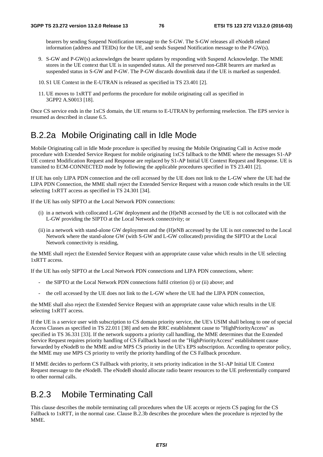bearers by sending Suspend Notification message to the S-GW. The S-GW releases all eNodeB related information (address and TEIDs) for the UE, and sends Suspend Notification message to the P-GW(s).

- 9. S-GW and P-GW(s) acknowledges the bearer updates by responding with Suspend Acknowledge. The MME stores in the UE context that UE is in suspended status. All the preserved non-GBR bearers are marked as suspended status in S-GW and P-GW. The P-GW discards downlink data if the UE is marked as suspended.
- 10. S1 UE Context in the E-UTRAN is released as specified in TS 23.401 [2].
- 11. UE moves to 1xRTT and performs the procedure for mobile originating call as specified in 3GPP2 A.S0013 [18].

Once CS service ends in the 1xCS domain, the UE returns to E-UTRAN by performing reselection. The EPS service is resumed as described in clause 6.5.

## B.2.2a Mobile Originating call in Idle Mode

Mobile Originating call in Idle Mode procedure is specified by reusing the Mobile Originating Call in Active mode procedure with Extended Service Request for mobile originating 1xCS fallback to the MME where the messages S1-AP UE context Modification Request and Response are replaced by S1-AP Initial UE Context Request and Response. UE is transited to ECM-CONNECTED mode by following the applicable procedures specified in TS 23.401 [2].

If UE has only LIPA PDN connection and the cell accessed by the UE does not link to the L-GW where the UE had the LIPA PDN Connection, the MME shall reject the Extended Service Request with a reason code which results in the UE selecting 1xRTT access as specified in TS 24.301 [34].

If the UE has only SIPTO at the Local Network PDN connections:

- (i) in a network with collocated L-GW deployment and the (H)eNB accessed by the UE is not collocated with the L-GW providing the SIPTO at the Local Network connectivity; or
- (ii) in a network with stand-alone GW deployment and the (H)eNB accessed by the UE is not connected to the Local Network where the stand-alone GW (with S-GW and L-GW collocated) providing the SIPTO at the Local Network connectivity is residing,

the MME shall reject the Extended Service Request with an appropriate cause value which results in the UE selecting 1xRTT access.

If the UE has only SIPTO at the Local Network PDN connections and LIPA PDN connections, where:

- the SIPTO at the Local Network PDN connections fulfil criterion (i) or (ii) above; and
- the cell accessed by the UE does not link to the L-GW where the UE had the LIPA PDN connection,

the MME shall also reject the Extended Service Request with an appropriate cause value which results in the UE selecting 1xRTT access.

If the UE is a service user with subscription to CS domain priority service, the UE's USIM shall belong to one of special Access Classes as specified in TS 22.011 [38] and sets the RRC establishment cause to "HighPriorityAccess" as specified in TS 36.331 [33]. If the network supports a priority call handling, the MME determines that the Extended Service Request requires priority handling of CS Fallback based on the "HighPriorityAccess" establishment cause forwarded by eNodeB to the MME and/or MPS CS priority in the UE's EPS subscription. According to operator policy, the MME may use MPS CS priority to verify the priority handling of the CS Fallback procedure.

If MME decides to perform CS Fallback with priority, it sets priority indication in the S1-AP Initial UE Context Request message to the eNodeB. The eNodeB should allocate radio bearer resources to the UE preferentially compared to other normal calls.

## B.2.3 Mobile Terminating Call

This clause describes the mobile terminating call procedures when the UE accepts or rejects CS paging for the CS Fallback to 1xRTT, in the normal case. Clause B.2.3b describes the procedure when the procedure is rejected by the MME.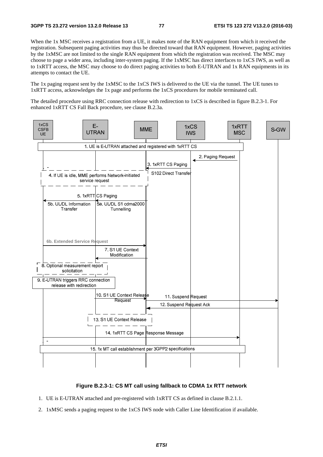When the 1x MSC receives a registration from a UE, it makes note of the RAN equipment from which it received the registration. Subsequent paging activities may thus be directed toward that RAN equipment. However, paging activities by the 1xMSC are not limited to the single RAN equipment from which the registration was received. The MSC may choose to page a wider area, including inter-system paging. If the 1xMSC has direct interfaces to 1xCS IWS, as well as to 1xRTT access, the MSC may choose to do direct paging activities to both E-UTRAN and 1x RAN equipments in its attempts to contact the UE.

The 1x paging request sent by the 1xMSC to the 1xCS IWS is delivered to the UE via the tunnel. The UE tunes to 1xRTT access, acknowledges the 1x page and performs the 1xCS procedures for mobile terminated call.

The detailed procedure using RRC connection release with redirection to 1xCS is described in figure B.2.3-1. For enhanced 1xRTT CS Fall Back procedure, see clause B.2.3a.



#### **Figure B.2.3-1: CS MT call using fallback to CDMA 1x RTT network**

- 1. UE is E-UTRAN attached and pre-registered with 1xRTT CS as defined in clause B.2.1.1.
- 2. 1xMSC sends a paging request to the 1xCS IWS node with Caller Line Identification if available.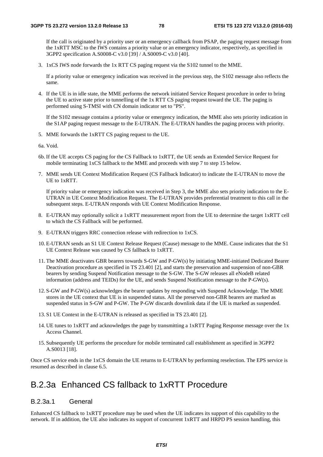If the call is originated by a priority user or an emergency callback from PSAP, the paging request message from the 1xRTT MSC to the IWS contains a priority value or an emergency indicator, respectively, as specified in 3GPP2 specification A.S0008-C v3.0 [39] / A.S0009-C v3.0 [40].

3. 1xCS IWS node forwards the 1x RTT CS paging request via the S102 tunnel to the MME.

 If a priority value or emergency indication was received in the previous step, the S102 message also reflects the same.

4. If the UE is in idle state, the MME performs the network initiated Service Request procedure in order to bring the UE to active state prior to tunnelling of the 1x RTT CS paging request toward the UE. The paging is performed using S-TMSI with CN domain indicator set to "PS".

 If the S102 message contains a priority value or emergency indication, the MME also sets priority indication in the S1AP paging request message to the E-UTRAN. The E-UTRAN handles the paging process with priority.

5. MME forwards the 1xRTT CS paging request to the UE.

6a. Void.

- 6b. If the UE accepts CS paging for the CS Fallback to 1xRTT, the UE sends an Extended Service Request for mobile terminating 1xCS fallback to the MME and proceeds with step 7 to step 15 below.
- 7. MME sends UE Context Modification Request (CS Fallback Indicator) to indicate the E-UTRAN to move the UE to 1xRTT.

 If priority value or emergency indication was received in Step 3, the MME also sets priority indication to the E-UTRAN in UE Context Modification Request. The E-UTRAN provides preferential treatment to this call in the subsequent steps. E-UTRAN responds with UE Context Modification Response.

- 8. E-UTRAN may optionally solicit a 1xRTT measurement report from the UE to determine the target 1xRTT cell to which the CS Fallback will be performed.
- 9. E-UTRAN triggers RRC connection release with redirection to 1xCS.
- 10. E-UTRAN sends an S1 UE Context Release Request (Cause) message to the MME. Cause indicates that the S1 UE Context Release was caused by CS fallback to 1xRTT.
- 11. The MME deactivates GBR bearers towards S-GW and P-GW(s) by initiating MME-initiated Dedicated Bearer Deactivation procedure as specified in TS 23.401 [2], and starts the preservation and suspension of non-GBR bearers by sending Suspend Notification message to the S-GW. The S-GW releases all eNodeB related information (address and TEIDs) for the UE, and sends Suspend Notification message to the P-GW(s).
- 12. S-GW and P-GW(s) acknowledges the bearer updates by responding with Suspend Acknowledge. The MME stores in the UE context that UE is in suspended status. All the preserved non-GBR bearers are marked as suspended status in S-GW and P-GW. The P-GW discards downlink data if the UE is marked as suspended.
- 13. S1 UE Context in the E-UTRAN is released as specified in TS 23.401 [2].
- 14. UE tunes to 1xRTT and acknowledges the page by transmitting a 1xRTT Paging Response message over the 1x Access Channel.
- 15. Subsequently UE performs the procedure for mobile terminated call establishment as specified in 3GPP2 A.S0013 [18].

Once CS service ends in the 1xCS domain the UE returns to E-UTRAN by performing reselection. The EPS service is resumed as described in clause 6.5.

## B.2.3a Enhanced CS fallback to 1xRTT Procedure

#### B.2.3a.1 General

Enhanced CS fallback to 1xRTT procedure may be used when the UE indicates its support of this capability to the network. If in addition, the UE also indicates its support of concurrent 1xRTT and HRPD PS session handling, this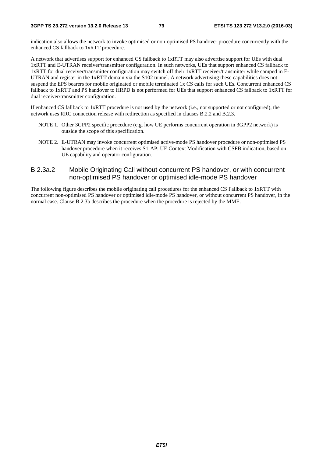indication also allows the network to invoke optimised or non-optimised PS handover procedure concurrently with the enhanced CS fallback to 1xRTT procedure.

A network that advertises support for enhanced CS fallback to 1xRTT may also advertise support for UEs with dual 1xRTT and E-UTRAN receiver/transmitter configuration. In such networks, UEs that support enhanced CS fallback to 1xRTT for dual receiver/transmitter configuration may switch off their 1xRTT receiver/transmitter while camped in E-UTRAN and register in the 1xRTT domain via the S102 tunnel. A network advertising these capabilities does not suspend the EPS bearers for mobile originated or mobile terminated 1x CS calls for such UEs. Concurrent enhanced CS fallback to 1xRTT and PS handover to HRPD is not performed for UEs that support enhanced CS fallback to 1xRTT for dual receiver/transmitter configuration.

If enhanced CS fallback to 1xRTT procedure is not used by the network (i.e., not supported or not configured), the network uses RRC connection release with redirection as specified in clauses B.2.2 and B.2.3.

- NOTE 1. Other 3GPP2 specific procedure (e.g. how UE performs concurrent operation in 3GPP2 network) is outside the scope of this specification.
- NOTE 2. E-UTRAN may invoke concurrent optimised active-mode PS handover procedure or non-optimised PS handover procedure when it receives S1-AP: UE Context Modification with CSFB indication, based on UE capability and operator configuration.

#### B.2.3a.2 Mobile Originating Call without concurrent PS handover, or with concurrent non-optimised PS handover or optimised idle-mode PS handover

The following figure describes the mobile originating call procedures for the enhanced CS Fallback to 1xRTT with concurrent non-optimised PS handover or optimised idle-mode PS handover, or without concurrent PS handover, in the normal case. Clause B.2.3b describes the procedure when the procedure is rejected by the MME.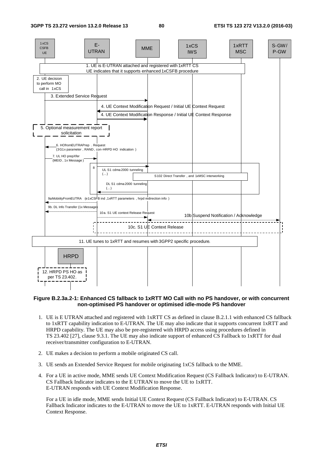

#### **Figure B.2.3a.2-1: Enhanced CS fallback to 1xRTT MO Call with no PS handover, or with concurrent non-optimised PS handover or optimised idle-mode PS handover**

- 1. UE is E UTRAN attached and registered with 1xRTT CS as defined in clause B.2.1.1 with enhanced CS fallback to 1xRTT capability indication to E-UTRAN. The UE may also indicate that it supports concurrent 1xRTT and HRPD capability. The UE may also be pre-registered with HRPD access using procedures defined in TS 23.402 [27], clause 9.3.1. The UE may also indicate support of enhanced CS Fallback to 1xRTT for dual receiver/transmitter configuration to E-UTRAN.
- 2. UE makes a decision to perform a mobile originated CS call.
- 3. UE sends an Extended Service Request for mobile originating 1xCS fallback to the MME.
- 4. For a UE in active mode, MME sends UE Context Modification Request (CS Fallback Indicator) to E-UTRAN. CS Fallback Indicator indicates to the E UTRAN to move the UE to 1xRTT. E-UTRAN responds with UE Context Modification Response.

 For a UE in idle mode, MME sends Initial UE Context Request (CS Fallback Indicator) to E-UTRAN. CS Fallback Indicator indicates to the E-UTRAN to move the UE to 1xRTT. E-UTRAN responds with Initial UE Context Response.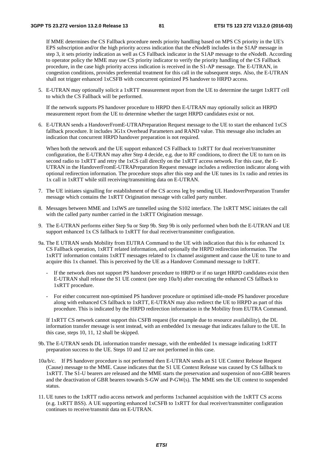If MME determines the CS Fallback procedure needs priority handling based on MPS CS priority in the UE's EPS subscription and/or the high priority access indication that the eNodeB includes in the S1AP message in step 3, it sets priority indication as well as CS Fallback indicator in the S1AP message to the eNodeB. According to operator policy the MME may use CS priority indicator to verify the priority handling of the CS Fallback procedure, in the case high priority access indication is received in the S1-AP message. The E-UTRAN, in congestion conditions, provides preferential treatment for this call in the subsequent steps. Also, the E-UTRAN shall not trigger enhanced 1xCSFB with concurrent optimized PS handover to HRPD access.

5. E-UTRAN may optionally solicit a 1xRTT measurement report from the UE to determine the target 1xRTT cell to which the CS Fallback will be performed.

 If the network supports PS handover procedure to HRPD then E-UTRAN may optionally solicit an HRPD measurement report from the UE to determine whether the target HRPD candidates exist or not.

6. E-UTRAN sends a HandoverFromE-UTRAPreparation Request message to the UE to start the enhanced 1xCS fallback procedure. It includes 3G1x Overhead Parameters and RAND value. This message also includes an indication that concurrent HRPD handover preparation is not required.

When both the network and the UE support enhanced CS Fallback to 1xRTT for dual receiver/transmitter configuration, the E-UTRAN may after Step 4 decide, e.g. due to RF conditions, to direct the UE to turn on its second radio to 1xRTT and retry the 1xCS call directly on the 1xRTT access network. For this case, the E-UTRAN in the HandoverFromE-UTRAPreparation Request message includes a redirection indicator along with optional redirection information. The procedure stops after this step and the UE tunes its 1x radio and retries its 1x call in 1xRTT while still receiving/transmitting data on E-UTRAN.

- 7. The UE initiates signalling for establishment of the CS access leg by sending UL HandoverPreparation Transfer message which contains the 1xRTT Origination message with called party number.
- 8. Messages between MME and 1xIWS are tunnelled using the S102 interface. The 1xRTT MSC initiates the call with the called party number carried in the 1xRTT Origination message.
- 9. The E-UTRAN performs either Step 9a or Step 9b. Step 9b is only performed when both the E-UTRAN and UE support enhanced 1x CS fallback to 1xRTT for dual receiver/transmitter configuration.
- 9a. The E UTRAN sends Mobility from EUTRA Command to the UE with indication that this is for enhanced 1x CS Fallback operation, 1xRTT related information, and optionally the HRPD redirection information. The 1xRTT information contains 1xRTT messages related to 1x channel assignment and cause the UE to tune to and acquire this 1x channel. This is perceived by the UE as a Handover Command message to 1xRTT.
	- If the network does not support PS handover procedure to HRPD or if no target HRPD candidates exist then E-UTRAN shall release the S1 UE context (see step 10a/b) after executing the enhanced CS fallback to 1xRTT procedure.
	- For either concurrent non-optimised PS handover procedure or optimised idle-mode PS handover procedure along with enhanced CS fallback to 1xRTT, E-UTRAN may also redirect the UE to HRPD as part of this procedure. This is indicated by the HRPD redirection information in the Mobility from EUTRA Command.

 If 1xRTT CS network cannot support this CSFB request (for example due to resource availability), the DL information transfer message is sent instead, with an embedded 1x message that indicates failure to the UE. In this case, steps 10, 11, 12 shall be skipped.

- 9b. The E-UTRAN sends DL information transfer message, with the embedded 1x message indicating 1xRTT preparation success to the UE. Steps 10 and 12 are not performed in this case.
- 10a/b/c. If PS handover procedure is not performed then E-UTRAN sends an S1 UE Context Release Request (Cause) message to the MME. Cause indicates that the S1 UE Context Release was caused by CS fallback to 1xRTT. The S1-U bearers are released and the MME starts the preservation and suspension of non-GBR bearers and the deactivation of GBR bearers towards S-GW and P-GW(s). The MME sets the UE context to suspended status.
- 11. UE tunes to the 1xRTT radio access network and performs 1xchannel acquisition with the 1xRTT CS access (e.g. 1xRTT BSS). A UE supporting enhanced 1xCSFB to 1xRTT for dual receiver/transmitter configuration continues to receive/transmit data on E-UTRAN.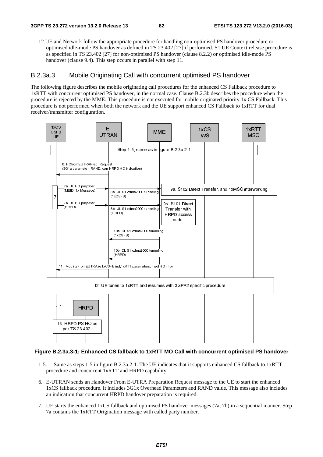12.UE and Network follow the appropriate procedure for handling non-optimised PS handover procedure or optimised idle-mode PS handover as defined in TS 23.402 [27] if performed. S1 UE Context release procedure is as specified in TS 23.402 [27] for non-optimised PS handover (clause 8.2.2) or optimised idle-mode PS handover (clause 9.4). This step occurs in parallel with step 11.

#### B.2.3a.3 Mobile Originating Call with concurrent optimised PS handover

The following figure describes the mobile originating call procedures for the enhanced CS Fallback procedure to 1xRTT with concurrent optimised PS handover, in the normal case. Clause B.2.3b describes the procedure when the procedure is rejected by the MME. This procedure is not executed for mobile originated priority 1x CS Fallback. This procedure is not performed when both the network and the UE support enhanced CS Fallback to 1xRTT for dual receiver/transmitter configuration.



#### **Figure B.2.3a.3-1: Enhanced CS fallback to 1xRTT MO Call with concurrent optimised PS handover**

- 1-5. Same as steps 1-5 in figure B.2.3a.2-1. The UE indicates that it supports enhanced CS fallback to 1xRTT procedure and concurrent 1xRTT and HRPD capability.
- 6. E-UTRAN sends an Handover From E-UTRA Preparation Request message to the UE to start the enhanced 1xCS fallback procedure. It includes 3G1x Overhead Parameters and RAND value. This message also includes an indication that concurrent HRPD handover preparation is required.
- 7. UE starts the enhanced 1xCS fallback and optimised PS handover messages (7a, 7b) in a sequential manner. Step 7a contains the 1xRTT Origination message with called party number.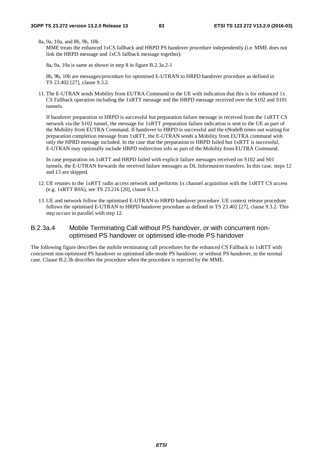8a, 9a, 10a, and 8b, 9b, 10b.

MME treats the enhanced 1xCS fallback and HRPD PS handover procedure independently (i.e. MME does not link the HRPD message and 1xCS fallback message together).

8a, 9a, 10a is same as shown in step 8 in figure B.2.3a.2-1

 8b, 9b, 10b are messages/procedure for optimised E-UTRAN to HRPD handover procedure as defined in TS 23.402 [27], clause 9.3.2.

11. The E-UTRAN sends Mobility from EUTRA Command to the UE with indication that this is for enhanced 1x CS Fallback operation including the 1xRTT message and the HRPD message received over the S102 and S101 tunnels.

 If handover preparation to HRPD is successful but preparation failure message in received from the 1xRTT CS network via the S102 tunnel, the message for 1xRTT preparation failure indication is sent to the UE as part of the Mobility from EUTRA Command. If handover to HRPD is successful and the eNodeB times out waiting for preparation completion message from 1xRTT, the E-UTRAN sends a Mobility from EUTRA command with only the HPRD message included. In the case that the preparation to HRPD failed but 1xRTT is successful, E-UTRAN may optionally include HRPD redirection info as part of the Mobility from EUTRA Command.

 In case preparation on 1xRTT and HRPD failed with explicit failure messages received on S102 and S01 tunnels, the E-UTRAN forwards the received failure messages as DL Information transfers. In this case, steps 12 and 13 are skipped.

- 12. UE retunes to the 1xRTT radio access network and performs 1x channel acquisition with the 1xRTT CS access (e.g. 1xRTT BSS), see TS 23.216 [20], clause 6.1.3.
- 13. UE and network follow the optimised E-UTRAN to HRPD handover procedure. UE context release procedure follows the optimised E-UTRAN to HRPD handover procedure as defined in TS 23.402 [27], clause 9.3.2. This step occurs in parallel with step 12.

#### B.2.3a.4 Mobile Terminating Call without PS handover, or with concurrent nonoptimised PS handover or optimised idle-mode PS handover

The following figure describes the mobile terminating call procedures for the enhanced CS Fallback to 1xRTT with concurrent non-optimised PS handover or optimised idle-mode PS handover, or without PS handover, in the normal case. Clause B.2.3b describes the procedure when the procedure is rejected by the MME.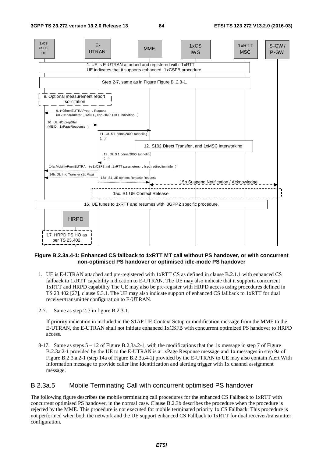

#### **Figure B.2.3a.4-1: Enhanced CS fallback to 1xRTT MT call without PS handover, or with concurrent non-optimised PS handover or optimised idle-mode PS handover**

- 1. UE is E-UTRAN attached and pre-registered with 1xRTT CS as defined in clause B.2.1.1 with enhanced CS fallback to 1xRTT capability indication to E-UTRAN. The UE may also indicate that it supports concurrent 1xRTT and HRPD capability The UE may also be pre-register with HRPD access using procedures defined in TS 23.402 [27], clause 9.3.1. The UE may also indicate support of enhanced CS fallback to 1xRTT for dual receiver/transmitter configuration to E-UTRAN.
- 2-7. Same as step 2-7 in figure B.2.3-1.

 If priority indication in included in the S1AP UE Context Setup or modification message from the MME to the E-UTRAN, the E-UTRAN shall not initiate enhanced 1xCSFB with concurrent optimized PS handover to HRPD access.

8-17. Same as steps 5 – 12 of Figure B.2.3a.2-1, with the modifications that the 1x message in step 7 of Figure B.2.3a.2-1 provided by the UE to the E-UTRAN is a 1xPage Response message and 1x messages in step 9a of Figure B.2.3.a.2-1 (step 14a of Figure B.2.3a.4-1) provided by the E-UTRAN to UE may also contain Alert With Information message to provide caller line Identification and alerting trigger with 1x channel assignment message.

#### B.2.3a.5 Mobile Terminating Call with concurrent optimised PS handover

The following figure describes the mobile terminating call procedures for the enhanced CS Fallback to 1xRTT with concurrent optimised PS handover, in the normal case. Clause B.2.3b describes the procedure when the procedure is rejected by the MME. This procedure is not executed for mobile terminated priority 1x CS Fallback. This procedure is not performed when both the network and the UE support enhanced CS Fallback to 1xRTT for dual receiver/transmitter configuration.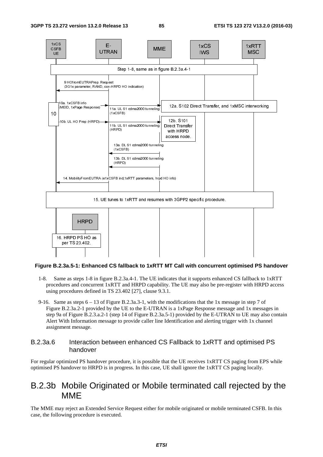

#### **Figure B.2.3a.5-1: Enhanced CS fallback to 1xRTT MT Call with concurrent optimised PS handover**

- 1-8. Same as steps 1-8 in figure B.2.3a.4-1. The UE indicates that it supports enhanced CS fallback to 1xRTT procedures and concurrent 1xRTT and HRPD capability. The UE may also be pre-register with HRPD access using procedures defined in TS 23.402 [27], clause 9.3.1.
- 9-16. Same as steps 6 13 of Figure B.2.3a.3-1, with the modifications that the 1x message in step 7 of Figure B.2.3a.2-1 provided by the UE to the E-UTRAN is a 1xPage Response message and 1x messages in step 9a of Figure B.2.3.a.2-1 (step 14 of Figure B.2.3a.5-1) provided by the E-UTRAN to UE may also contain Alert With Information message to provide caller line Identification and alerting trigger with 1x channel assignment message.

#### B.2.3a.6 Interaction between enhanced CS Fallback to 1xRTT and optimised PS handover

E-optimised PS handover to HRPD is in progress. In this case, UE shall ignore the 1xRTT CS paging locally. For regular optimized PS handover procedure, it is possible that the UE receives 1xRTT CS paging from EPS while

## B.2.3b Mobile Originated or Mobile terminated call rejected by the MME

The MME may reject an Extended Service Request either for mobile originated or mobile terminated CSFB. In this case, the following procedure is executed.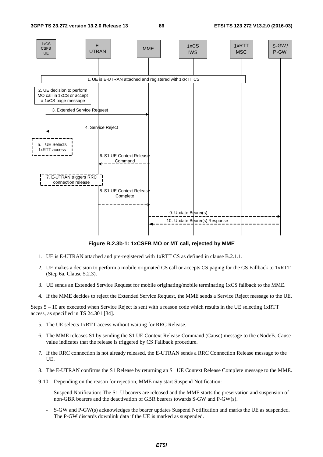

**Figure B.2.3b-1: 1xCSFB MO or MT call, rejected by MME** 

- 1. UE is E-UTRAN attached and pre-registered with 1xRTT CS as defined in clause B.2.1.1.
- 2. UE makes a decision to perform a mobile originated CS call or accepts CS paging for the CS Fallback to 1xRTT (Step 6a, Clause 5.2.3).
- 3. UE sends an Extended Service Request for mobile originating/mobile terminating 1xCS fallback to the MME.
- 4. If the MME decides to reject the Extended Service Request, the MME sends a Service Reject message to the UE.

Steps 5 – 10 are executed when Service Reject is sent with a reason code which results in the UE selecting 1xRTT access, as specified in TS 24.301 [34].

- 5. The UE selects 1xRTT access without waiting for RRC Release.
- 6. The MME releases S1 by sending the S1 UE Context Release Command (Cause) message to the eNodeB. Cause value indicates that the release is triggered by CS Fallback procedure.
- 7. If the RRC connection is not already released, the E-UTRAN sends a RRC Connection Release message to the UE.
- 8. The E-UTRAN confirms the S1 Release by returning an S1 UE Context Release Complete message to the MME.
- 9-10. Depending on the reason for rejection, MME may start Suspend Notification:
	- Suspend Notification: The S1-U bearers are released and the MME starts the preservation and suspension of non-GBR bearers and the deactivation of GBR bearers towards S-GW and P-GW(s).
	- S-GW and P-GW(s) acknowledges the bearer updates Suspend Notification and marks the UE as suspended. The P-GW discards downlink data if the UE is marked as suspended.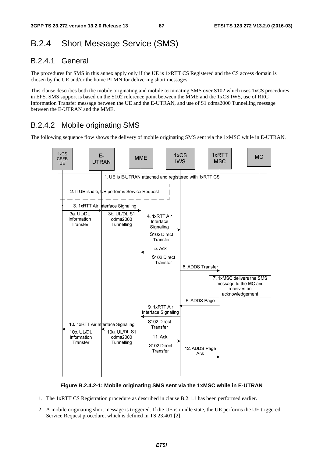# B.2.4 Short Message Service (SMS)

## B.2.4.1 General

The procedures for SMS in this annex apply only if the UE is 1xRTT CS Registered and the CS access domain is chosen by the UE and/or the home PLMN for delivering short messages.

This clause describes both the mobile originating and mobile terminating SMS over S102 which uses 1xCS procedures in EPS. SMS support is based on the S102 reference point between the MME and the 1xCS IWS, use of RRC Information Transfer message between the UE and the E-UTRAN, and use of S1 cdma2000 Tunnelling message between the E-UTRAN and the MME.

## B.2.4.2 Mobile originating SMS

The following sequence flow shows the delivery of mobile originating SMS sent via the 1xMSC while in E-UTRAN.



**Figure B.2.4.2-1: Mobile originating SMS sent via the 1xMSC while in E-UTRAN** 

- 1. The 1xRTT CS Registration procedure as described in clause B.2.1.1 has been performed earlier.
- 2. A mobile originating short message is triggered. If the UE is in idle state, the UE performs the UE triggered Service Request procedure, which is defined in TS 23.401 [2].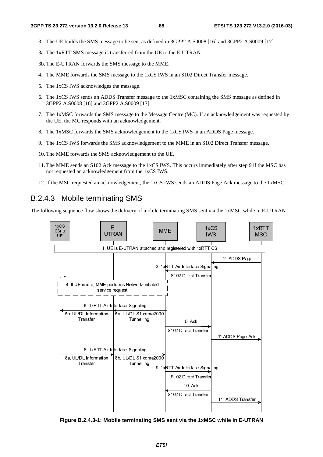- 3. The UE builds the SMS message to be sent as defined in 3GPP2 A.S0008 [16] and 3GPP2 A.S0009 [17].
- 3a. The 1xRTT SMS message is transferred from the UE to the E-UTRAN.

3b. The E-UTRAN forwards the SMS message to the MME.

- 4. The MME forwards the SMS message to the 1xCS IWS in an S102 Direct Transfer message.
- 5. The 1xCS IWS acknowledges the message.
- 6. The 1xCS IWS sends an ADDS Transfer message to the 1xMSC containing the SMS message as defined in 3GPP2 A.S0008 [16] and 3GPP2 A.S0009 [17].
- 7. The 1xMSC forwards the SMS message to the Message Centre (MC). If an acknowledgement was requested by the UE, the MC responds with an acknowledgement.
- 8. The 1xMSC forwards the SMS acknowledgement to the 1xCS IWS in an ADDS Page message.
- 9. The 1xCS IWS forwards the SMS acknowledgement to the MME in an S102 Direct Transfer message.
- 10. The MME forwards the SMS acknowledgement to the UE.
- 11. The MME sends an S102 Ack message to the 1xCS IWS. This occurs immediately after step 9 if the MSC has not requested an acknowledgement from the 1xCS IWS.
- 12. If the MSC requested an acknowledgement, the 1xCS IWS sends an ADDS Page Ack message to the 1xMSC.

#### B.2.4.3 Mobile terminating SMS

The following sequence flow shows the delivery of mobile terminating SMS sent via the 1xMSC while in E-UTRAN.



**Figure B.2.4.3-1: Mobile terminating SMS sent via the 1xMSC while in E-UTRAN**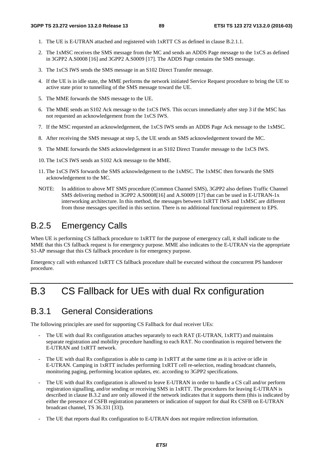- 1. The UE is E-UTRAN attached and registered with 1xRTT CS as defined in clause B.2.1.1.
- 2. The 1xMSC receives the SMS message from the MC and sends an ADDS Page message to the 1xCS as defined in 3GPP2 A.S0008 [16] and 3GPP2 A.S0009 [17]. The ADDS Page contains the SMS message.
- 3. The 1xCS IWS sends the SMS message in an S102 Direct Transfer message.
- 4. If the UE is in idle state, the MME performs the network initiated Service Request procedure to bring the UE to active state prior to tunnelling of the SMS message toward the UE.
- 5. The MME forwards the SMS message to the UE.
- 6. The MME sends an S102 Ack message to the 1xCS IWS. This occurs immediately after step 3 if the MSC has not requested an acknowledgement from the 1xCS IWS.
- 7. If the MSC requested an acknowledgement, the 1xCS IWS sends an ADDS Page Ack message to the 1xMSC.
- 8. After receiving the SMS message at step 5, the UE sends an SMS acknowledgement toward the MC.
- 9. The MME forwards the SMS acknowledgement in an S102 Direct Transfer message to the 1xCS IWS.
- 10. The 1xCS IWS sends an S102 Ack message to the MME.
- 11. The 1xCS IWS forwards the SMS acknowledgement to the 1xMSC. The 1xMSC then forwards the SMS acknowledgement to the MC.
- NOTE: In addition to above MT SMS procedure (Common Channel SMS), 3GPP2 also defines Traffic Channel SMS delivering method in 3GPP2 A.S0008[16] and A.S0009 [17] that can be used in E-UTRAN-1x interworking architecture. In this method, the messages between 1xRTT IWS and 1xMSC are different from those messages specified in this section. There is no additional functional requirement to EPS.

# B.2.5 Emergency Calls

When UE is performing CS fallback procedure to 1xRTT for the purpose of emergency call, it shall indicate to the MME that this CS fallback request is for emergency purpose. MME also indicates to the E-UTRAN via the appropriate S1-AP message that this CS fallback procedure is for emergency purpose.

Emergency call with enhanced 1xRTT CS fallback procedure shall be executed without the concurrent PS handover procedure.

# B.3 CS Fallback for UEs with dual Rx configuration

# B.3.1 General Considerations

The following principles are used for supporting CS Fallback for dual receiver UEs:

- The UE with dual Rx configuration attaches separately to each RAT (E-UTRAN, 1xRTT) and maintains separate registration and mobility procedure handling to each RAT. No coordination is required between the E-UTRAN and 1xRTT network.
- The UE with dual Rx configuration is able to camp in  $1xRTT$  at the same time as it is active or idle in E-UTRAN. Camping in 1xRTT includes performing 1xRTT cell re-selection, reading broadcast channels, monitoring paging, performing location updates, etc. according to 3GPP2 specifications.
- The UE with dual Rx configuration is allowed to leave E-UTRAN in order to handle a CS call and/or perform registration signalling, and/or sending or receiving SMS in 1xRTT. The procedures for leaving E-UTRAN is described in clause B.3.2 and are only allowed if the network indicates that it supports them (this is indicated by either the presence of CSFB registration parameters or indication of support for dual Rx CSFB on E-UTRAN broadcast channel, TS 36.331 [33]).
- The UE that reports dual Rx configuration to E-UTRAN does not require redirection information.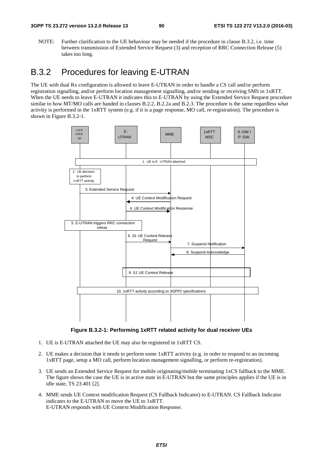NOTE: Further clarification to the UE behaviour may be needed if the procedure in clause B.3.2, i.e. time between transmission of Extended Service Request (3) and reception of RRC Connection Release (5) takes too long.

## B.3.2 Procedures for leaving E-UTRAN

The UE with dual Rx configuration is allowed to leave E-UTRAN in order to handle a CS call and/or perform registration signalling, and/or perform location management signalling, and/or sending or receiving SMS in 1xRTT. When the UE needs to leave E-UTRAN it indicates this to E-UTRAN by using the Extended Service Request procedure similar to how MT/MO calls are handed in clauses B.2.2, B.2.2a and B.2.3. The procedure is the same regardless what activity is performed in the 1xRTT system (e.g. if it is a page response, MO call, re-registration). The procedure is shown in Figure B.3.2-1.



**Figure B.3.2-1: Performing 1xRTT related activity for dual receiver UEs** 

- 1. UE is E-UTRAN attached the UE may also be registered in 1xRTT CS.
- 2. UE makes a decision that it needs to perform some 1xRTT activity (e.g. in order to respond to an incoming 1xRTT page, setup a MO call, perform location management signalling, or perform re-registration).
- 3. UE sends an Extended Service Request for mobile originating/mobile terminating 1xCS fallback to the MME. The figure shows the case the UE is in active state in E-UTRAN but the same principles applies if the UE is in idle state, TS 23.401 [2].
- 4. MME sends UE Context modification Request (CS Fallback Indicator) to E-UTRAN. CS Fallback Indicator indicates to the E-UTRAN to move the UE to 1xRTT. E-UTRAN responds with UE Context Modification Response.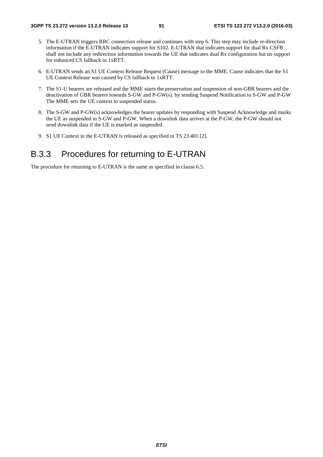- 5. The E-UTRAN triggers RRC connection release and continues with step 6. This step may include re-direction information if the E-UTRAN indicates support for S102. E-UTRAN that indicates support for dual Rx CSFB shall not include any redirection information towards the UE that indicates dual Rx configuration but no support for enhanced CS fallback to 1xRTT.
- 6. E-UTRAN sends an S1 UE Context Release Request (Cause) message to the MME. Cause indicates that the S1 UE Context Release was caused by CS fallback to 1xRTT.
- 7. The S1-U bearers are released and the MME starts the preservation and suspension of non-GBR bearers and the deactivation of GBR bearers towards S-GW and P-GW(s). by sending Suspend Notification to S-GW and P-GW The MME sets the UE context to suspended status.
- 8. The S-GW and P-GW(s) acknowledges the bearer updates by responding with Suspend Acknowledge and marks the UE as suspended in S-GW and P-GW. When a downlink data arrives at the P-GW, the P-GW should not send downlink data if the UE is marked as suspended.
- 9. S1 UE Context in the E-UTRAN is released as specified in TS 23.401 [2].

## B.3.3 Procedures for returning to E-UTRAN

The procedure for returning to E-UTRAN is the same as specified in clause 6.5.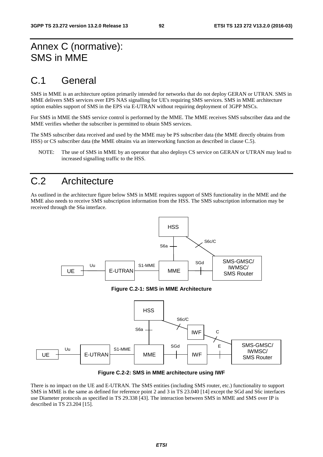# Annex C (normative): SMS in MME

# C.1 General

SMS in MME is an architecture option primarily intended for networks that do not deploy GERAN or UTRAN. SMS in MME delivers SMS services over EPS NAS signalling for UE's requiring SMS services. SMS in MME architecture option enables support of SMS in the EPS via E-UTRAN without requiring deployment of 3GPP MSCs.

For SMS in MME the SMS service control is performed by the MME. The MME receives SMS subscriber data and the MME verifies whether the subscriber is permitted to obtain SMS services.

The SMS subscriber data received and used by the MME may be PS subscriber data (the MME directly obtains from HSS) or CS subscriber data (the MME obtains via an interworking function as described in clause C.5).

NOTE: The use of SMS in MME by an operator that also deploys CS service on GERAN or UTRAN may lead to increased signalling traffic to the HSS.

# C.2 Architecture

As outlined in the architecture figure below SMS in MME requires support of SMS functionality in the MME and the MME also needs to receive SMS subscription information from the HSS. The SMS subscription information may be received through the S6a interface.







There is no impact on the UE and E-UTRAN. The SMS entities (including SMS router, etc.) functionality to support SMS in MME is the same as defined for reference point 2 and 3 in TS 23.040 [14] except the SGd and S6c interfaces use Diameter protocols as specified in TS 29.338 [43]. The interaction between SMS in MME and SMS over IP is described in TS 23.204 [15].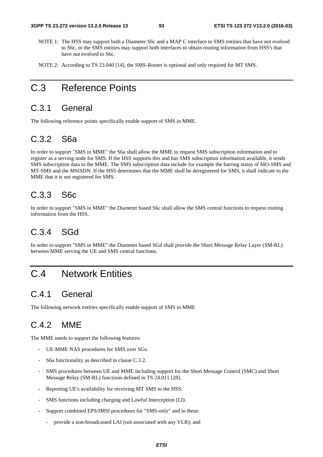- NOTE 1: The HSS may support both a Diameter S6c and a MAP C interface to SMS entities that have not evolved to S6c, or the SMS entities may support both interfaces to obtain routing information from HSS's that have not evolved to S6c.
- NOTE 2: According to TS 23.040 [14], the SMS-Router is optional and only required for MT SMS.

# C.3 Reference Points

## C.3.1 General

The following reference points specifically enable support of SMS in MME.

## C.3.2 S6a

In order to support "SMS in MME" the S6a shall allow the MME to request SMS subscription information and to register as a serving node for SMS. If the HSS supports this and has SMS subscription information available, it sends SMS subscription data to the MME. The SMS subscription data include for example the barring status of MO-SMS and MT-SMS and the MSISDN. If the HSS determines that the MME shall be deregistered for SMS, it shall indicate to the MME that it is not registered for SMS.

## C.3.3 S6c

In order to support "SMS in MME" the Diameter based S6c shall allow the SMS central functions to request routing information from the HSS.

## C.3.4 SGd

In order to support "SMS in MME" the Diameter based SGd shall provide the Short Message Relay Layer (SM-RL) between MME serving the UE and SMS central functions.

## C.4 Network Entities

## C.4.1 General

The following network entities specifically enable support of SMS in MME

## C.4.2 MME

The MME needs to support the following features:

- UE-MME NAS procedures for SMS over SGs.
- S6a functionality as described in clause C.3.2.
- SMS procedures between UE and MME including support for the Short Message Control (SMC) and Short Message Relay (SM-RL) functions defined in TS 24.011 [28].
- Reporting UE's availability for receiving MT SMS to the HSS.
- SMS functions including charging and Lawful Interception (LI).
- Support combined EPS/IMSI procedures for "SMS-only" and in these:
	- provide a non-broadcasted LAI (not associated with any VLR); and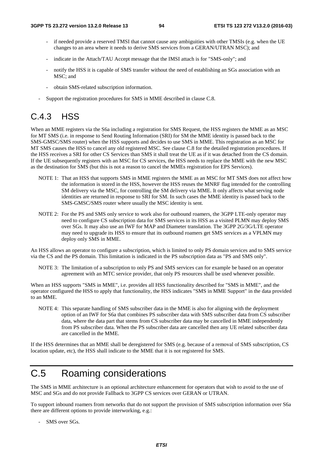- if needed provide a reserved TMSI that cannot cause any ambiguities with other TMSIs (e.g. when the UE changes to an area where it needs to derive SMS services from a GERAN/UTRAN MSC); and
- indicate in the Attach/TAU Accept message that the IMSI attach is for "SMS-only"; and
- notify the HSS it is capable of SMS transfer without the need of establishing an SGs association with an MSC; and
- obtain SMS-related subscription information.
- Support the registration procedures for SMS in MME described in clause C.8.

# C.4.3 HSS

When an MME registers via the S6a including a registration for SMS Request, the HSS registers the MME as an MSC for MT SMS (i.e. in response to Send Routing Information (SRI) for SM the MME identity is passed back to the SMS-GMSC/SMS router) when the HSS supports and decides to use SMS in MME. This registration as an MSC for MT SMS causes the HSS to cancel any old registered MSC. See clause C.8 for the detailed registration procedures. If the HSS receives a SRI for other CS Services than SMS it shall treat the UE as if it was detached from the CS domain. If the UE subsequently registers with an MSC for CS services, the HSS needs to replace the MME with the new MSC as the destination for SMS (but this is not a reason to cancel the MMEs registration for EPS Services).

- NOTE 1: That an HSS that supports SMS in MME registers the MME as an MSC for MT SMS does not affect how the information is stored in the HSS, however the HSS reuses the MNRF flag intended for the controlling SM delivery via the MSC, for controlling the SM delivery via MME. It only affects what serving node identities are returned in response to SRI for SM. In such cases the MME identity is passed back to the SMS-GMSC/SMS router where usually the MSC identity is sent.
- NOTE 2: For the PS and SMS only service to work also for outbound roamers, the 3GPP LTE-only operator may need to configure CS subscription data for SMS services in its HSS as a visited PLMN may deploy SMS over SGs. It may also use an IWF for MAP and Diameter translation. The 3GPP 2G/3G/LTE operator may need to upgrade its HSS to ensure that its outbound roamers get SMS services as a VPLMN may deploy only SMS in MME.

An HSS allows an operator to configure a subscription, which is limited to only PS domain services and to SMS service via the CS and the PS domain. This limitation is indicated in the PS subscription data as "PS and SMS only".

NOTE 3: The limitation of a subscription to only PS and SMS services can for example be based on an operator agreement with an MTC service provider, that only PS resources shall be used whenever possible.

When an HSS supports "SMS in MME", i.e. provides all HSS functionality described for "SMS in MME", and the operator configured the HSS to apply that functionality, the HSS indicates "SMS in MME Support" in the data provided to an MME.

NOTE 4: This separate handling of SMS subscriber data in the MME is also for aligning with the deployment option of an IWF for S6a that combines PS subscriber data with SMS subscriber data from CS subscriber data, where the data part that stems from CS subscriber data may be cancelled in MME independently from PS subscriber data. When the PS subscriber data are cancelled then any UE related subscriber data are cancelled in the MME.

If the HSS determines that an MME shall be deregistered for SMS (e.g. because of a removal of SMS subscription, CS location update, etc), the HSS shall indicate to the MME that it is not registered for SMS.

# C.5 Roaming considerations

The SMS in MME architecture is an optional architecture enhancement for operators that wish to avoid to the use of MSC and SGs and do not provide Fallback to 3GPP CS services over GERAN or UTRAN.

To support inbound roamers from networks that do not support the provision of SMS subscription information over S6a there are different options to provide interworking, e.g.:

- SMS over SGs.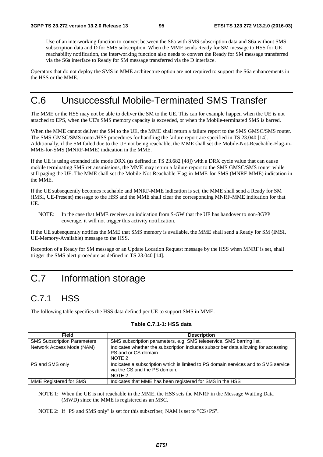Use of an interworking function to convert between the S6a with SMS subscription data and S6a without SMS subscription data and D for SMS subscription. When the MME sends Ready for SM message to HSS for UE reachability notification, the interworking function also needs to convert the Ready for SM message transferred via the S6a interface to Ready for SM message transferred via the D interface.

Operators that do not deploy the SMS in MME architecture option are not required to support the S6a enhancements in the HSS or the MME.

# C.6 Unsuccessful Mobile-Terminated SMS Transfer

The MME or the HSS may not be able to deliver the SM to the UE. This can for example happen when the UE is not attached to EPS, when the UE's SMS memory capacity is exceeded, or when the Mobile-terminated SMS is barred.

When the MME cannot deliver the SM to the UE, the MME shall return a failure report to the SMS GMSC/SMS router. The SMS-GMSC/SMS router/HSS procedures for handling the failure report are specified in TS 23.040 [14]. Additionally, if the SM failed due to the UE not being reachable, the MME shall set the Mobile-Not-Reachable-Flag-in-MME-for-SMS (MNRF-MME) indication in the MME.

If the UE is using extended idle mode DRX (as defined in TS 23.682 [48]) with a DRX cycle value that can cause mobile terminating SMS retransmissions, the MME may return a failure report to the SMS GMSC/SMS router while still paging the UE. The MME shall set the Mobile-Not-Reachable-Flag-in-MME-for-SMS (MNRF-MME) indication in the MME.

If the UE subsequently becomes reachable and MNRF-MME indication is set, the MME shall send a Ready for SM (IMSI, UE-Present) message to the HSS and the MME shall clear the corresponding MNRF-MME indication for that UE.

NOTE: In the case that MME receives an indication from S-GW that the UE has handover to non-3GPP coverage, it will not trigger this activity notification.

If the UE subsequently notifies the MME that SMS memory is available, the MME shall send a Ready for SM (IMSI, UE-Memory-Available) message to the HSS.

Reception of a Ready for SM message or an Update Location Request message by the HSS when MNRF is set, shall trigger the SMS alert procedure as defined in TS 23.040 [14].

# C.7 Information storage

## C.7.1 HSS

The following table specifies the HSS data defined per UE to support SMS in MME.

| Table C.7.1-1: HSS data |  |  |
|-------------------------|--|--|
|-------------------------|--|--|

| <b>Field</b>                       | <b>Description</b>                                                                                                            |
|------------------------------------|-------------------------------------------------------------------------------------------------------------------------------|
| <b>SMS Subscription Parameters</b> | SMS subscription parameters, e.g. SMS teleservice, SMS barring list.                                                          |
| Network Access Mode (NAM)          | Indicates whether the subscription includes subscriber data allowing for accessing<br>PS and or CS domain.<br>NOTE 2          |
| PS and SMS only                    | Indicates a subscription which is limited to PS domain services and to SMS service<br>via the CS and the PS domain.<br>NOTE 2 |
| <b>MME Registered for SMS</b>      | Indicates that MME has been registered for SMS in the HSS                                                                     |

NOTE 1: When the UE is not reachable in the MME, the HSS sets the MNRF in the Message Waiting Data (MWD) since the MME is registered as an MSC.

NOTE 2: If "PS and SMS only" is set for this subscriber, NAM is set to "CS+PS".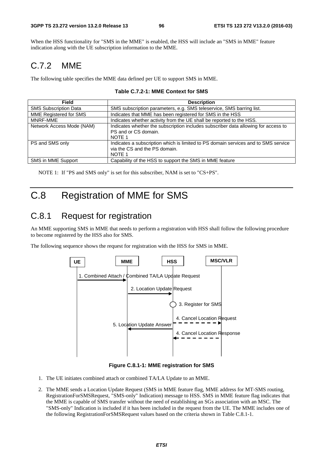When the HSS functionality for "SMS in the MME" is enabled, the HSS will include an "SMS in MME" feature indication along with the UE subscription information to the MME.

## C.7.2 MME

The following table specifies the MME data defined per UE to support SMS in MME.

| <b>Field</b>                 | <b>Description</b>                                                                                                                       |
|------------------------------|------------------------------------------------------------------------------------------------------------------------------------------|
| <b>SMS Subscription Data</b> | SMS subscription parameters, e.g. SMS teleservice, SMS barring list.                                                                     |
| MME Registered for SMS       | Indicates that MME has been registered for SMS in the HSS                                                                                |
| MNRF-MMF                     | Indicates whether activity from the UE shall be reported to the HSS.                                                                     |
| Network Access Mode (NAM)    | Indicates whether the subscription includes subscriber data allowing for access to<br>PS and or CS domain.<br>NOTE 1                     |
| PS and SMS only              | Indicates a subscription which is limited to PS domain services and to SMS service<br>via the CS and the PS domain.<br>NOTE <sub>1</sub> |
| SMS in MME Support           | Capability of the HSS to support the SMS in MME feature                                                                                  |

NOTE 1: If "PS and SMS only" is set for this subscriber, NAM is set to "CS+PS".

# C.8 Registration of MME for SMS

## C.8.1 Request for registration

An MME supporting SMS in MME that needs to perform a registration with HSS shall follow the following procedure to become registered by the HSS also for SMS.

The following sequence shows the request for registration with the HSS for SMS in MME.



**Figure C.8.1-1: MME registration for SMS** 

- 1. The UE initiates combined attach or combined TA/LA Update to an MME.
- 2. The MME sends a Location Update Request (SMS in MME feature flag, MME address for MT-SMS routing, RegistrationForSMSRequest, "SMS-only" Indication) message to HSS. SMS in MME feature flag indicates that the MME is capable of SMS transfer without the need of establishing an SGs association with an MSC. The "SMS-only" Indication is included if it has been included in the request from the UE. The MME includes one of the following RegistrationForSMSRequest values based on the criteria shown in Table C.8.1-1.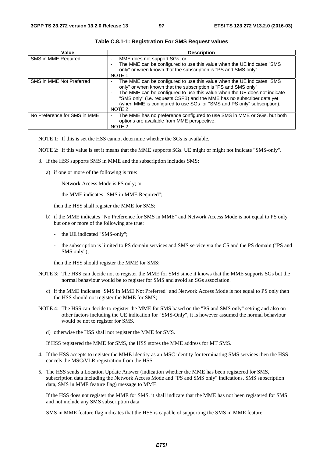| Value                        | <b>Description</b>                                                                                                                                                                                                                                                                                                                                                                                                          |
|------------------------------|-----------------------------------------------------------------------------------------------------------------------------------------------------------------------------------------------------------------------------------------------------------------------------------------------------------------------------------------------------------------------------------------------------------------------------|
| SMS in MME Required          | MME does not support SGs; or<br>The MME can be configured to use this value when the UE indicates "SMS<br>only" or when known that the subscription is "PS and SMS only".<br>NOTE 1                                                                                                                                                                                                                                         |
| SMS in MME Not Preferred     | The MME can be configured to use this value when the UE indicates "SMS<br>$\overline{\phantom{a}}$<br>only" or when known that the subscription is "PS and SMS only"<br>The MME can be configured to use this value when the UE does not indicate<br>"SMS only" (i.e. requests CSFB) and the MME has no subscriber data yet<br>(when MME is configured to use SGs for "SMS and PS only" subscription).<br>NOTE <sub>2</sub> |
| No Preference for SMS in MME | The MME has no preference configured to use SMS in MME or SGs, but both<br>options are available from MME perspective.<br>NOTE <sub>2</sub>                                                                                                                                                                                                                                                                                 |

**Table C.8.1-1: Registration For SMS Request values** 

NOTE 1: If this is set the HSS cannot determine whether the SGs is available.

NOTE 2: If this value is set it means that the MME supports SGs. UE might or might not indicate "SMS-only".

- 3. If the HSS supports SMS in MME and the subscription includes SMS:
	- a) if one or more of the following is true:
		- Network Access Mode is PS only; or
		- the MME indicates "SMS in MME Required";

then the HSS shall register the MME for SMS;

- b) if the MME indicates "No Preference for SMS in MME" and Network Access Mode is not equal to PS only but one or more of the following are true:
	- the UE indicated "SMS-only";
	- the subscription is limited to PS domain services and SMS service via the CS and the PS domain ("PS and SMS only");

then the HSS should register the MME for SMS;

- NOTE 3: The HSS can decide not to register the MME for SMS since it knows that the MME supports SGs but the normal behaviour would be to register for SMS and avoid an SGs association.
	- c) if the MME indicates "SMS in MME Not Preferred" and Network Access Mode is not equal to PS only then the HSS should not register the MME for SMS;
- NOTE 4: The HSS can decide to register the MME for SMS based on the "PS and SMS only" setting and also on other factors including the UE indication for "SMS-Only", it is however assumed the normal behaviour would be not to register for SMS.
	- d) otherwise the HSS shall not register the MME for SMS.

If HSS registered the MME for SMS, the HSS stores the MME address for MT SMS.

- 4. If the HSS accepts to register the MME identity as an MSC identity for terminating SMS services then the HSS cancels the MSC/VLR registration from the HSS.
- 5. The HSS sends a Location Update Answer (indication whether the MME has been registered for SMS, subscription data including the Network Access Mode and "PS and SMS only" indications, SMS subscription data, SMS in MME feature flag) message to MME.

 If the HSS does not register the MME for SMS, it shall indicate that the MME has not been registered for SMS and not include any SMS subscription data.

SMS in MME feature flag indicates that the HSS is capable of supporting the SMS in MME feature.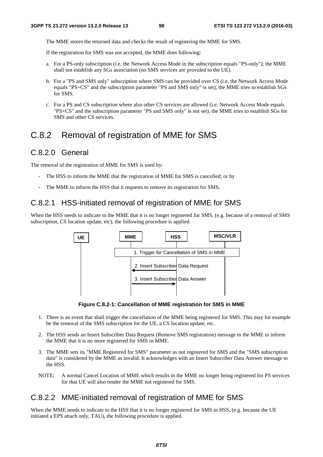The MME stores the returned data and checks the result of registering the MME for SMS.

If the registration for SMS was not accepted, the MME does following:

- a. For a PS-only subscription (i.e. the Network Access Mode in the subscription equals "PS-only"), the MME shall not establish any SGs association (no SMS services are provided to the UE).
- b. For a "PS and SMS only" subscription where SMS can be provided over CS (i.e. the Network Access Mode equals "PS+CS" and the subscription parameter "PS and SMS only" is set), the MME tries to establish SGs for SMS.
- c. For a PS and CS subscription where also other CS services are allowed (i.e. Network Access Mode equals "PS+CS" and the subscription parameter "PS and SMS only" is not set), the MME tries to establish SGs for SMS and other CS services.

#### C.8.2 Removal of registration of MME for SMS

#### C.8.2.0 General

The removal of the registration of MME for SMS is used by:

- The HSS to inform the MME that the registration of MME for SMS is cancelled; or by
- The MME to inform the HSS that it requests to remove its registration for SMS.

#### C.8.2.1 HSS-initiated removal of registration of MME for SMS

When the HSS needs to indicate to the MME that it is no longer registered for SMS, (e.g. because of a removal of SMS subscription, CS location update, etc), the following procedure is applied.



**Figure C.8.2-1: Cancellation of MME registration for SMS in MME** 

- 1. There is an event that shall trigger the cancellation of the MME being registered for SMS. This may for example be the removal of the SMS subscription for the UE, a CS location update, etc.
- 2. The HSS sends an Insert Subscriber Data Request (Remove SMS registration) message to the MME to inform the MME that it is no more registered for SMS in MME.
- 3. The MME sets its "MME Registered for SMS" parameter as not registered for SMS and the "SMS subscription data" is considered by the MME as invalid. It acknowledges with an Insert Subscriber Data Answer message to the HSS.
- NOTE: A normal Cancel Location of MME which results in the MME no longer being registered for PS services for that UE will also render the MME not registered for SMS.

#### C.8.2.2 MME-initiated removal of registration of MME for SMS

When the MME needs to indicate to the HSS that it is no longer registered for SMS in HSS, (e.g. because the UE initiated a EPS attach only, TAU), the following procedure is applied.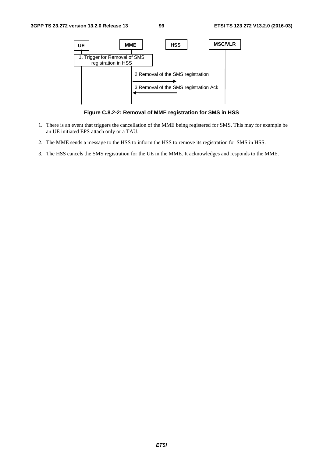

**Figure C.8.2-2: Removal of MME registration for SMS in HSS** 

- 1. There is an event that triggers the cancellation of the MME being registered for SMS. This may for example be an UE initiated EPS attach only or a TAU.
- 2. The MME sends a message to the HSS to inform the HSS to remove its registration for SMS in HSS.
- 3. The HSS cancels the SMS registration for the UE in the MME. It acknowledges and responds to the MME.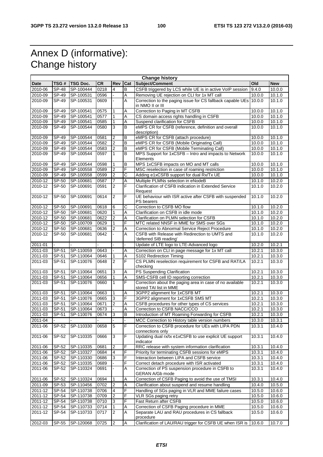# Annex D (informative): Change history

| <b>Change history</b> |              |           |           |                |     |                                                                     |        |            |
|-----------------------|--------------|-----------|-----------|----------------|-----|---------------------------------------------------------------------|--------|------------|
| Date                  | TSG #        | TSG Doc.  | <b>CR</b> | Rev            | Cat | Subject/Comment                                                     | Old    | <b>New</b> |
| 2010-06               | <b>SP-48</b> | SP-100444 | 0218      | 4              | B   | CSFB triggered by LCS while UE is in active VoIP session            | 9.4.0  | 10.0.0     |
| 2010-09               | SP-49        | SP-100531 | 0596      |                | A   | Removing UE rejection on CLI for 1x MT call                         | 10.0.0 | 10.1.0     |
| 2010-09               | $SP-49$      | SP-100531 | 0609      | ÷,             | Α   | Correction to the paging issue for CS fallback capable UEs 10.0.0   |        | 10.1.0     |
|                       |              |           |           |                |     | in NMO II or III                                                    |        |            |
| 2010-09               | $SP-49$      | SP-100541 | 0575      | 1              | Α   | Correction to Paging in MT CSFB                                     | 10.0.0 | 10.1.0     |
| $2010 - 09$           | SP-49        | SP-100541 | 0577      | 1              | Α   | CS domain access rights handling in CSFB                            | 10.0.0 | 10.1.0     |
| 2010-09               | SP-49        | SP-100541 | 0585      | 1              | A   | Suspend clarification for CSFB                                      | 10.0.0 | 10.1.0     |
| 2010-09               | SP-49        | SP-100544 | 0580      | 3              | B   | eMPS CR for CSFB (reference, definition and overall                 | 10.0.0 | 10.1.0     |
|                       |              |           |           |                |     | description)                                                        |        |            |
| 2010-09               | SP-49        | SP-100544 | 0581      | 2              | B   | eMPS CR for CSFB (attach procedure)                                 | 10.0.0 | 10.1.0     |
| 2010-09               | SP-49        | SP-100544 | 0582      | $\overline{c}$ | B   | eMPS CR for CSFB (Mobile Originating Call)                          | 10.0.0 | 10.1.0     |
| 2010-09               | SP-49        | SP-100544 | 0583      | $\mathbf 2$    | B   | eMPS CR for CSFB (Mobile Terminating Call)                          | 10.0.0 | 10.1.0     |
| 2010-09               | SP-49        | SP-100544 | 0597      | $\mathbf{1}$   | B   | MPS Support for 1xCSFB - Intro and impacts to Network               | 10.0.0 | 10.1.0     |
|                       |              |           |           |                |     | Elements                                                            |        |            |
| 2010-09               | SP-49        | SP-100544 | 0598      | 1              | B   | MPS 1xCSFB impacts on MO and MT calls                               | 10.0.0 | 10.1.0     |
| 2010-09               | $S P-49$     | SP-100558 | 0589      | $\overline{2}$ | F   | MSC reselection in case of roaming restriction                      | 10.0.0 | 10.1.0     |
| 2010-09               | SP-49        | SP-100558 | 0599      | $\overline{2}$ | С   | Adding e1xCSFB support for dual Rx/Tx UE                            | 10.0.0 | 10.1.0     |
| 2010-12               | SP-50        | SP-100681 | 0587      | 7              | A   | Multiple PLMNs selection in eNodeB                                  | 10.1.0 | 10.2.0     |
| 2010-12               | SP-50        | SP-100691 | 0591      | $\overline{2}$ | F   | Clarification of CSFB indication in Extended Service                | 10.1.0 | 10.2.0     |
|                       |              |           |           |                |     | Request                                                             |        |            |
| 2010-12               | SP-50        | SP-100691 | 0614      | $\overline{c}$ | F   | UE behaviour with ISR active after CSFB with suspended              | 10.1.0 | 10.2.0     |
|                       |              |           |           |                |     | PS bearers                                                          |        |            |
| 2010-12               | SP-50        | SP-100691 | 0618      | 6              | С   | Correction to CSFB MO flow                                          | 10.1.0 | 10.2.0     |
| 2010-12               | $SP-50$      | SP-100681 | 0620      | $\mathbf{1}$   | A   | Clarification on CSFB in idle mode                                  | 10.1.0 | 10.2.0     |
| 2010-12               | SP-50        | SP-100681 | 0622      | 2              | Α   | Clarification on PLMN selection for CSFB                            | 10.1.0 | 10.2.0     |
| $2010 - 12$           | SP-50        | SP-100709 | 0629      | 1              | F   | MTC related NNSF in MME for SMS over SGs                            | 10.1.0 | 10.2.0     |
| 2010-12               | SP-50        | SP-100681 | 0636      | $\overline{2}$ | Α   | Correction to Abnormal Service Reject Procedure                     | 10.1.0 | 10.2.0     |
| 2010-12               | SP-50        | SP-100681 | 0642      |                | A   | CSFB with Release with Redirection to UMTS and                      | 10.1.0 | 10.2.0     |
|                       |              |           |           |                |     | 'deferred SIB reading'                                              |        |            |
| 2011-01               |              |           |           |                |     | Update of LTE logo to LTE-Advanced logo                             | 10.2.0 | 10.2.1     |
| 2011-03               | SP-51        | SP-110059 | 0643      | ÷,             | Α   | Correction on CLI in page message for 1x MT call                    | 10.2.1 | 10.3.0     |
| 2011-03               | SP-51        | SP-110064 | 0646      | 1              | Α   | S102 Redirection Timing                                             | 10.2.1 | 10.3.0     |
| 2011-03               | SP-51        | SP-110076 | 0648      | $\overline{2}$ | F   | CS PLMN reselection requirement for CSFB and RAT/LA                 | 10.2.1 | 10.3.0     |
|                       |              |           |           |                |     | checking                                                            |        |            |
| 2011-03               | SP-51        | SP-110064 | 0651      | 3              | Α   | PS Suspending Clarification                                         | 10.2.1 | 10.3.0     |
| 2011-03               | SP-51        | SP-110064 | 0656      | $\mathbf{1}$   | A   | SMS-CSFB cell ID reporting correction                               | 10.2.1 | 10.3.0     |
| 2011-03               | SP-51        | SP-110076 | 0660      | 1              | F   | Correction about the paging area in case of no available            | 10.2.1 | 10.3.0     |
|                       |              |           |           |                |     | stored TAI list in MME                                              |        |            |
| 2011-03               | SP-51        | SP-110064 | 0663      | 1              | Α   | 3GPP2 alignment for 1xCSFB MT                                       | 10.2.1 | 10.3.0     |
| 2011-03               | SP-51        | SP-110076 | 0665      | 3              | F   | 3GPP2 alignment for 1xCSFB SMS MT                                   | 10.2.1 | 10.3.0     |
| 2011-03               | SP-51        | SP-110064 | 0671      | $\overline{c}$ | Α   | CSFB procedures for other types of CS services                      | 10.2.1 | 10.3.0     |
| 2011-03               | SP-51        | SP-110064 | 0673      | ÷.             | Α   | Correction to CSFB NACC/CCO                                         | 10.2.1 | 10.3.0     |
| 2011-03               | SP-51        | SP-110076 | 0674      | 3              | B   | Introduction of MT Roaming Forwarding for CSFB                      | 10.2.1 | 10.3.0     |
| 2011-04               |              |           |           |                |     | MCC Correction to History table version numbers                     | 10.3.0 | 10.3.1     |
|                       |              |           |           |                |     |                                                                     |        |            |
| 2011-06               | SP-52        | SP-110330 | 0658      | 5              | F   | Correction to CSFB procedure for UEs with LIPA PDN                  | 10.3.1 | 10.4.0     |
|                       |              |           |           |                |     | connections only                                                    |        |            |
| 2011-06               | SP-52        | SP-110335 | 0666      | 3              | F   | Updating dual rx/tx e1xCSFB to use explicit UE support<br>indicator | 10.3.1 | 10.4.0     |
|                       |              |           |           |                | F   |                                                                     |        |            |
| 2011-06               | SP-52        | SP-110335 | 0681      | 2              |     | RRC release with system information clarification                   | 10.3.1 | 10.4.0     |
| 2011-06               | SP-52        | SP-110327 | 0684      | 4              | F   | Priority for terminating CSFB sessions for eMPS                     | 10.3.1 | 10.4.0     |
| 2011-06               | SP-52        | SP-110330 | 0686      | 3              | F   | Interaction between LIPA and CSFB service                           | 10.3.1 | 10.4.0     |
| 2011-06               | SP-52        | SP-110335 | 0689      |                | F   | Correct detach procedure with ISR activated                         | 10.3.1 | 10.4.0     |
| 2011-06               | SP-52        | SP-110324 | 0691      |                | Α   | Correction of PS suspension procedure in CSFB to                    | 10.3.1 | 10.4.0     |
|                       |              |           |           |                |     | GERAN A/Gb mode                                                     |        |            |
| 2011-06               | SP-52        | SP-110324 | 0694      | 1              | A   | Correction of CSFB Paging to avoid the use of TMSI                  | 10.3.1 | 10.4.0     |
| 2011-09               | SP-53        | SP-110456 | 0702      | 2              | A   | Clarification about suspend and resume handling                     | 10.4.0 | 10.5.0     |
| 2011-12               | SP-54        | SP-110738 | 0706      | $\overline{4}$ | F   | Handling of SGs paging in VLR and MME failure cases                 | 10.5.0 | 10.6.0     |
| 2011-12               | SP-54        | SP-110738 | 0709      | 2              | F   | VLR SGs paging retry                                                | 10.5.0 | 10.6.0     |
| 2011-12               | SP-54        | SP-110738 | 0710      | 3              | F   | Fast Return after CSFB                                              | 10.5.0 | 10.6.0     |
| 2011-12               | SP-54        | SP-110733 | 0714      | 1              | Α   | Correction of CSFB Paging procedure in MME                          | 10.5.0 | 10.6.0     |
| 2011-12               | SP-54        | SP-110733 | 0717      | 2              | Α   | Separate LAU and RAU procedures in CS fallback                      | 10.5.0 | 10.6.0     |
|                       |              |           |           |                |     | procedure                                                           |        |            |
| 2012-03               | SP-55        | SP-120068 | 0725      | 2              | Α   | Clarification of LAU/RAU trigger for CSFB UE when ISR is            | 10.6.0 | 10.7.0     |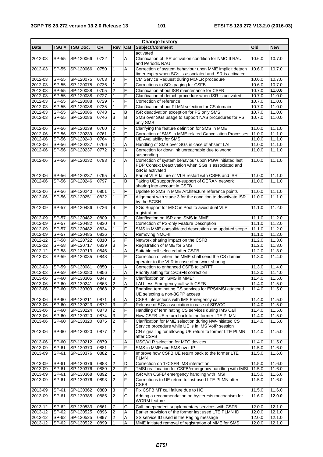$\overline{\phantom{0}}$ 

| <b>Change history</b> |                |                        |              |                                |                |                                                                                                                     |                     |                     |
|-----------------------|----------------|------------------------|--------------|--------------------------------|----------------|---------------------------------------------------------------------------------------------------------------------|---------------------|---------------------|
| <b>Date</b>           | TSG #          | TSG Doc.               | <b>CR</b>    | Rev                            | Cat            | <b>Subject/Comment</b>                                                                                              | Old                 | <b>New</b>          |
|                       |                |                        |              |                                |                | activated                                                                                                           |                     |                     |
| 2012-03               | SP-55          | SP-120066              | 0722         | 1                              | A              | Clarification of ISR activation condition for NMO II RAU                                                            | 10.6.0              | 10.7.0              |
|                       |                |                        |              |                                |                | and Periodic RAU                                                                                                    |                     |                     |
| 2012-03               | SP-55          | SP-120066              | 0750         | 1                              | Α              | Correction of system behaviour upon MME implicit detach<br>timer expiry when SGs is associated and ISR is activated | 10.6.0              | 10.7.0              |
| 2012-03               | SP-55          | SP-120075              | 0703         | 3                              | F              | CM Service Request during MO-LR procedure                                                                           | 10.6.0              | 10.7.0              |
| 2012-03               | SP-55          | SP-120075              | 0736         | 1                              | F              | Corrections to SGs paging for CSFB                                                                                  | 10.6.0              | 10.7.0              |
| 2012-03               | $SF-55$        | SP-120088              | 0705         | $\overline{2}$                 | F              | Clarification about ISR maintenance for CSFB                                                                        | $\overline{10.7.0}$ | 11.0.0              |
| 2012-03               | SP-55          | SP-120088              | 0727         | 1                              | F              | Clarification of detach procedure when ISR is activated                                                             | 10.7.0              | 11.0.0              |
| 2012-03               | SP-55          | SP-120088              | 0729         |                                | F              | Correction of reference                                                                                             | 10.7.0              | 11.0.0              |
| 2012-03               | SP-55          | SP-120088              | 0735         | 1                              | F              | Clarification about PLMN selection for CS domain                                                                    | 10.7.0              | 11.0.0              |
| 2012-03               | SP-55          | SP-120086              | 0743         | 1                              | В              | ISR deactivation exception for PS only SMS                                                                          | 10.7.0              | 11.0.0              |
| 2012-03               | SP-55          | SP-120086              | 0746         | 3                              | B              | SMS over SGs usage to support NAS procedures for PS                                                                 | 10.7.0              | 11.0.0              |
|                       |                |                        |              |                                |                | only SMS                                                                                                            |                     |                     |
| 2012-06               | SP-56          | SP-120239              | 0760         | 2                              | F              | Clarifying the feature definition for SMS in MME                                                                    | 11.0.0              | 11.1.0              |
| 2012-06               | SP-56          | SP-120239              | 0761         | $\overline{7}$                 | F              | Correction of SMS in MME related Cancellation Processes                                                             | 11.0.0              | 11.1.0              |
| 2012-06               | SP-56          | SP-120240              | 0764         | 6                              | F              | UE Availability for SMS                                                                                             | 11.0.0              | 11.1.0              |
| 2012-06               | SP-56          | SP-120237              | 0766         | 1                              | Α              | Handling of SMS over SGs in case of absent LAI                                                                      | 11.0.0              | 11.1.0              |
| 2012-06               | SP-56          | SP-120237              | 0772         | $\overline{2}$                 | Α              | Correction for downlink unreachable due to wrong                                                                    | 11.0.0              | 11.1.0              |
|                       |                |                        |              |                                |                | suspending                                                                                                          |                     |                     |
| 2012-06               | SP-56          | SP-120232              | 0793         | 2                              | A              | Correction of system behaviour upon PGW initiated last                                                              | 11.0.0              | $\overline{11.1.0}$ |
|                       |                |                        |              |                                |                | PDP Context Deactivation when SGs is associated and                                                                 |                     |                     |
| 2012-06               | SP-56          | SP-120237              | 0795         | 4                              | Α              | ISR is activated<br>Partial VLR failure or VLR restart with CSFB and ISR                                            | 11.0.0              | 11.1.0              |
| 2012-06               | SP-56          | SP-120246              | 0797         | 1                              | B              | Taking UE support/non-support of GERAN network                                                                      | 11.0.0              | 11.1.0              |
|                       |                |                        |              |                                |                | sharing into account in CSFB                                                                                        |                     |                     |
| 2012-06               | $SF-56$        | SP-120240              | 0801         | 1                              | F              | Update to SMS in MME Architecture reference points                                                                  | 11.0.0              | 11.1.0              |
| 2012-06               | SP-56          | SP-120251              | 0822         | $\mathbf{1}$                   | F              | Alignment with stage 3 for the condition to deactivate ISR                                                          | 11.0.0              | 11.1.0              |
|                       |                |                        |              |                                |                | by the SGSN                                                                                                         |                     |                     |
| 2012-09               | SP-57          | SP-120486              | 0726         | $\overline{4}$                 | F              | SGs Support for MSC in Pool to avoid dual VLR                                                                       | 11.1.0              | 11.2.0              |
|                       |                |                        |              |                                |                | registration.                                                                                                       |                     |                     |
| 2012-09               | <b>SP-57</b>   | SP-120482              | 0809         | 3                              | F              | Clarification on ISR and 'SMS in MME'                                                                               | 11.1.0              | 11.2.0              |
| 2012-09               | <b>SP-57</b>   | SP-120482              | 0830         | 4                              | F              | Correction of PS-only Feature Description                                                                           | 11.1.0              | 11.2.0              |
| 2012-09               | <b>SP-57</b>   | SP-120482              | 0834         | 1                              | F              | SMS in MME consolidated description and updated scope                                                               | 11.1.0              | 11.2.0              |
| 2012-09               | <b>SP-57</b>   | SP-120485              | 0836         |                                | C              | Removing NMO-III                                                                                                    | 11.1.0              | 11.2.0              |
| 2012-12               | SP-58          | SP-120722              | 0810         | $\,6$                          | F              | Network sharing impact on the CSFB                                                                                  | 11.2.0              | 11.3.0              |
| 2012-12               | <b>SP-58</b>   | SP-120717              | 0839         | 3                              | F              | Registration of MME for SMS                                                                                         | 11.2.0              | 11.3.0              |
| $2012 - 12$           | SP-58          | SP-120713              | 0846         | 1                              | Α              | Suitable cell selected after CSFB                                                                                   | 11.2.0              | 11.3.0              |
| 2013-03               | SP-59          | SP-130085              | 0848         | $\overline{a}$                 | F              | Correction of when the MME shall send the CS domain                                                                 | 11.3.0              | 11.4.0              |
|                       |                |                        |              |                                |                | operator to the VLR in case of network sharing                                                                      |                     |                     |
| 2013-03               | SP-59          | SP-130081              | 0850         |                                | Α              | Correction to enhanced CSFB to 1xRTT                                                                                | 11.3.0              | 11.4.0              |
| 2013-03               | SP-59          | SP-130080              | 0856         |                                | Α              | Priority setting for 1xCSFB correction                                                                              | 11.3.0              | 11.4.0              |
| 2013-06               | SP-60          | SP-130305              | 0847         | 3                              | F              | Clarification on "SMS in MME"                                                                                       | 11.4.0              | 11.5.0              |
| 2013-06               |                | SP-60 SP-130241        | 0863         | $\overline{2}$                 | $\overline{A}$ | LAU-less Emergency call with CSFB                                                                                   | 11.4.0              | 11.5.0              |
| 2013-06               | SP-60          | SP-130309              | 0868         | $\overline{2}$                 | F              | Enabling terminating CS services for EPS/IMSI attached                                                              | 11.4.0              | 11.5.0              |
|                       |                |                        |              |                                |                | UE selecting a non-3GPP access                                                                                      |                     |                     |
| 2013-06               | SP-60          | SP-130211              | 0871         | 4                              | Α              | CSFB interactions with IMS Emergency call                                                                           | 11.4.0              | 11.5.0              |
| 2013-06               | SP-60          | SP-130223              | 0872         | 3                              | F              | Release of SGs association in case of SRVCC                                                                         | 11.4.0              | 11.5.0              |
| 2013-06               | SP-60          | SP-130224              | 0873         | 2                              | F              | Handling of terminating CS services during IMS Call                                                                 | 11.4.0              | 11.5.0              |
| 2013-06               | SP-60          | SP-130320              | 0874         | $\mathbf{3}$                   | F<br>F         | How CSFB UE return back to the former LTE PLMN                                                                      | 11.4.0              | 11.5.0              |
| 2013-06               | SP-60          | SP-130320              | 0875         | $\overline{2}$                 |                | Clarification for MME selection during NW-initiated CS<br>Service procedure while UE is in IMS VoIP session         | 11.4.0              | 11.5.0              |
| 2013-06               | SP-60          | SP-130320              | 0877         | $\overline{2}$                 | F              | CN signalling for allowing UE return to former LTE PLMN                                                             | 11.4.0              | 11.5.0              |
|                       |                |                        |              |                                |                | after CSFB                                                                                                          |                     |                     |
| 2013-06               | SP-60          | SP-130212              | 0879         | 1                              | Α              | MSC/VLR selection for MTC devices                                                                                   | 11.4.0              | 11.5.0              |
| 2013-09               | SP-61          | SP-130370              | 0881         | 1                              | F              | SMS in MME and SMS over IP                                                                                          | 11.5.0              | 11.6.0              |
| 2013-09               | SP-61          | SP-130376              | 0882         | 1                              | F              | Improve how CSFB UE return back to the former LTE                                                                   | 11.5.0              | 11.6.0              |
|                       |                |                        |              |                                |                | PLMN                                                                                                                |                     |                     |
| 2013-09               | SP-61          | SP-130376              | 0883         | 2                              | D              | Correction on 1xCSFB IMS interaction                                                                                | 11.5.0              | 11.6.0              |
| 2013-09               | SP-61          | SP-130376              | 0889         | $\overline{\mathbf{c}}$        | F              | TMSI reallocation for CSFB/emergency handling with IMSI                                                             | 11.5.0              | 11.6.0              |
| 2013-09               | SP-61          | SP-130368              | 0892         | 1                              | Α              | ISR with CSFB/ emergency handling with IMSI                                                                         | 11.5.0              | 11.6.0              |
| 2013-09               | SP-61          | SP-130376              | 0893         | $\overline{2}$                 | F              | Corrections to UE return to last used LTE PLMN after                                                                | 11.5.0              | 11.6.0              |
|                       |                |                        |              |                                |                | <b>CSFB</b>                                                                                                         |                     |                     |
| 2013-09               | SP-61          | SP-130362              | 0880         | $\mathbf{3}$                   | F              | Fix CSFB MT call failure due to HO                                                                                  | 11.5.0              | 11.6.0              |
| 2013-09               | SP-61          | SP-130385              | 0885         | $\overline{2}$                 | C              | Adding a recommendation on hysteresis mechanism for                                                                 | 11.6.0              | 12.0.0              |
|                       |                |                        |              |                                |                | <b>WORM</b> feature                                                                                                 |                     |                     |
| 2013-12               | SP-62          | SP-130533              | 0861         | $\overline{7}$                 | C              | Call Independent supplementary services with CSFB                                                                   | 12.0.0              | 12.1.0              |
| 2013-12               | SP-62          | SP-130525              | 0896         | 2                              | Α              | Earlier provision of the former last used LTE PLMN ID                                                               | 12.0.0              | 12.1.0              |
| 2013-12<br>2013-12    | SP-62<br>SP-62 | SP-130525<br>SP-130522 | 0897<br>0899 | $\overline{2}$<br>$\mathbf{1}$ | Α<br>A         | SS service ID used in the Paging message<br>MME initiated removal of registration of MME for SMS                    | 12.0.0<br>12.0.0    | 12.1.0<br>12.1.0    |
|                       |                |                        |              |                                |                |                                                                                                                     |                     |                     |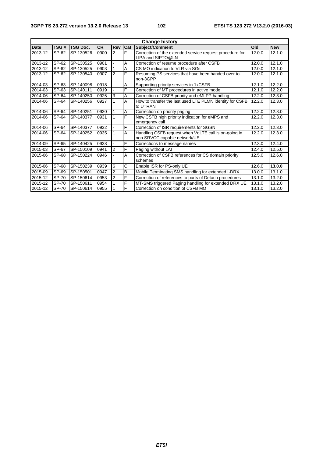| <b>Change history</b> |              |                 |           |                |     |                                                                                      |        |            |
|-----------------------|--------------|-----------------|-----------|----------------|-----|--------------------------------------------------------------------------------------|--------|------------|
| <b>Date</b>           | TSG#         | <b>TSG Doc.</b> | <b>CR</b> | Rev            | Cat | <b>Subject/Comment</b>                                                               | Old    | <b>New</b> |
| 2013-12               | SP-62        | SP-130526       | 0900      | $\overline{2}$ | E   | Correction of the extended service request procedure for<br>LIPA and SIPTO@LN        | 12.0.0 | 12.1.0     |
| 2013-12               | SP-62        | SP-130525       | 0901      |                | Α   | Correction of resume procedure after CSFB                                            | 12.0.0 | 12.1.0     |
| 2013-12               | SP-62        | SP-130525       | 0903      | 1              | Α   | CS MO indication to VLR via SGs                                                      | 12.0.0 | 12.1.0     |
| 2013-12               | SP-62        | SP-130540       | 0907      | $\overline{2}$ | F   | Resuming PS services that have been handed over to<br>non-3GPP                       | 12.0.0 | 12.1.0     |
| 2014-03               | SP-63        | SP-140098       | 0918      |                | Α   | Supporting priority services in 1xCSFB                                               | 12.1.0 | 12.2.0     |
| 2014-03               | SP-63        | SP-140111       | 0919      |                | F   | Correction of MT procedures in active mode                                           | 12.1.0 | 12.2.0     |
| 2014-06               | SP-64        | SP-140250       | 0925      | 3              | A   | Correction of CSFB priority and eMLPP handling                                       | 12.2.0 | 12.3.0     |
| 2014-06               | SP-64        | SP-140256       | 0927      | 1              | A   | How to transfer the last used LTE PLMN identity for CSFB<br>to UTRAN                 | 12.2.0 | 12.3.0     |
| 2014-06               | SP-64        | SP-140251       | 0930      | 1              | A   | Correction on priority paging                                                        | 12.2.0 | 12.3.0     |
| 2014-06               | SP-64        | SP-140377       | 0931      |                | F   | New CSFB high priority indication for eMPS and<br>emergency call                     | 12.2.0 | 12.3.0     |
| 2014-06               | SP-64        | SP-140377       | 0932      |                | F   | Correction of ISR requirements for SGSN                                              | 12.2.0 | 12.3.0     |
| 2014-06               | SP-64        | SP-140252       | 0935      |                | A   | Handling CSFB request when VoLTE call is on-going in<br>non SRVCC capable network/UE | 12.2.0 | 12.3.0     |
| 2014-09               | SP-65        | SP-140425       | 0938      |                | F   | Corrections to message names                                                         | 12.3.0 | 12.4.0     |
| 2015-03               | SP-67        | SP-150109       | 0941      | $\overline{2}$ | F   | Paging without LAI                                                                   | 12.4.0 | 12.5.0     |
| 2015-06               | SP-68        | SP-150224       | 0946      |                | A   | Correction of CSFB references for CS domain priority<br>schemes                      | 12.5.0 | 12.6.0     |
| 2015-06               | SP-68        | SP-150239       | 0939      | 6              | C   | Enable ISR for PS-only UE                                                            | 12.6.0 | 13.0.0     |
| 2015-09               | SP-69        | SP-150501       | 0947      | $\overline{2}$ | B   | Mobile Terminating SMS handling for extended I-DRX                                   | 13.0.0 | 13.1.0     |
| 2015-12               | SP-70        | SP-150614       | 0953      | $\overline{2}$ | F   | Correction of references to parts of Detach procedures                               | 13.1.0 | 13.2.0     |
| 2015-12               | <b>SP-70</b> | SP-150611       | 0954      |                | F   | MT-SMS triggered Paging handling for extended DRX UE                                 | 13.1.0 | 13.2.0     |
| 2015-12               | <b>SP-70</b> | SP-150614       | 0955      |                | F   | Correction on condition of CSFB MO                                                   | 13.1.0 | 13.2.0     |